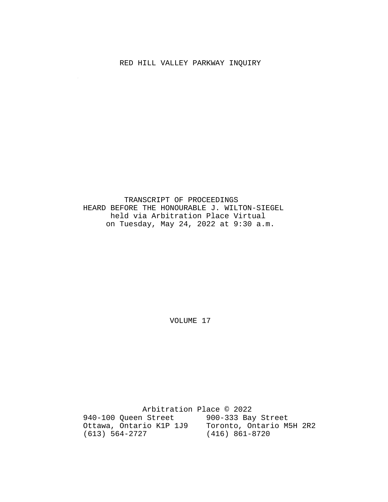### RED HILL VALLEY PARKWAY INQUIRY

 $\sim$ 

 TRANSCRIPT OF PROCEEDINGS HEARD BEFORE THE HONOURABLE J. WILTON-SIEGEL held via Arbitration Place Virtual on Tuesday, May 24, 2022 at 9:30 a.m.

VOLUME 17

 Arbitration Place © 2022 940-100 Queen Street 900-333 Bay Street Ottawa, Ontario K1P 1J9 Toronto, Ontario M5H 2R2 (613) 564-2727 (416) 861-8720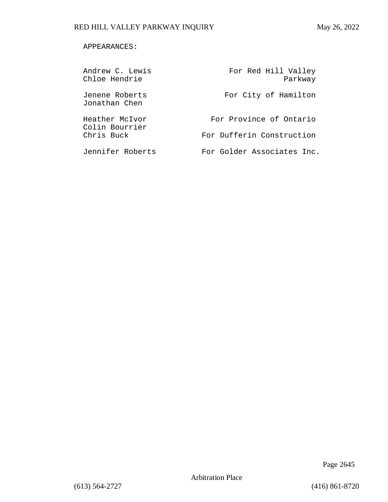### APPEARANCES:

| Andrew C. Lewis<br>Chloe Hendrie | For Red Hill Valley<br>Parkway |
|----------------------------------|--------------------------------|
| Jenene Roberts<br>Jonathan Chen  | For City of Hamilton           |
| Heather McIvor<br>Colin Bourrier | For Province of Ontario        |
| Chris Buck                       | For Dufferin Construction      |
| Jennifer Roberts                 | For Golder Associates Inc.     |

Page 2645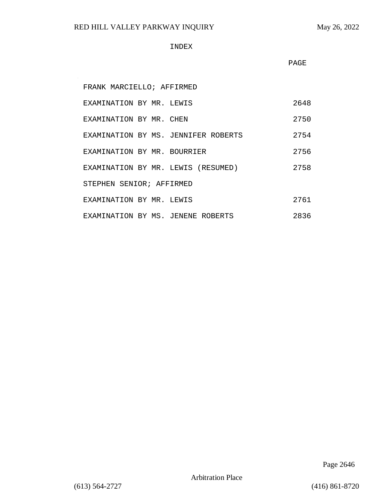$\sim$ 

#### INDEX

PAGE

| FRANK MARCIELLO; AFFIRMED           |      |  |
|-------------------------------------|------|--|
| EXAMINATION BY MR. LEWIS            | 2648 |  |
| EXAMINATION BY MR. CHEN             | 2750 |  |
| EXAMINATION BY MS. JENNIFER ROBERTS | 2754 |  |
| EXAMINATION BY MR. BOURRIER         | 2756 |  |
| EXAMINATION BY MR. LEWIS (RESUMED)  | 2758 |  |
| STEPHEN SENIOR; AFFIRMED            |      |  |
| EXAMINATION BY MR. LEWIS            | 2761 |  |
| EXAMINATION BY MS. JENENE ROBERTS   | 2836 |  |

Page 2646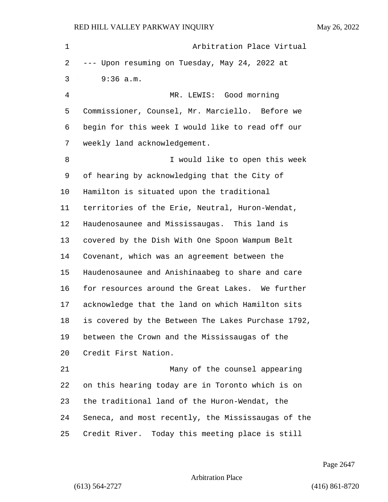1 Arbitration Place Virtual --- Upon resuming on Tuesday, May 24, 2022 at 3 9:36 a.m. 4 MR. LEWIS: Good morning Commissioner, Counsel, Mr. Marciello. Before we begin for this week I would like to read off our weekly land acknowledgement. 8 I would like to open this week of hearing by acknowledging that the City of Hamilton is situated upon the traditional territories of the Erie, Neutral, Huron-Wendat, Haudenosaunee and Mississaugas. This land is covered by the Dish With One Spoon Wampum Belt Covenant, which was an agreement between the Haudenosaunee and Anishinaabeg to share and care for resources around the Great Lakes. We further acknowledge that the land on which Hamilton sits is covered by the Between The Lakes Purchase 1792, between the Crown and the Mississaugas of the Credit First Nation. 21 Many of the counsel appearing on this hearing today are in Toronto which is on the traditional land of the Huron-Wendat, the Seneca, and most recently, the Mississaugas of the Credit River. Today this meeting place is still

Page 2647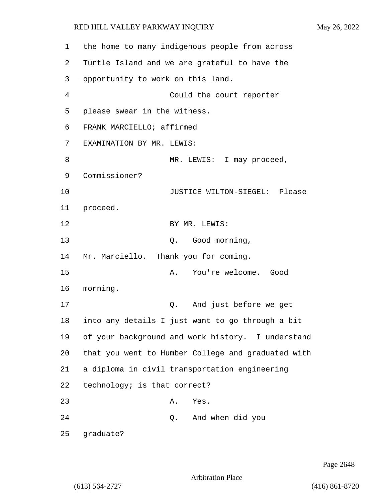| 1  |                                      |    | the home to many indigenous people from across     |
|----|--------------------------------------|----|----------------------------------------------------|
| 2  |                                      |    | Turtle Island and we are grateful to have the      |
| 3  | opportunity to work on this land.    |    |                                                    |
| 4  |                                      |    | Could the court reporter                           |
| 5  | please swear in the witness.         |    |                                                    |
| 6  | FRANK MARCIELLO; affirmed            |    |                                                    |
| 7  | EXAMINATION BY MR. LEWIS:            |    |                                                    |
| 8  |                                      |    | MR. LEWIS: I may proceed,                          |
| 9  | Commissioner?                        |    |                                                    |
| 10 |                                      |    | JUSTICE WILTON-SIEGEL: Please                      |
| 11 | proceed.                             |    |                                                    |
| 12 |                                      |    | BY MR. LEWIS:                                      |
| 13 |                                      | Q. | Good morning,                                      |
| 14 | Mr. Marciello. Thank you for coming. |    |                                                    |
| 15 | Α.                                   |    | You're welcome. Good                               |
| 16 | morning.                             |    |                                                    |
| 17 |                                      | Q. | And just before we get                             |
| 18 |                                      |    | into any details I just want to go through a bit   |
| 19 |                                      |    | of your background and work history. I understand  |
| 20 |                                      |    | that you went to Humber College and graduated with |
| 21 |                                      |    | a diploma in civil transportation engineering      |
| 22 | technology; is that correct?         |    |                                                    |
| 23 | Α.                                   |    | Yes.                                               |
| 24 |                                      |    | Q. And when did you                                |
| 25 | graduate?                            |    |                                                    |

Page 2648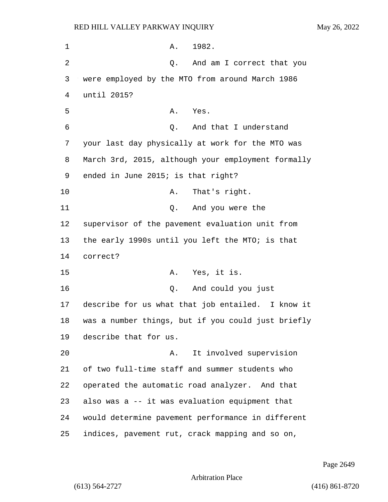1 A. 1982. 2 Q. And am I correct that you 3 were employed by the MTO from around March 1986 4 until 2015? 5 A. Yes. 6 Q. And that I understand 7 your last day physically at work for the MTO was 8 March 3rd, 2015, although your employment formally 9 ended in June 2015; is that right? 10 A. That's right. 11 Q. And you were the 12 supervisor of the pavement evaluation unit from 13 the early 1990s until you left the MTO; is that 14 correct? 15 A. Yes, it is. 16 Q. And could you just 17 describe for us what that job entailed. I know it 18 was a number things, but if you could just briefly 19 describe that for us. 20 A. It involved supervision 21 of two full-time staff and summer students who 22 operated the automatic road analyzer. And that 23 also was a -- it was evaluation equipment that 24 would determine pavement performance in different 25 indices, pavement rut, crack mapping and so on,

Page 2649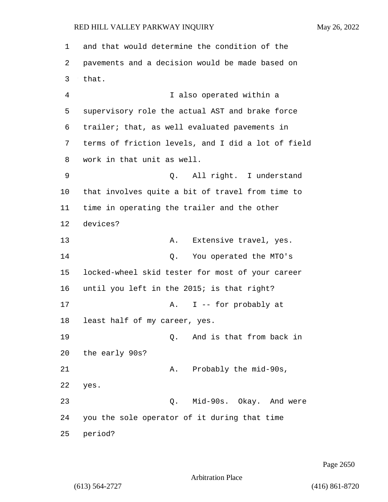1 and that would determine the condition of the 2 pavements and a decision would be made based on 3 that. 4 I also operated within a 5 supervisory role the actual AST and brake force 6 trailer; that, as well evaluated pavements in 7 terms of friction levels, and I did a lot of field 8 work in that unit as well. 9 Q. All right. I understand 10 that involves quite a bit of travel from time to 11 time in operating the trailer and the other 12 devices? 13 A. Extensive travel, yes. 14 Q. You operated the MTO's 15 locked-wheel skid tester for most of your career 16 until you left in the 2015; is that right? 17 A. I -- for probably at 18 least half of my career, yes. 19 Q. And is that from back in 20 the early 90s? 21 A. Probably the mid-90s, 22 yes. 23 Q. Mid-90s. Okay. And were 24 you the sole operator of it during that time 25 period?

Page 2650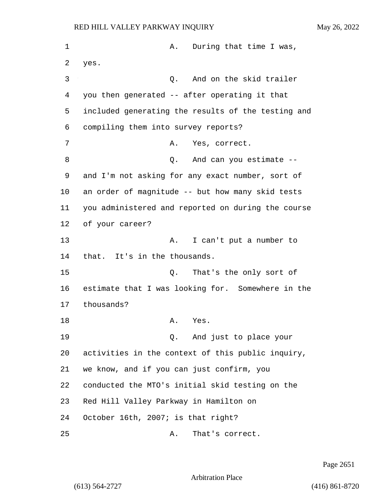1 A. During that time I was, 2 yes. 3 Q. And on the skid trailer 4 you then generated -- after operating it that 5 included generating the results of the testing and 6 compiling them into survey reports? 7 A. Yes, correct. 8 Q. And can you estimate -- 9 and I'm not asking for any exact number, sort of 10 an order of magnitude -- but how many skid tests 11 you administered and reported on during the course 12 of your career? 13 A. I can't put a number to 14 that. It's in the thousands. 15 Q. That's the only sort of 16 estimate that I was looking for. Somewhere in the 17 thousands? 18 A. Yes. 19 Q. And just to place your 20 activities in the context of this public inquiry, 21 we know, and if you can just confirm, you 22 conducted the MTO's initial skid testing on the 23 Red Hill Valley Parkway in Hamilton on 24 October 16th, 2007; is that right? 25 A. That's correct.

Page 2651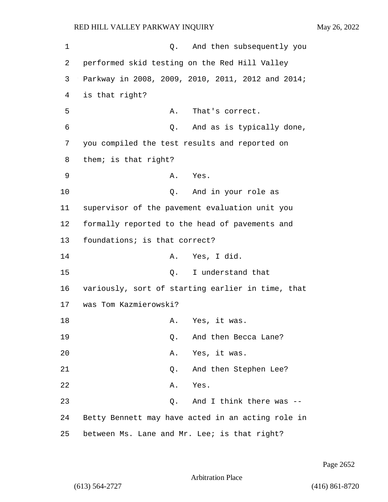1 Q. And then subsequently you 2 performed skid testing on the Red Hill Valley 3 Parkway in 2008, 2009, 2010, 2011, 2012 and 2014; 4 is that right? 5 A. That's correct. 6 Q. And as is typically done, 7 you compiled the test results and reported on 8 them; is that right? 9 A. Yes. 10 Q. And in your role as 11 supervisor of the pavement evaluation unit you 12 formally reported to the head of pavements and 13 foundations; is that correct? 14 A. Yes, I did. 15 C. I understand that 16 variously, sort of starting earlier in time, that 17 was Tom Kazmierowski? 18 A. Yes, it was. 19 Q. And then Becca Lane? 20 A. Yes, it was. 21 Q. And then Stephen Lee? 22 A. Yes. 23 Q. And I think there was -- 24 Betty Bennett may have acted in an acting role in 25 between Ms. Lane and Mr. Lee; is that right?

Page 2652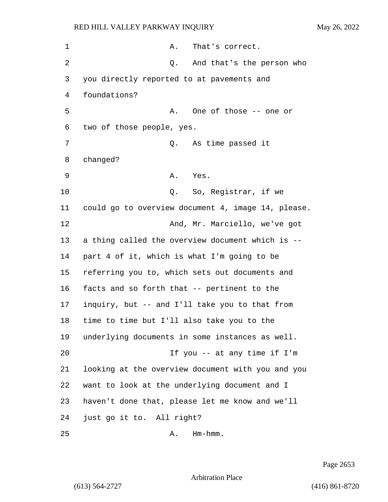| $\mathbf 1$    | That's correct.<br>Α.                              |
|----------------|----------------------------------------------------|
| $\overline{2}$ | And that's the person who<br>Q.                    |
| 3              | you directly reported to at pavements and          |
| 4              | foundations?                                       |
| 5              | One of those -- one or<br>Α.                       |
| 6              | two of those people, yes.                          |
| 7              | As time passed it<br>Q.                            |
| 8              | changed?                                           |
| 9              | Yes.<br>Α.                                         |
| 10             | So, Registrar, if we<br>Q.                         |
| 11             | could go to overview document 4, image 14, please. |
| 12             | And, Mr. Marciello, we've got                      |
| 13             | a thing called the overview document which is --   |
| 14             | part 4 of it, which is what I'm going to be        |
| 15             | referring you to, which sets out documents and     |
| 16             | facts and so forth that -- pertinent to the        |
| 17             | inquiry, but -- and I'll take you to that from     |
| 18             | time to time but I'll also take you to the         |
| 19             | underlying documents in some instances as well.    |
| 20             | If you $-$ at any time if I'm                      |
| 21             | looking at the overview document with you and you  |
| 22             | want to look at the underlying document and I      |
| 23             | haven't done that, please let me know and we'll    |
| 24             | just go it to. All right?                          |
| 25             | $Hm - hmm$ .<br>Α.                                 |

Page 2653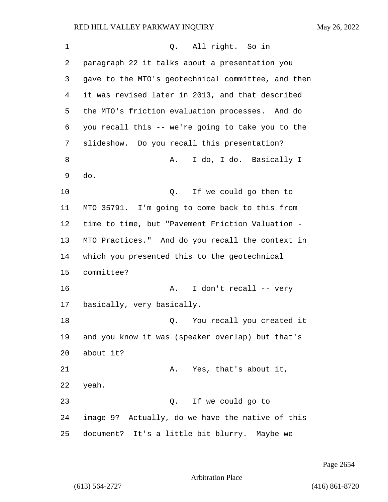| 1  | All right. So in<br>Q.                             |
|----|----------------------------------------------------|
| 2  | paragraph 22 it talks about a presentation you     |
| 3  | gave to the MTO's geotechnical committee, and then |
| 4  | it was revised later in 2013, and that described   |
| 5  | the MTO's friction evaluation processes. And do    |
| 6  | you recall this -- we're going to take you to the  |
| 7  | slideshow. Do you recall this presentation?        |
| 8  | I do, I do. Basically I<br>Α.                      |
| 9  | do.                                                |
| 10 | If we could go then to<br>Q.                       |
| 11 | MTO 35791. I'm going to come back to this from     |
| 12 | time to time, but "Pavement Friction Valuation -   |
| 13 | MTO Practices." And do you recall the context in   |
| 14 | which you presented this to the geotechnical       |
| 15 | committee?                                         |
| 16 | I don't recall -- very<br>Α.                       |
| 17 | basically, very basically.                         |
| 18 | Q.<br>You recall you created it                    |
| 19 | and you know it was (speaker overlap) but that's   |
| 20 | about it?                                          |
| 21 | Yes, that's about it,<br>Α.                        |
| 22 | yeah.                                              |
| 23 | If we could go to<br>Q.                            |
| 24 | image 9? Actually, do we have the native of this   |
| 25 | document? It's a little bit blurry. Maybe we       |

Page 2654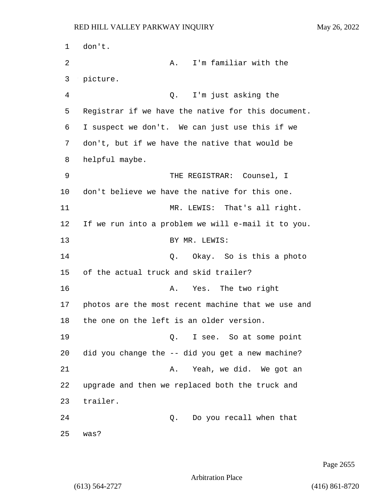1 don't. 2 A. I'm familiar with the 3 picture. 4 Q. I'm just asking the 5 Registrar if we have the native for this document. 6 I suspect we don't. We can just use this if we 7 don't, but if we have the native that would be 8 helpful maybe. 9 THE REGISTRAR: Counsel, I 10 don't believe we have the native for this one. 11 MR. LEWIS: That's all right. 12 If we run into a problem we will e-mail it to you. 13 BY MR. LEWIS: 14 Q. Okay. So is this a photo 15 of the actual truck and skid trailer? 16 A. Yes. The two right 17 photos are the most recent machine that we use and 18 the one on the left is an older version. 19 Q. I see. So at some point 20 did you change the -- did you get a new machine? 21 A. Yeah, we did. We got an 22 upgrade and then we replaced both the truck and 23 trailer. 24 Q. Do you recall when that 25 was?

Page 2655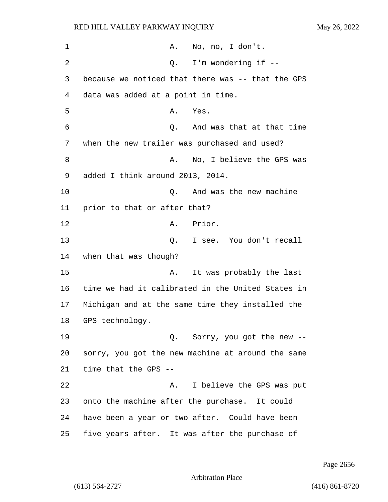| $\mathbf 1$    |                                                   | A. No, no, I don't.          |
|----------------|---------------------------------------------------|------------------------------|
| $\overline{2}$ | Q.                                                | I'm wondering if --          |
| 3              | because we noticed that there was -- that the GPS |                              |
| 4              | data was added at a point in time.                |                              |
| 5              | Α.<br>Yes.                                        |                              |
| 6              | Q.                                                | And was that at that time    |
| 7              | when the new trailer was purchased and used?      |                              |
| 8              | Α.                                                | No, I believe the GPS was    |
| 9              | added I think around 2013, 2014.                  |                              |
| 10             | Q.                                                | And was the new machine      |
| 11             | prior to that or after that?                      |                              |
| 12             | A. Prior.                                         |                              |
| 13             |                                                   | Q. I see. You don't recall   |
| 14             | when that was though?                             |                              |
| 15             | Α.                                                | It was probably the last     |
| 16             | time we had it calibrated in the United States in |                              |
| 17             | Michigan and at the same time they installed the  |                              |
| 18             | GPS technology.                                   |                              |
| 19             |                                                   | Q. Sorry, you got the new -- |
| 20             | sorry, you got the new machine at around the same |                              |
| 21             | time that the GPS --                              |                              |
| 22             | Α.                                                | I believe the GPS was put    |
| 23             | onto the machine after the purchase. It could     |                              |
| 24             | have been a year or two after. Could have been    |                              |
| 25             | five years after. It was after the purchase of    |                              |

Page 2656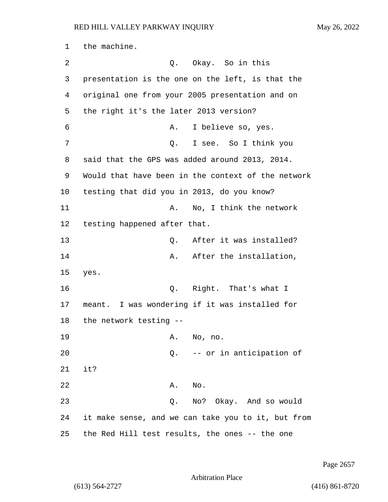1 the machine. 2 Q. Okay. So in this 3 presentation is the one on the left, is that the 4 original one from your 2005 presentation and on 5 the right it's the later 2013 version? 6 A. I believe so, yes. 7 Q. I see. So I think you 8 said that the GPS was added around 2013, 2014. 9 Would that have been in the context of the network 10 testing that did you in 2013, do you know? 11 A. No, I think the network 12 testing happened after that. 13 C. After it was installed? 14 A. After the installation, 15 yes. 16 Q. Right. That's what I 17 meant. I was wondering if it was installed for 18 the network testing -- 19 A. No, no. 20 Q. -- or in anticipation of 21 it? 22 A. No. 23 Q. No? Okay. And so would 24 it make sense, and we can take you to it, but from 25 the Red Hill test results, the ones -- the one

Page 2657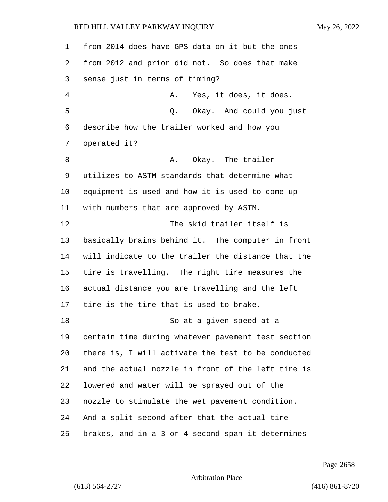from 2014 does have GPS data on it but the ones from 2012 and prior did not. So does that make sense just in terms of timing? 4 A. Yes, it does, it does. 5 Q. Okay. And could you just describe how the trailer worked and how you operated it? 8 A. Okay. The trailer utilizes to ASTM standards that determine what equipment is used and how it is used to come up with numbers that are approved by ASTM. 12 The skid trailer itself is basically brains behind it. The computer in front will indicate to the trailer the distance that the tire is travelling. The right tire measures the actual distance you are travelling and the left tire is the tire that is used to brake. 18 So at a given speed at a certain time during whatever pavement test section there is, I will activate the test to be conducted and the actual nozzle in front of the left tire is lowered and water will be sprayed out of the nozzle to stimulate the wet pavement condition. And a split second after that the actual tire brakes, and in a 3 or 4 second span it determines

Page 2658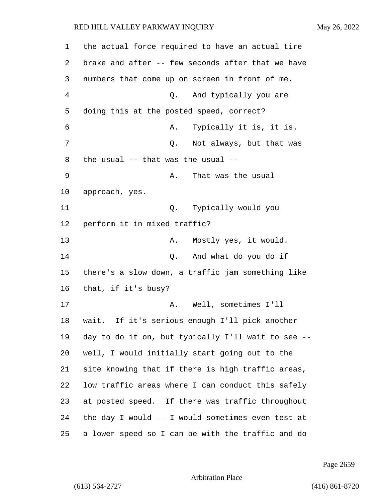| 1  | the actual force required to have an actual tire   |
|----|----------------------------------------------------|
| 2  | brake and after -- few seconds after that we have  |
| 3  | numbers that come up on screen in front of me.     |
| 4  | And typically you are<br>Q.                        |
| 5  | doing this at the posted speed, correct?           |
| 6  | Typically it is, it is.<br>Α.                      |
| 7  | Not always, but that was<br>Q.                     |
| 8  | the usual -- that was the usual --                 |
| 9  | That was the usual<br>Α.                           |
| 10 | approach, yes.                                     |
| 11 | Typically would you<br>Q.                          |
| 12 | perform it in mixed traffic?                       |
| 13 | Mostly yes, it would.<br>Α.                        |
| 14 | And what do you do if<br>Q.                        |
| 15 | there's a slow down, a traffic jam something like  |
| 16 | that, if it's busy?                                |
| 17 | Well, sometimes I'll<br>Α.                         |
| 18 | wait. If it's serious enough I'll pick another     |
| 19 | day to do it on, but typically I'll wait to see -- |
| 20 | well, I would initially start going out to the     |
| 21 | site knowing that if there is high traffic areas,  |
| 22 | low traffic areas where I can conduct this safely  |
| 23 | at posted speed. If there was traffic throughout   |
| 24 | the day I would -- I would sometimes even test at  |
| 25 | a lower speed so I can be with the traffic and do  |

Page 2659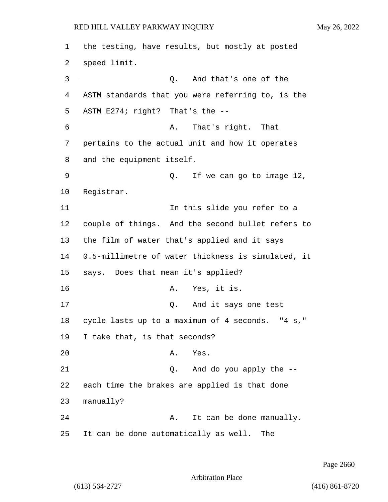the testing, have results, but mostly at posted speed limit. 3 Q. And that's one of the ASTM standards that you were referring to, is the ASTM E274; right? That's the -- 6 A. That's right. That pertains to the actual unit and how it operates and the equipment itself. 9 Q. If we can go to image 12, Registrar. 11 11 In this slide you refer to a couple of things. And the second bullet refers to the film of water that's applied and it says 0.5-millimetre of water thickness is simulated, it says. Does that mean it's applied? 16 A. Yes, it is. 17 Q. And it says one test cycle lasts up to a maximum of 4 seconds. "4 s," I take that, is that seconds? 20 A. Yes. 21 Q. And do you apply the -- each time the brakes are applied is that done manually? 24 A. It can be done manually. It can be done automatically as well. The

Page 2660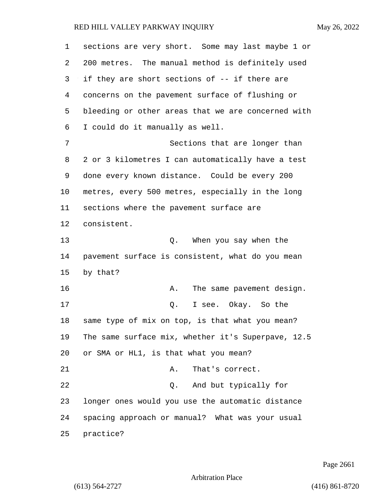| 1       | sections are very short. Some may last maybe 1 or  |
|---------|----------------------------------------------------|
| 2       | 200 metres. The manual method is definitely used   |
| 3       | if they are short sections of -- if there are      |
| 4       | concerns on the pavement surface of flushing or    |
| 5       | bleeding or other areas that we are concerned with |
| 6       | I could do it manually as well.                    |
| 7       | Sections that are longer than                      |
| 8       | 2 or 3 kilometres I can automatically have a test  |
| 9       | done every known distance. Could be every 200      |
| $10 \,$ | metres, every 500 metres, especially in the long   |
| 11      | sections where the pavement surface are            |
| 12      | consistent.                                        |
| 13      | Q. When you say when the                           |
| 14      | pavement surface is consistent, what do you mean   |
| 15      | by that?                                           |
| 16      | The same pavement design.<br>Α.                    |
| 17      | I see. Okay. So the<br>Q.                          |
| 18      | same type of mix on top, is that what you mean?    |
| 19      | The same surface mix, whether it's Superpave, 12.5 |
| 20      | or SMA or HL1, is that what you mean?              |
| 21      | Α.<br>That's correct.                              |
| 22      | And but typically for<br>Q.                        |
| 23      | longer ones would you use the automatic distance   |
| 24      | spacing approach or manual? What was your usual    |
| 25      | practice?                                          |

Page 2661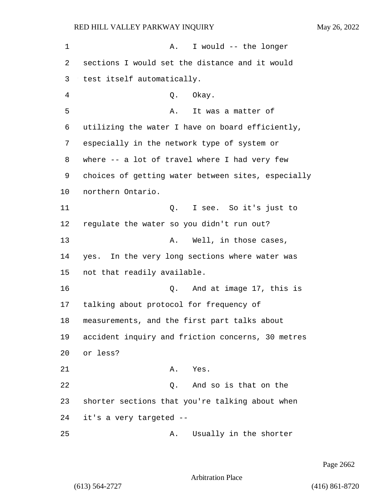1 A. I would -- the longer 2 sections I would set the distance and it would 3 test itself automatically. 4 Q. Okay. 5 A. It was a matter of 6 utilizing the water I have on board efficiently, 7 especially in the network type of system or 8 where -- a lot of travel where I had very few 9 choices of getting water between sites, especially 10 northern Ontario. 11 Q. I see. So it's just to 12 regulate the water so you didn't run out? 13 A. Well, in those cases, 14 yes. In the very long sections where water was 15 not that readily available. 16 Q. And at image 17, this is 17 talking about protocol for frequency of 18 measurements, and the first part talks about 19 accident inquiry and friction concerns, 30 metres 20 or less? 21 A. Yes. 22 Q. And so is that on the 23 shorter sections that you're talking about when 24 it's a very targeted -- 25 A. Usually in the shorter

Page 2662

Arbitration Place

(613) 564-2727 (416) 861-8720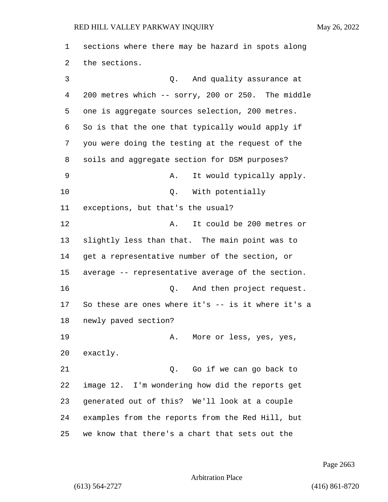sections where there may be hazard in spots along the sections. 3 Q. And quality assurance at 200 metres which -- sorry, 200 or 250. The middle one is aggregate sources selection, 200 metres. So is that the one that typically would apply if you were doing the testing at the request of the soils and aggregate section for DSM purposes? 9 A. It would typically apply. 10 Q. With potentially exceptions, but that's the usual? 12 A. It could be 200 metres or slightly less than that. The main point was to get a representative number of the section, or average -- representative average of the section. 16 Q. And then project request. So these are ones where it's -- is it where it's a newly paved section? 19 A. More or less, yes, yes, exactly. 21 Q. Go if we can go back to image 12. I'm wondering how did the reports get generated out of this? We'll look at a couple examples from the reports from the Red Hill, but we know that there's a chart that sets out the

Page 2663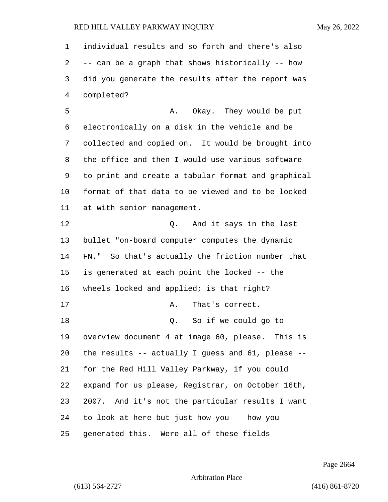individual results and so forth and there's also -- can be a graph that shows historically -- how did you generate the results after the report was completed?

5 A. Okay. They would be put electronically on a disk in the vehicle and be collected and copied on. It would be brought into the office and then I would use various software to print and create a tabular format and graphical format of that data to be viewed and to be looked at with senior management.

12 O. And it says in the last bullet "on-board computer computes the dynamic FN." So that's actually the friction number that is generated at each point the locked -- the wheels locked and applied; is that right? 17 A. That's correct. 18 Q. So if we could go to overview document 4 at image 60, please. This is the results -- actually I guess and 61, please -- for the Red Hill Valley Parkway, if you could expand for us please, Registrar, on October 16th, 2007. And it's not the particular results I want to look at here but just how you -- how you generated this. Were all of these fields

Page 2664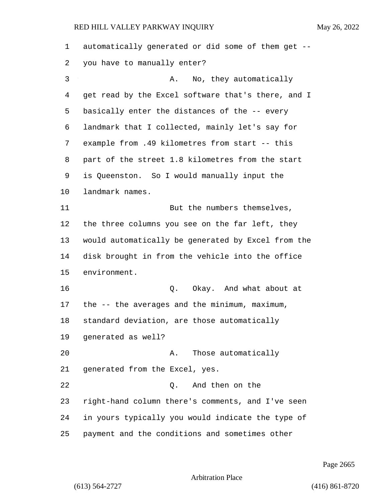| 1  | automatically generated or did some of them get -- |
|----|----------------------------------------------------|
| 2  | you have to manually enter?                        |
| 3  | No, they automatically<br>Α.                       |
| 4  | get read by the Excel software that's there, and I |
| 5  | basically enter the distances of the -- every      |
| 6  | landmark that I collected, mainly let's say for    |
| 7  | example from .49 kilometres from start -- this     |
| 8  | part of the street 1.8 kilometres from the start   |
| 9  | is Queenston. So I would manually input the        |
| 10 | landmark names.                                    |
| 11 | But the numbers themselves,                        |
| 12 | the three columns you see on the far left, they    |
| 13 | would automatically be generated by Excel from the |
| 14 | disk brought in from the vehicle into the office   |
| 15 | environment.                                       |
| 16 | Okay. And what about at<br>Q.                      |
| 17 | the $-$ - the averages and the minimum, maximum,   |
| 18 | standard deviation, are those automatically        |
| 19 | generated as well?                                 |
| 20 | Those automatically<br>А.                          |
| 21 | generated from the Excel, yes.                     |
| 22 | And then on the<br>0.                              |
| 23 | right-hand column there's comments, and I've seen  |
| 24 | in yours typically you would indicate the type of  |
| 25 | payment and the conditions and sometimes other     |

Page 2665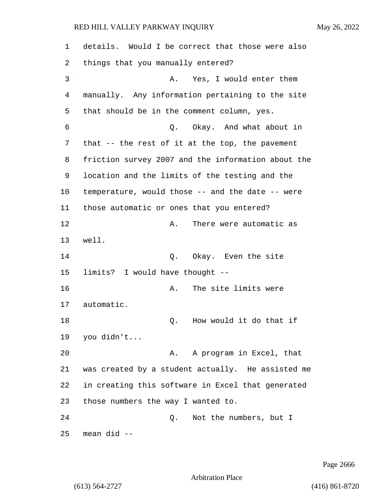| 1  | details. Would I be correct that those were also   |
|----|----------------------------------------------------|
| 2  | things that you manually entered?                  |
| 3  | Yes, I would enter them<br>Α.                      |
| 4  | manually. Any information pertaining to the site   |
| 5  | that should be in the comment column, yes.         |
| 6  | Q. Okay. And what about in                         |
| 7  | that $-$ the rest of it at the top, the pavement   |
| 8  | friction survey 2007 and the information about the |
| 9  | location and the limits of the testing and the     |
| 10 | temperature, would those -- and the date -- were   |
| 11 | those automatic or ones that you entered?          |
| 12 | There were automatic as<br>Α.                      |
| 13 | well.                                              |
| 14 | Okay. Even the site<br>Q.                          |
| 15 | limits? I would have thought --                    |
| 16 | The site limits were<br>Α.                         |
| 17 | automatic.                                         |
| 18 | How would it do that if<br>Q.                      |
| 19 | you didn't                                         |
| 20 | A program in Excel, that<br>Α.                     |
| 21 | was created by a student actually. He assisted me  |
| 22 | in creating this software in Excel that generated  |
| 23 | those numbers the way I wanted to.                 |
| 24 | Not the numbers, but I<br>Q.                       |
| 25 | mean did --                                        |

Page 2666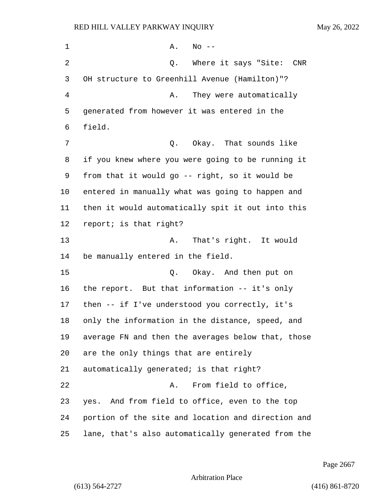1 A. No --2 Q. Where it says "Site: CNR OH structure to Greenhill Avenue (Hamilton)"? 4 A. They were automatically generated from however it was entered in the field. 7 C. Okay. That sounds like if you knew where you were going to be running it from that it would go -- right, so it would be entered in manually what was going to happen and then it would automatically spit it out into this report; is that right? 13 A. That's right. It would be manually entered in the field. 15 C. Okay. And then put on the report. But that information -- it's only then -- if I've understood you correctly, it's only the information in the distance, speed, and average FN and then the averages below that, those are the only things that are entirely automatically generated; is that right? 22 A. From field to office, yes. And from field to office, even to the top portion of the site and location and direction and lane, that's also automatically generated from the

Page 2667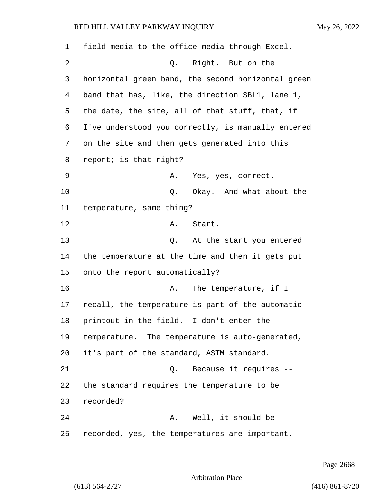field media to the office media through Excel. 2 Q. Right. But on the horizontal green band, the second horizontal green band that has, like, the direction SBL1, lane 1, the date, the site, all of that stuff, that, if I've understood you correctly, is manually entered on the site and then gets generated into this report; is that right? 9 A. Yes, yes, correct. **Q.** Okay. And what about the temperature, same thing? 12 A. Start. 13 Q. At the start you entered the temperature at the time and then it gets put onto the report automatically? 16 A. The temperature, if I recall, the temperature is part of the automatic printout in the field. I don't enter the temperature. The temperature is auto-generated, it's part of the standard, ASTM standard. 21 Q. Because it requires -- the standard requires the temperature to be recorded? 24 A. Well, it should be recorded, yes, the temperatures are important.

Page 2668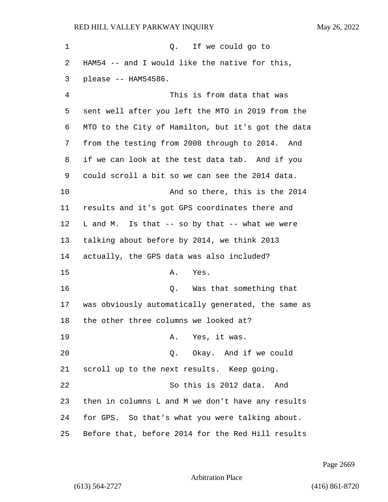1 Q. If we could go to HAM54 -- and I would like the native for this, please -- HAM54586. 4 This is from data that was sent well after you left the MTO in 2019 from the MTO to the City of Hamilton, but it's got the data from the testing from 2008 through to 2014. And if we can look at the test data tab. And if you could scroll a bit so we can see the 2014 data. 10 And so there, this is the 2014 results and it's got GPS coordinates there and L and M. Is that -- so by that -- what we were talking about before by 2014, we think 2013 actually, the GPS data was also included? 15 A. Yes. 16 Q. Was that something that was obviously automatically generated, the same as the other three columns we looked at? 19 A. Yes, it was. 20 Q. Okay. And if we could scroll up to the next results. Keep going. 22 So this is 2012 data. And then in columns L and M we don't have any results for GPS. So that's what you were talking about. Before that, before 2014 for the Red Hill results

Page 2669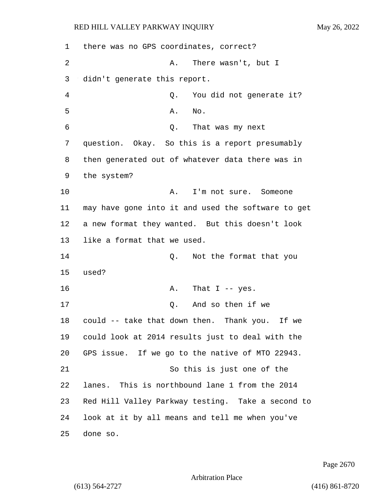| 1  | there was no GPS coordinates, correct?             |
|----|----------------------------------------------------|
| 2  | Α.<br>There wasn't, but I                          |
| 3  | didn't generate this report.                       |
| 4  | You did not generate it?<br>Q.                     |
| 5  | Α.<br>No.                                          |
| 6  | Q. That was my next                                |
| 7  | question. Okay. So this is a report presumably     |
| 8  | then generated out of whatever data there was in   |
| 9  | the system?                                        |
| 10 | Α.<br>I'm not sure. Someone                        |
| 11 | may have gone into it and used the software to get |
| 12 | a new format they wanted. But this doesn't look    |
| 13 | like a format that we used.                        |
| 14 | Not the format that you<br>Q.                      |
| 15 | used?                                              |
| 16 | That $I$ -- yes.<br>Α.                             |
| 17 | And so then if we<br>Q.                            |
| 18 | could -- take that down then. Thank you. If we     |
| 19 | could look at 2014 results just to deal with the   |
| 20 | GPS issue. If we go to the native of MTO 22943.    |
| 21 | So this is just one of the                         |
| 22 | lanes. This is northbound lane 1 from the 2014     |
| 23 | Red Hill Valley Parkway testing. Take a second to  |
| 24 | look at it by all means and tell me when you've    |
| 25 | done so.                                           |

Page 2670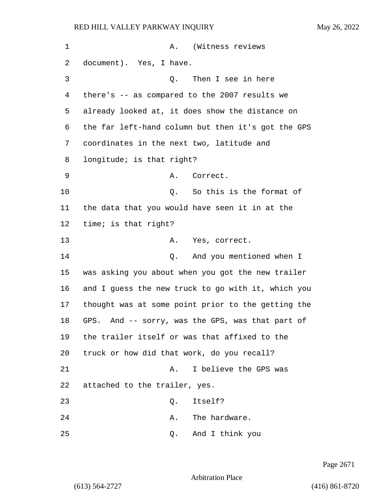| 1  | A. (Witness reviews                                 |
|----|-----------------------------------------------------|
| 2  | document). Yes, I have.                             |
| 3  | Then I see in here<br>Q.                            |
| 4  | there's -- as compared to the 2007 results we       |
| 5  | already looked at, it does show the distance on     |
| 6  | the far left-hand column but then it's got the GPS  |
| 7  | coordinates in the next two, latitude and           |
| 8  | longitude; is that right?                           |
| 9  | Correct.<br>Α.                                      |
| 10 | So this is the format of<br>Q.                      |
| 11 | the data that you would have seen it in at the      |
| 12 | time; is that right?                                |
| 13 | Yes, correct.<br>А.                                 |
| 14 | And you mentioned when I<br>Q.                      |
| 15 | was asking you about when you got the new trailer   |
| 16 | and I guess the new truck to go with it, which you  |
| 17 | thought was at some point prior to the getting the  |
| 18 | And -- sorry, was the GPS, was that part of<br>GPS. |
| 19 | the trailer itself or was that affixed to the       |
| 20 | truck or how did that work, do you recall?          |
| 21 | I believe the GPS was<br>Α.                         |
| 22 | attached to the trailer, yes.                       |
| 23 | Itself?<br>Q.                                       |
| 24 | The hardware.<br>Α.                                 |
| 25 | And I think you<br>Q.                               |

Page 2671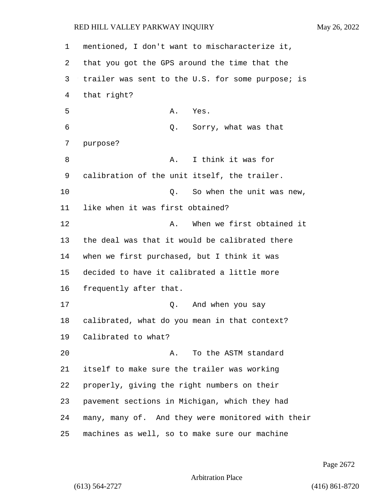mentioned, I don't want to mischaracterize it, that you got the GPS around the time that the trailer was sent to the U.S. for some purpose; is that right? 5 A. Yes. 6 Q. Sorry, what was that purpose? 8 A. I think it was for calibration of the unit itself, the trailer. 10 Q. So when the unit was new, like when it was first obtained? **A.** When we first obtained it the deal was that it would be calibrated there when we first purchased, but I think it was decided to have it calibrated a little more frequently after that. 17 Q. And when you say calibrated, what do you mean in that context? Calibrated to what? 20 A. To the ASTM standard itself to make sure the trailer was working properly, giving the right numbers on their pavement sections in Michigan, which they had many, many of. And they were monitored with their machines as well, so to make sure our machine

Page 2672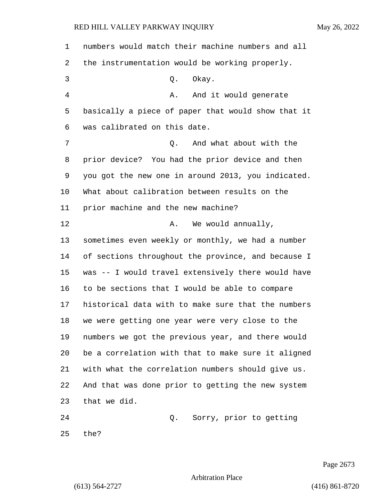| 1  | numbers would match their machine numbers and all  |
|----|----------------------------------------------------|
| 2  | the instrumentation would be working properly.     |
| 3  | Okay.<br>Q.                                        |
| 4  | And it would generate<br>Α.                        |
| 5  | basically a piece of paper that would show that it |
| 6  | was calibrated on this date.                       |
| 7  | And what about with the<br>Q.                      |
| 8  | prior device? You had the prior device and then    |
| 9  | you got the new one in around 2013, you indicated. |
| 10 | What about calibration between results on the      |
| 11 | prior machine and the new machine?                 |
| 12 | We would annually,<br>Α.                           |
| 13 | sometimes even weekly or monthly, we had a number  |
| 14 | of sections throughout the province, and because I |
| 15 | was -- I would travel extensively there would have |
| 16 | to be sections that I would be able to compare     |
| 17 | historical data with to make sure that the numbers |
| 18 | we were getting one year were very close to the    |
| 19 | numbers we got the previous year, and there would  |
| 20 | be a correlation with that to make sure it aligned |
| 21 | with what the correlation numbers should give us.  |
| 22 | And that was done prior to getting the new system  |
| 23 | that we did.                                       |
| 24 | Sorry, prior to getting<br>Q.                      |
| 25 | the?                                               |

Page 2673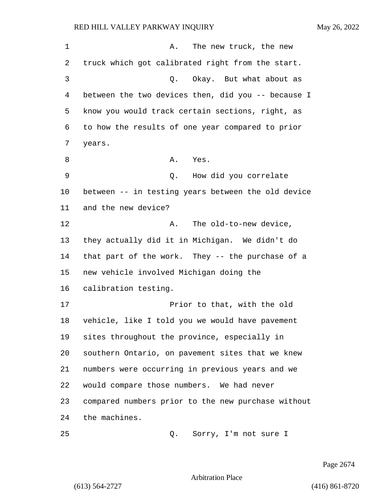1 A. The new truck, the new truck which got calibrated right from the start. 3 Q. Okay. But what about as between the two devices then, did you -- because I know you would track certain sections, right, as to how the results of one year compared to prior years. 8 A. Yes. 9 Q. How did you correlate between -- in testing years between the old device and the new device? 12 A. The old-to-new device. they actually did it in Michigan. We didn't do that part of the work. They -- the purchase of a new vehicle involved Michigan doing the calibration testing. 17 Prior to that, with the old vehicle, like I told you we would have pavement sites throughout the province, especially in southern Ontario, on pavement sites that we knew numbers were occurring in previous years and we would compare those numbers. We had never compared numbers prior to the new purchase without the machines. 25 Q. Sorry, I'm not sure I

Page 2674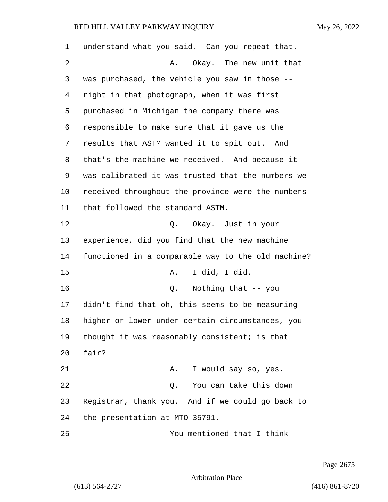| 1  | understand what you said. Can you repeat that.     |
|----|----------------------------------------------------|
| 2  | Okay. The new unit that<br>А.                      |
| 3  | was purchased, the vehicle you saw in those --     |
| 4  | right in that photograph, when it was first        |
| 5  | purchased in Michigan the company there was        |
| 6  | responsible to make sure that it gave us the       |
| 7  | results that ASTM wanted it to spit out. And       |
| 8  | that's the machine we received. And because it     |
| 9  | was calibrated it was trusted that the numbers we  |
| 10 | received throughout the province were the numbers  |
| 11 | that followed the standard ASTM.                   |
| 12 | Q. Okay. Just in your                              |
| 13 | experience, did you find that the new machine      |
| 14 | functioned in a comparable way to the old machine? |
| 15 | I did, I did.<br>Α.                                |
| 16 | Nothing that -- you<br>$Q$ .                       |
| 17 | didn't find that oh, this seems to be measuring    |
| 18 | higher or lower under certain circumstances, you   |
| 19 | thought it was reasonably consistent; is that      |
| 20 | fair?                                              |
| 21 | I would say so, yes.<br>Α.                         |
| 22 | You can take this down<br>Q.                       |
| 23 | Registrar, thank you. And if we could go back to   |
| 24 | the presentation at MTO 35791.                     |
| 25 | You mentioned that I think                         |

Page 2675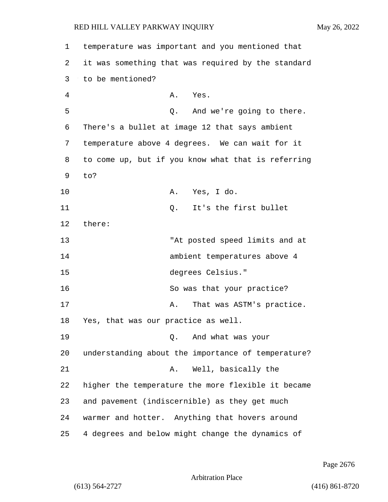| 1  | temperature was important and you mentioned that   |
|----|----------------------------------------------------|
| 2  | it was something that was required by the standard |
| 3  | to be mentioned?                                   |
| 4  | Yes.<br>Α.                                         |
| 5  | And we're going to there.<br>Q.                    |
| 6  | There's a bullet at image 12 that says ambient     |
| 7  | temperature above 4 degrees. We can wait for it    |
| 8  | to come up, but if you know what that is referring |
| 9  | to?                                                |
| 10 | Yes, I do.<br>Α.                                   |
| 11 | It's the first bullet<br>Q.                        |
| 12 | there:                                             |
| 13 | "At posted speed limits and at                     |
| 14 | ambient temperatures above 4                       |
| 15 | degrees Celsius."                                  |
| 16 | So was that your practice?                         |
| 17 | That was ASTM's practice.<br>Α.                    |
| 18 | Yes, that was our practice as well.                |
| 19 | And what was your<br>Q.                            |
| 20 | understanding about the importance of temperature? |
| 21 | Well, basically the<br>Α.                          |
| 22 | higher the temperature the more flexible it became |
| 23 | and pavement (indiscernible) as they get much      |
| 24 | warmer and hotter. Anything that hovers around     |
| 25 | 4 degrees and below might change the dynamics of   |

Page 2676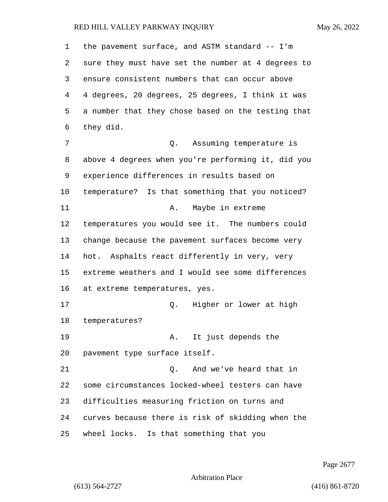| 1  | the pavement surface, and ASTM standard -- I'm     |
|----|----------------------------------------------------|
| 2  | sure they must have set the number at 4 degrees to |
| 3  | ensure consistent numbers that can occur above     |
| 4  | 4 degrees, 20 degrees, 25 degrees, I think it was  |
| 5  | a number that they chose based on the testing that |
| 6  | they did.                                          |
| 7  | Q. Assuming temperature is                         |
| 8  | above 4 degrees when you're performing it, did you |
| 9  | experience differences in results based on         |
| 10 | temperature? Is that something that you noticed?   |
| 11 | Maybe in extreme<br>Α.                             |
| 12 | temperatures you would see it. The numbers could   |
| 13 | change because the pavement surfaces become very   |
| 14 | hot. Asphalts react differently in very, very      |
| 15 | extreme weathers and I would see some differences  |
| 16 | at extreme temperatures, yes.                      |
| 17 | Higher or lower at high<br>Q.                      |
| 18 | temperatures?                                      |
| 19 | It just depends the<br>Α.                          |
| 20 | pavement type surface itself.                      |
| 21 | And we've heard that in<br>Q.                      |
| 22 | some circumstances locked-wheel testers can have   |
| 23 | difficulties measuring friction on turns and       |
| 24 | curves because there is risk of skidding when the  |
| 25 | wheel locks. Is that something that you            |

Page 2677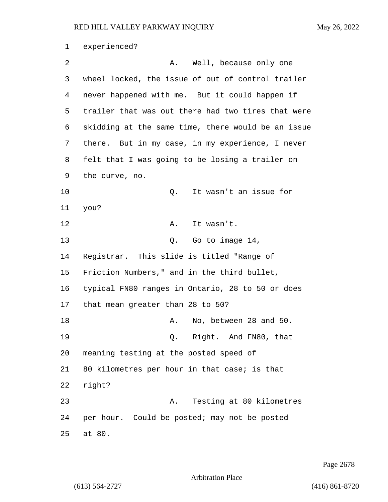experienced? 2 A. Well, because only one wheel locked, the issue of out of control trailer never happened with me. But it could happen if trailer that was out there had two tires that were skidding at the same time, there would be an issue there. But in my case, in my experience, I never felt that I was going to be losing a trailer on the curve, no. 10 Q. It wasn't an issue for you? 12 A. It wasn't. 13 Q. Go to image 14, Registrar. This slide is titled "Range of Friction Numbers," and in the third bullet, typical FN80 ranges in Ontario, 28 to 50 or does that mean greater than 28 to 50? 18 A. No, between 28 and 50. 19 Q. Right. And FN80, that meaning testing at the posted speed of 80 kilometres per hour in that case; is that right? 23 A. Testing at 80 kilometres per hour. Could be posted; may not be posted at 80.

Page 2678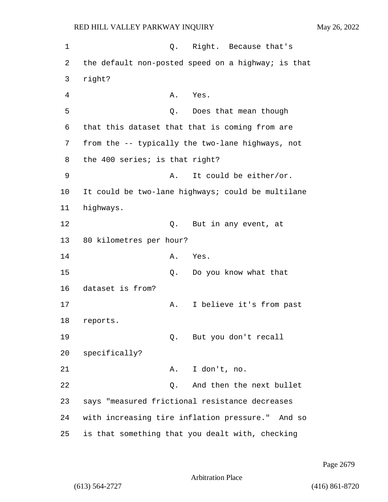1 C. Right. Because that's 2 the default non-posted speed on a highway; is that 3 right? 4 A. Yes. 5 Q. Does that mean though 6 that this dataset that that is coming from are 7 from the -- typically the two-lane highways, not 8 the 400 series; is that right? 9 A. It could be either/or. 10 It could be two-lane highways; could be multilane 11 highways. 12 0. But in any event, at 13 80 kilometres per hour? 14 A. Yes. 15 Q. Do you know what that 16 dataset is from? 17 A. I believe it's from past 18 reports. 19 Q. But you don't recall 20 specifically? 21 A. I don't, no. 22 Q. And then the next bullet 23 says "measured frictional resistance decreases 24 with increasing tire inflation pressure." And so 25 is that something that you dealt with, checking

Page 2679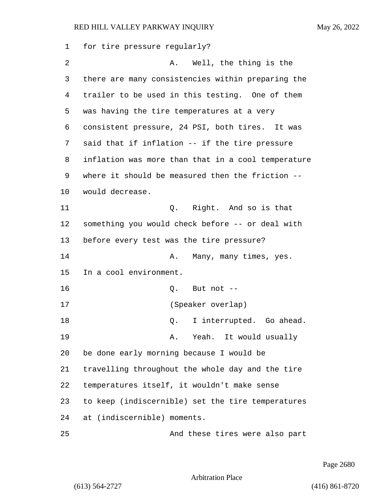| 1  | for tire pressure regularly?                       |
|----|----------------------------------------------------|
| 2  | Well, the thing is the<br>Α.                       |
| 3  | there are many consistencies within preparing the  |
| 4  | trailer to be used in this testing. One of them    |
| 5  | was having the tire temperatures at a very         |
| 6  | consistent pressure, 24 PSI, both tires. It was    |
| 7  | said that if inflation -- if the tire pressure     |
| 8  | inflation was more than that in a cool temperature |
| 9  | where it should be measured then the friction --   |
| 10 | would decrease.                                    |
| 11 | Right. And so is that<br>Q.                        |
| 12 | something you would check before -- or deal with   |
| 13 | before every test was the tire pressure?           |
| 14 | Α.<br>Many, many times, yes.                       |
| 15 | In a cool environment.                             |
| 16 | But not --<br>Q.                                   |
| 17 | (Speaker overlap)                                  |
| 18 | I interrupted. Go ahead.<br>Q.                     |
| 19 | Yeah. It would usually<br>Α.                       |
| 20 | be done early morning because I would be           |
| 21 | travelling throughout the whole day and the tire   |
| 22 | temperatures itself, it wouldn't make sense        |
| 23 | to keep (indiscernible) set the tire temperatures  |
| 24 | at (indiscernible) moments.                        |
| 25 | And these tires were also part                     |

Page 2680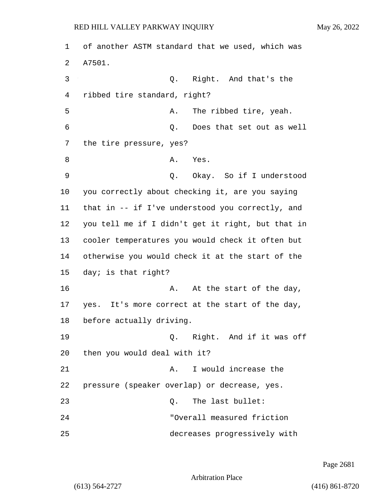| 1  | of another ASTM standard that we used, which was  |
|----|---------------------------------------------------|
| 2  | A7501.                                            |
| 3  | Right. And that's the<br>Q.                       |
| 4  | ribbed tire standard, right?                      |
| 5  | The ribbed tire, yeah.<br>Α.                      |
| 6  | Does that set out as well<br>$Q$ .                |
| 7  | the tire pressure, yes?                           |
| 8  | Yes.<br>Α.                                        |
| 9  | Okay. So if I understood<br>Q.                    |
| 10 | you correctly about checking it, are you saying   |
| 11 | that in -- if I've understood you correctly, and  |
| 12 | you tell me if I didn't get it right, but that in |
| 13 | cooler temperatures you would check it often but  |
| 14 | otherwise you would check it at the start of the  |
| 15 | day; is that right?                               |
| 16 | At the start of the day,<br>Α.                    |
| 17 | yes. It's more correct at the start of the day,   |
| 18 | before actually driving.                          |
| 19 | Q. Right. And if it was off                       |
| 20 | then you would deal with it?                      |
| 21 | I would increase the<br>Α.                        |
| 22 | pressure (speaker overlap) or decrease, yes.      |
| 23 | The last bullet:<br>0.                            |
| 24 | "Overall measured friction                        |
| 25 | decreases progressively with                      |

Page 2681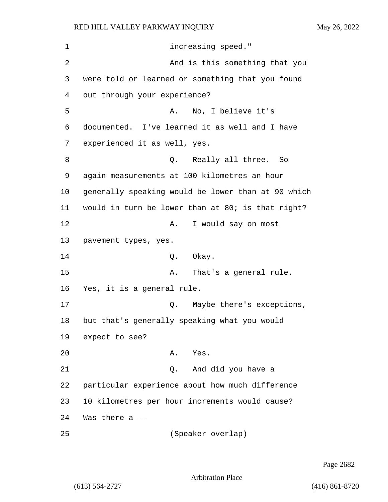1 increasing speed." 2 And is this something that you 3 were told or learned or something that you found 4 out through your experience? 5 A. No, I believe it's 6 documented. I've learned it as well and I have 7 experienced it as well, yes. 8 a Q. Really all three. So 9 again measurements at 100 kilometres an hour 10 generally speaking would be lower than at 90 which 11 would in turn be lower than at 80; is that right? 12 A. I would say on most 13 pavement types, yes. 14 0. Okay. 15 A. That's a general rule. 16 Yes, it is a general rule. 17 and Q. Maybe there's exceptions, 18 but that's generally speaking what you would 19 expect to see? 20 A. Yes. 21 Q. And did you have a 22 particular experience about how much difference 23 10 kilometres per hour increments would cause? 24 Was there a -- 25 (Speaker overlap)

Page 2682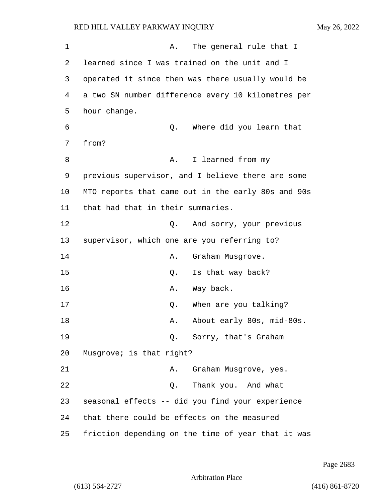1 A. The general rule that I 2 learned since I was trained on the unit and I 3 operated it since then was there usually would be 4 a two SN number difference every 10 kilometres per 5 hour change. 6 Q. Where did you learn that 7 from? 8 A. I learned from my 9 previous supervisor, and I believe there are some 10 MTO reports that came out in the early 80s and 90s 11 that had that in their summaries. 12 O. And sorry, your previous 13 supervisor, which one are you referring to? 14 A. Graham Musgrove. 15 O. Is that way back? 16 A. Way back. 17 C. When are you talking? 18 A. About early 80s, mid-80s. 19 Q. Sorry, that's Graham 20 Musgrove; is that right? 21 A. Graham Musgrove, yes. 22 Q. Thank you. And what 23 seasonal effects -- did you find your experience 24 that there could be effects on the measured 25 friction depending on the time of year that it was

Page 2683

Arbitration Place

(613) 564-2727 (416) 861-8720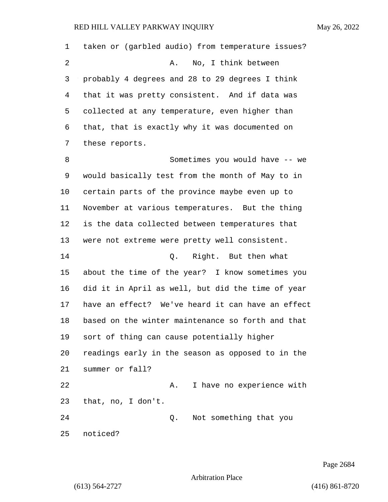| 1  | taken or (garbled audio) from temperature issues? |
|----|---------------------------------------------------|
| 2  | No, I think between<br>Α.                         |
| 3  | probably 4 degrees and 28 to 29 degrees I think   |
| 4  | that it was pretty consistent. And if data was    |
| 5  | collected at any temperature, even higher than    |
| 6  | that, that is exactly why it was documented on    |
| 7  | these reports.                                    |
| 8  | Sometimes you would have -- we                    |
| 9  | would basically test from the month of May to in  |
| 10 | certain parts of the province maybe even up to    |
| 11 | November at various temperatures. But the thing   |
| 12 | is the data collected between temperatures that   |
| 13 | were not extreme were pretty well consistent.     |
| 14 | Right. But then what<br>Q.                        |
| 15 | about the time of the year? I know sometimes you  |
| 16 | did it in April as well, but did the time of year |
| 17 | have an effect? We've heard it can have an effect |
| 18 | based on the winter maintenance so forth and that |
| 19 | sort of thing can cause potentially higher        |
| 20 | readings early in the season as opposed to in the |
| 21 | summer or fall?                                   |
| 22 | I have no experience with<br>Α.                   |
| 23 | that, no, I don't.                                |
| 24 | Not something that you<br>Q.                      |
| 25 | noticed?                                          |

Page 2684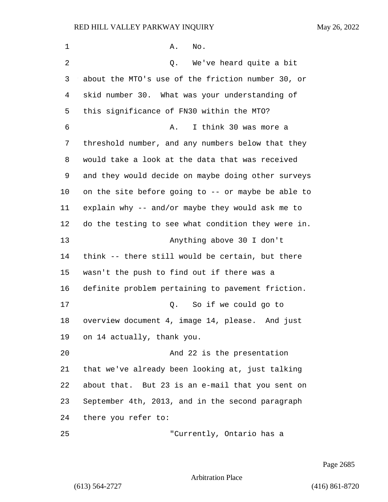1 A. No. 2 Q. We've heard quite a bit about the MTO's use of the friction number 30, or skid number 30. What was your understanding of this significance of FN30 within the MTO? 6 A. I think 30 was more a threshold number, and any numbers below that they would take a look at the data that was received and they would decide on maybe doing other surveys on the site before going to -- or maybe be able to explain why -- and/or maybe they would ask me to do the testing to see what condition they were in. 13 Anything above 30 I don't think -- there still would be certain, but there wasn't the push to find out if there was a definite problem pertaining to pavement friction. 17 Q. So if we could go to overview document 4, image 14, please. And just on 14 actually, thank you. 20 And 22 is the presentation that we've already been looking at, just talking about that. But 23 is an e-mail that you sent on September 4th, 2013, and in the second paragraph there you refer to: 25 "Currently, Ontario has a

Page 2685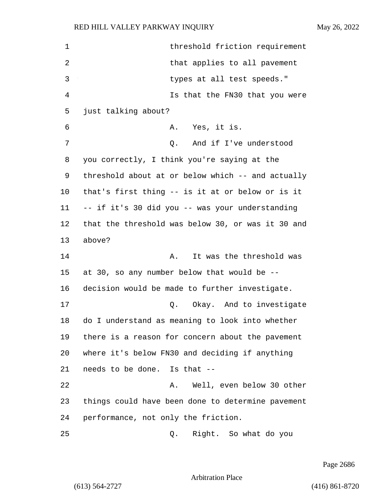| 1  | threshold friction requirement                    |
|----|---------------------------------------------------|
| 2  | that applies to all pavement                      |
| 3  | types at all test speeds."                        |
| 4  | Is that the FN30 that you were                    |
| 5  | just talking about?                               |
| 6  | A. Yes, it is.                                    |
| 7  | And if I've understood<br>Q.                      |
| 8  | you correctly, I think you're saying at the       |
| 9  | threshold about at or below which -- and actually |
| 10 | that's first thing -- is it at or below or is it  |
| 11 | -- if it's 30 did you -- was your understanding   |
| 12 | that the threshold was below 30, or was it 30 and |
| 13 | above?                                            |
| 14 | It was the threshold was<br>Α.                    |
| 15 | at 30, so any number below that would be --       |
| 16 | decision would be made to further investigate.    |
| 17 | Q. Okay. And to investigate                       |
| 18 | do I understand as meaning to look into whether   |
| 19 | there is a reason for concern about the pavement  |
| 20 | where it's below FN30 and deciding if anything    |
| 21 | needs to be done. Is that --                      |
| 22 | Well, even below 30 other<br>Α.                   |
| 23 | things could have been done to determine pavement |
| 24 | performance, not only the friction.               |
| 25 | Right. So what do you<br>Q.                       |

Page 2686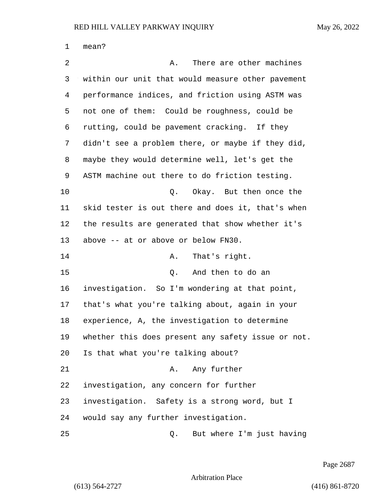| 1  | mean?                                              |
|----|----------------------------------------------------|
| 2  | There are other machines<br>Α.                     |
| 3  | within our unit that would measure other pavement  |
| 4  | performance indices, and friction using ASTM was   |
| 5  | not one of them: Could be roughness, could be      |
| 6  | rutting, could be pavement cracking. If they       |
| 7  | didn't see a problem there, or maybe if they did,  |
| 8  | maybe they would determine well, let's get the     |
| 9  | ASTM machine out there to do friction testing.     |
| 10 | Okay. But then once the<br>Q.                      |
| 11 | skid tester is out there and does it, that's when  |
| 12 | the results are generated that show whether it's   |
| 13 | above -- at or above or below FN30.                |
| 14 | That's right.<br>Α.                                |
| 15 | And then to do an<br>Q.                            |
| 16 | investigation. So I'm wondering at that point,     |
| 17 | that's what you're talking about, again in your    |
| 18 | experience, A, the investigation to determine      |
| 19 | whether this does present any safety issue or not. |
| 20 | Is that what you're talking about?                 |
| 21 | Any further<br>Α.                                  |
| 22 | investigation, any concern for further             |
| 23 | investigation. Safety is a strong word, but I      |
| 24 | would say any further investigation.               |
| 25 | But where I'm just having<br>Q.                    |

Page 2687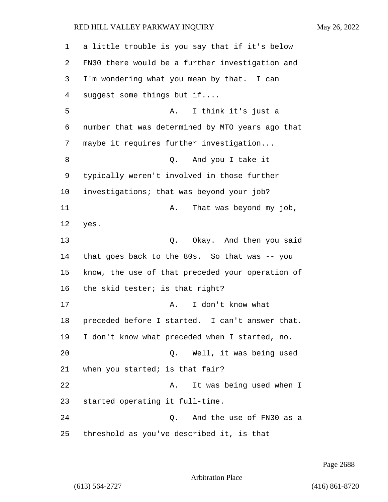| 1  | a little trouble is you say that if it's below   |
|----|--------------------------------------------------|
| 2  | FN30 there would be a further investigation and  |
| 3  | I'm wondering what you mean by that. I can       |
| 4  | suggest some things but if                       |
| 5  | I think it's just a<br>Α.                        |
| 6  | number that was determined by MTO years ago that |
| 7  | maybe it requires further investigation          |
| 8  | And you I take it<br>0.                          |
| 9  | typically weren't involved in those further      |
| 10 | investigations; that was beyond your job?        |
| 11 | That was beyond my job,<br>Α.                    |
| 12 | yes.                                             |
| 13 | Q. Okay. And then you said                       |
| 14 | that goes back to the 80s. So that was -- you    |
| 15 | know, the use of that preceded your operation of |
| 16 | the skid tester; is that right?                  |
| 17 | I don't know what<br>Α.                          |
| 18 | preceded before I started. I can't answer that.  |
| 19 | I don't know what preceded when I started, no.   |
| 20 | Well, it was being used<br>Q.                    |
| 21 | when you started; is that fair?                  |
| 22 | It was being used when I<br>Α.                   |
| 23 | started operating it full-time.                  |
| 24 | And the use of FN30 as a<br>Q.                   |
| 25 | threshold as you've described it, is that        |

Page 2688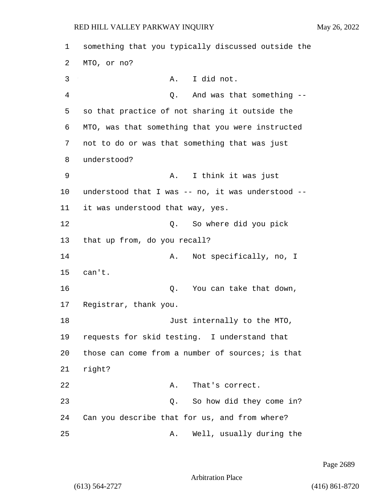1 something that you typically discussed outside the 2 MTO, or no? 3 A. I did not. 4 Q. And was that something -- 5 so that practice of not sharing it outside the 6 MTO, was that something that you were instructed 7 not to do or was that something that was just 8 understood? 9 A. I think it was just 10 understood that I was -- no, it was understood -- 11 it was understood that way, yes. 12 O. So where did you pick 13 that up from, do you recall? 14 A. Not specifically, no, I 15 can't. 16 and 16 Q. You can take that down, 17 Registrar, thank you. 18 Just internally to the MTO, 19 requests for skid testing. I understand that 20 those can come from a number of sources; is that 21 right? 22 A. That's correct. 23 Q. So how did they come in? 24 Can you describe that for us, and from where? 25 A. Well, usually during the

Page 2689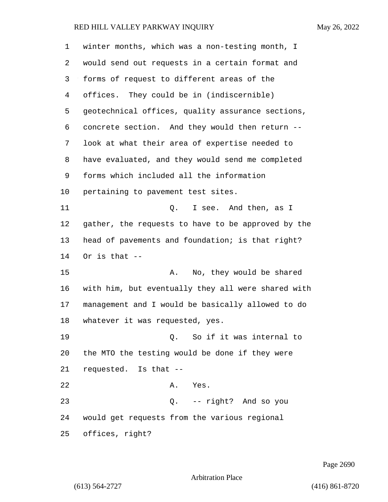| 1  | winter months, which was a non-testing month, I    |
|----|----------------------------------------------------|
| 2  | would send out requests in a certain format and    |
| 3  | forms of request to different areas of the         |
| 4  | offices. They could be in (indiscernible)          |
| 5  | geotechnical offices, quality assurance sections,  |
| 6  | concrete section. And they would then return --    |
| 7  | look at what their area of expertise needed to     |
| 8  | have evaluated, and they would send me completed   |
| 9  | forms which included all the information           |
| 10 | pertaining to pavement test sites.                 |
| 11 | I see. And then, as I<br>Q.                        |
| 12 | gather, the requests to have to be approved by the |
| 13 | head of pavements and foundation; is that right?   |
| 14 | Or is that $--$                                    |
| 15 | No, they would be shared<br>Α.                     |
| 16 | with him, but eventually they all were shared with |
| 17 | management and I would be basically allowed to do  |
| 18 | whatever it was requested, yes.                    |
| 19 | So if it was internal to<br>$\circ$ .              |
| 20 | the MTO the testing would be done if they were     |
| 21 | requested. Is that --                              |
| 22 | A. Yes.                                            |
| 23 | Q. -- right? And so you                            |
| 24 | would get requests from the various regional       |
| 25 | offices, right?                                    |

Page 2690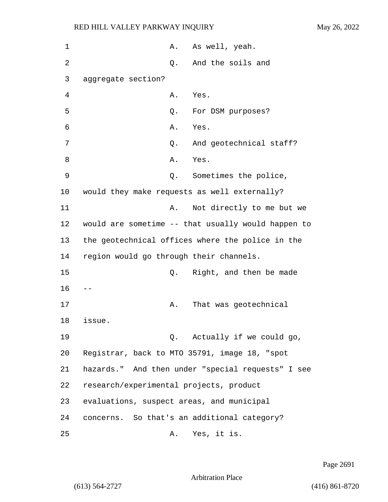| 1  |                                           | Α. | As well, yeah.                                     |
|----|-------------------------------------------|----|----------------------------------------------------|
| 2  |                                           | Q. | And the soils and                                  |
| 3  | aggregate section?                        |    |                                                    |
| 4  |                                           | Α. | Yes.                                               |
| 5  |                                           | Q. | For DSM purposes?                                  |
| 6  |                                           | Α. | Yes.                                               |
| 7  |                                           | Q. | And geotechnical staff?                            |
| 8  |                                           | Α. | Yes.                                               |
| 9  |                                           | Q. | Sometimes the police,                              |
| 10 |                                           |    | would they make requests as well externally?       |
| 11 |                                           | Α. | Not directly to me but we                          |
| 12 |                                           |    | would are sometime -- that usually would happen to |
| 13 |                                           |    | the geotechnical offices where the police in the   |
| 14 | region would go through their channels.   |    |                                                    |
| 15 |                                           | Q. | Right, and then be made                            |
| 16 |                                           |    |                                                    |
| 17 |                                           | Α. | That was geotechnical                              |
| 18 | issue.                                    |    |                                                    |
| 19 |                                           |    | Q. Actually if we could go,                        |
| 20 |                                           |    | Registrar, back to MTO 35791, image 18, "spot      |
| 21 |                                           |    | hazards." And then under "special requests" I see  |
| 22 | research/experimental projects, product   |    |                                                    |
| 23 | evaluations, suspect areas, and municipal |    |                                                    |
| 24 |                                           |    | concerns. So that's an additional category?        |
| 25 |                                           | Α. | Yes, it is.                                        |

Page 2691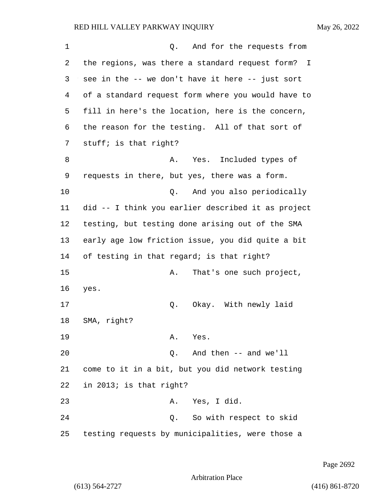1 Q. And for the requests from 2 the regions, was there a standard request form? I 3 see in the -- we don't have it here -- just sort 4 of a standard request form where you would have to 5 fill in here's the location, here is the concern, 6 the reason for the testing. All of that sort of 7 stuff; is that right? 8 A. Yes. Included types of 9 requests in there, but yes, there was a form. 10 Q. And you also periodically 11 did -- I think you earlier described it as project 12 testing, but testing done arising out of the SMA 13 early age low friction issue, you did quite a bit 14 of testing in that regard; is that right? 15 A. That's one such project, 16 yes. 17 Q. Okay. With newly laid 18 SMA, right? 19 A. Yes. 20 Q. And then -- and we'll 21 come to it in a bit, but you did network testing 22 in 2013; is that right? 23 A. Yes, I did. 24 Q. So with respect to skid 25 testing requests by municipalities, were those a

Page 2692

Arbitration Place

(613) 564-2727 (416) 861-8720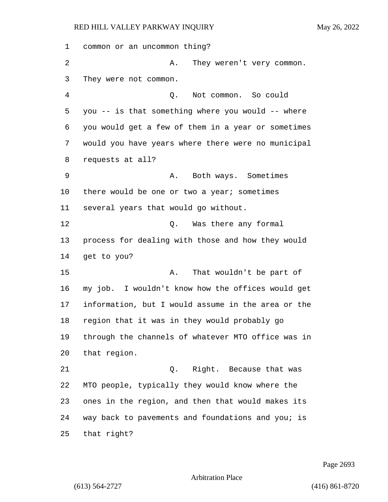| 1  | common or an uncommon thing?                       |
|----|----------------------------------------------------|
| 2  | Α.<br>They weren't very common.                    |
| 3  | They were not common.                              |
| 4  | Not common. So could<br>Q.                         |
| 5  | you -- is that something where you would -- where  |
| 6  | you would get a few of them in a year or sometimes |
| 7  | would you have years where there were no municipal |
| 8  | requests at all?                                   |
| 9  | Both ways. Sometimes<br>Α.                         |
| 10 | there would be one or two a year; sometimes        |
| 11 | several years that would go without.               |
| 12 | Was there any formal<br>О.                         |
| 13 | process for dealing with those and how they would  |
| 14 | get to you?                                        |
| 15 | That wouldn't be part of<br>Α.                     |
| 16 | my job. I wouldn't know how the offices would get  |
| 17 | information, but I would assume in the area or the |
| 18 | region that it was in they would probably go       |
| 19 | through the channels of whatever MTO office was in |
| 20 | that region.                                       |
| 21 | Right. Because that was<br>Q.                      |
| 22 | MTO people, typically they would know where the    |
| 23 | ones in the region, and then that would makes its  |
| 24 | way back to pavements and foundations and you; is  |
| 25 | that right?                                        |

Page 2693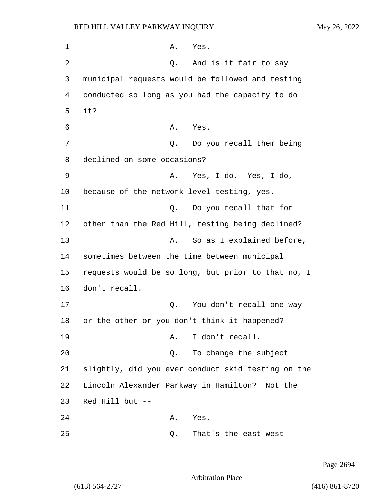1 A. Yes. 2 Q. And is it fair to say 3 municipal requests would be followed and testing 4 conducted so long as you had the capacity to do 5 it? 6 A. Yes. 7 Q. Do you recall them being 8 declined on some occasions? 9 A. Yes, I do. Yes, I do, 10 because of the network level testing, yes. 11 Q. Do you recall that for 12 other than the Red Hill, testing being declined? 13 A. So as I explained before, 14 sometimes between the time between municipal 15 requests would be so long, but prior to that no, I 16 don't recall. 17 Q. You don't recall one way 18 or the other or you don't think it happened? 19 A. I don't recall. 20 Q. To change the subject 21 slightly, did you ever conduct skid testing on the 22 Lincoln Alexander Parkway in Hamilton? Not the 23 Red Hill but -- 24 A. Yes. 25 Q. That's the east-west

Page 2694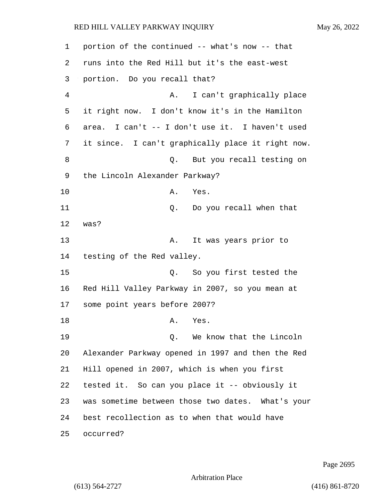| 1  | portion of the continued -- what's now -- that    |
|----|---------------------------------------------------|
| 2  | runs into the Red Hill but it's the east-west     |
| 3  | portion. Do you recall that?                      |
| 4  | I can't graphically place<br>Α.                   |
| 5  | it right now. I don't know it's in the Hamilton   |
| 6  | area. I can't -- I don't use it. I haven't used   |
| 7  | it since. I can't graphically place it right now. |
| 8  | But you recall testing on<br>Q.                   |
| 9  | the Lincoln Alexander Parkway?                    |
| 10 | Yes.<br>Α.                                        |
| 11 | Do you recall when that<br>Q.                     |
| 12 | was?                                              |
| 13 | It was years prior to<br>Α.                       |
| 14 | testing of the Red valley.                        |
| 15 | So you first tested the<br>Q.                     |
| 16 | Red Hill Valley Parkway in 2007, so you mean at   |
| 17 | some point years before 2007?                     |
| 18 | Α.<br>Yes.                                        |
| 19 | Q. We know that the Lincoln                       |
| 20 | Alexander Parkway opened in 1997 and then the Red |
| 21 | Hill opened in 2007, which is when you first      |
| 22 | tested it. So can you place it -- obviously it    |
| 23 | was sometime between those two dates. What's your |
| 24 | best recollection as to when that would have      |
| 25 | occurred?                                         |

Page 2695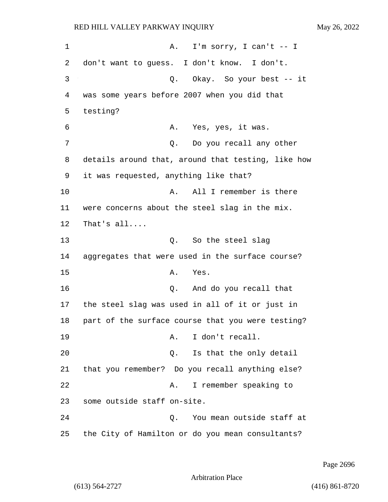1 A. I'm sorry, I can't -- I 2 don't want to guess. I don't know. I don't. 3 Q. Okay. So your best -- it 4 was some years before 2007 when you did that 5 testing? 6 A. Yes, yes, it was. 7 0. Do you recall any other 8 details around that, around that testing, like how 9 it was requested, anything like that? 10 A. All I remember is there 11 were concerns about the steel slag in the mix. 12 That's all.... 13 Q. So the steel slag 14 aggregates that were used in the surface course? 15 A. Yes. 16 Q. And do you recall that 17 the steel slag was used in all of it or just in 18 part of the surface course that you were testing? 19 A. I don't recall. 20 Q. Is that the only detail 21 that you remember? Do you recall anything else? 22 A. I remember speaking to 23 some outside staff on-site. 24 Q. You mean outside staff at 25 the City of Hamilton or do you mean consultants?

Page 2696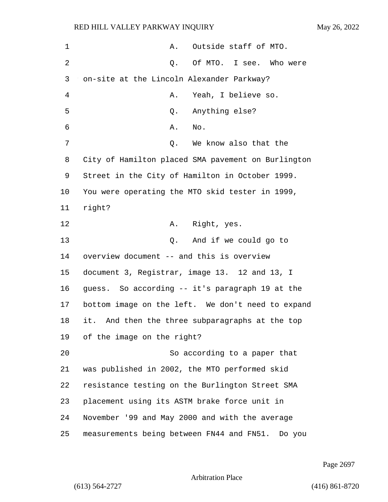| $\mathbf 1$ | Outside staff of MTO.<br>Α.                        |
|-------------|----------------------------------------------------|
| 2           | Q. Of MTO. I see. Who were                         |
| 3           | on-site at the Lincoln Alexander Parkway?          |
| 4           | Yeah, I believe so.<br>Α.                          |
| 5           | Anything else?<br>Q.                               |
| 6           | No.<br>Α.                                          |
| 7           | We know also that the<br>Q.                        |
| 8           | City of Hamilton placed SMA pavement on Burlington |
| 9           | Street in the City of Hamilton in October 1999.    |
| 10          | You were operating the MTO skid tester in 1999,    |
| 11          | right?                                             |
| 12          | Right, yes.<br>Α.                                  |
| 13          | And if we could go to<br>$\circ$ .                 |
| 14          | overview document -- and this is overview          |
| 15          | document 3, Registrar, image 13. 12 and 13, I      |
| 16          | guess. So according -- it's paragraph 19 at the    |
| 17          | bottom image on the left. We don't need to expand  |
| 18          | it. And then the three subparagraphs at the top    |
| 19          | of the image on the right?                         |
| 20          | So according to a paper that                       |
| 21          | was published in 2002, the MTO performed skid      |
| 22          | resistance testing on the Burlington Street SMA    |
| 23          | placement using its ASTM brake force unit in       |
| 24          | November '99 and May 2000 and with the average     |
| 25          | measurements being between FN44 and FN51. Do you   |

Page 2697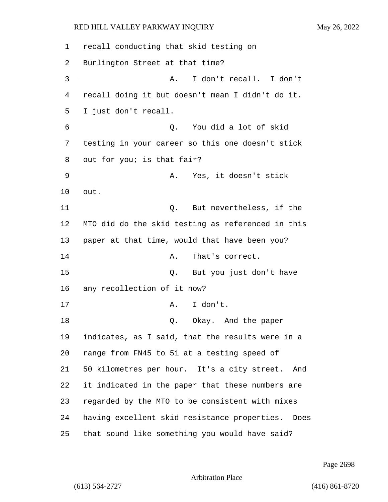recall conducting that skid testing on Burlington Street at that time? 3 A. I don't recall. I don't recall doing it but doesn't mean I didn't do it. I just don't recall. 6 Q. You did a lot of skid testing in your career so this one doesn't stick out for you; is that fair? 9 A. Yes, it doesn't stick 10 out. 11 Q. But nevertheless, if the MTO did do the skid testing as referenced in this paper at that time, would that have been you? 14 A. That's correct. 15 Q. But you just don't have any recollection of it now? 17 A. I don't. 18 Q. Okay. And the paper indicates, as I said, that the results were in a range from FN45 to 51 at a testing speed of 50 kilometres per hour. It's a city street. And it indicated in the paper that these numbers are regarded by the MTO to be consistent with mixes having excellent skid resistance properties. Does that sound like something you would have said?

Page 2698

Arbitration Place

(613) 564-2727 (416) 861-8720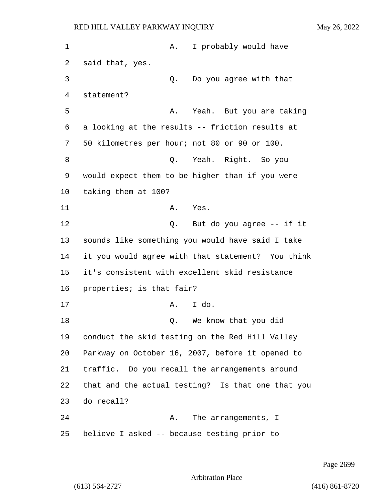| 1  | I probably would have<br>Α.                       |
|----|---------------------------------------------------|
| 2  | said that, yes.                                   |
| 3  | Do you agree with that<br>Q.                      |
| 4  | statement?                                        |
| 5  | Yeah. But you are taking<br>Α.                    |
| 6  | a looking at the results -- friction results at   |
| 7  | 50 kilometres per hour; not 80 or 90 or 100.      |
| 8  | Q. Yeah. Right. So you                            |
| 9  | would expect them to be higher than if you were   |
| 10 | taking them at 100?                               |
| 11 | Yes.<br>Α.                                        |
| 12 | But do you agree -- if it<br>Q.                   |
| 13 | sounds like something you would have said I take  |
| 14 | it you would agree with that statement? You think |
| 15 | it's consistent with excellent skid resistance    |
| 16 | properties; is that fair?                         |
| 17 | I do.<br>Α.                                       |
| 18 | We know that you did<br>$\circ$ .                 |
| 19 | conduct the skid testing on the Red Hill Valley   |
| 20 | Parkway on October 16, 2007, before it opened to  |
| 21 | traffic. Do you recall the arrangements around    |
| 22 | that and the actual testing? Is that one that you |
| 23 | do recall?                                        |
| 24 | The arrangements, I<br>Α.                         |
| 25 | believe I asked -- because testing prior to       |

Page 2699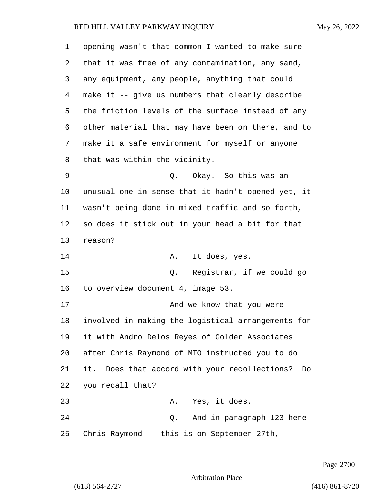| 1  | opening wasn't that common I wanted to make sure    |
|----|-----------------------------------------------------|
| 2  | that it was free of any contamination, any sand,    |
| 3  | any equipment, any people, anything that could      |
| 4  | make it -- give us numbers that clearly describe    |
| 5  | the friction levels of the surface instead of any   |
| 6  | other material that may have been on there, and to  |
| 7  | make it a safe environment for myself or anyone     |
| 8  | that was within the vicinity.                       |
| 9  | Okay. So this was an<br>Q.                          |
| 10 | unusual one in sense that it hadn't opened yet, it  |
| 11 | wasn't being done in mixed traffic and so forth,    |
| 12 | so does it stick out in your head a bit for that    |
| 13 | reason?                                             |
| 14 | It does, yes.<br>Α.                                 |
| 15 | Q.<br>Registrar, if we could go                     |
| 16 | to overview document 4, image 53.                   |
| 17 | And we know that you were                           |
| 18 | involved in making the logistical arrangements for  |
| 19 | it with Andro Delos Reyes of Golder Associates      |
| 20 | after Chris Raymond of MTO instructed you to do     |
| 21 | it. Does that accord with your recollections?<br>Do |
| 22 | you recall that?                                    |
| 23 | A. Yes, it does.                                    |
| 24 | And in paragraph 123 here<br>Q.                     |
| 25 | Chris Raymond -- this is on September 27th,         |

Page 2700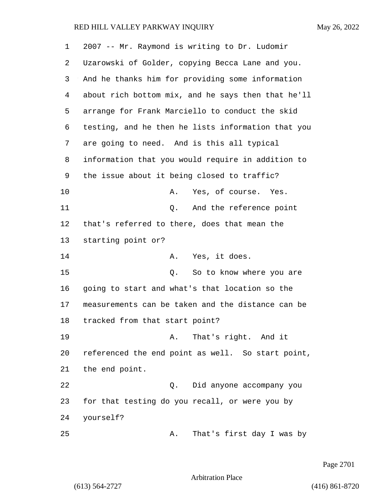| 1  | 2007 -- Mr. Raymond is writing to Dr. Ludomir      |
|----|----------------------------------------------------|
| 2  | Uzarowski of Golder, copying Becca Lane and you.   |
| 3  | And he thanks him for providing some information   |
| 4  | about rich bottom mix, and he says then that he'll |
| 5  | arrange for Frank Marciello to conduct the skid    |
| 6  | testing, and he then he lists information that you |
| 7  | are going to need. And is this all typical         |
| 8  | information that you would require in addition to  |
| 9  | the issue about it being closed to traffic?        |
| 10 | Yes, of course. Yes.<br>Α.                         |
| 11 | And the reference point<br>Q.                      |
| 12 | that's referred to there, does that mean the       |
| 13 | starting point or?                                 |
| 14 | Yes, it does.<br>А.                                |
| 15 | So to know where you are<br>Q.                     |
| 16 | going to start and what's that location so the     |
| 17 | measurements can be taken and the distance can be  |
| 18 | tracked from that start point?                     |
| 19 | That's right. And it<br>Α.                         |
| 20 | referenced the end point as well. So start point,  |
| 21 | the end point.                                     |
| 22 | Did anyone accompany you<br>Q.                     |
| 23 | for that testing do you recall, or were you by     |
| 24 | yourself?                                          |
| 25 | That's first day I was by<br>Α.                    |

Page 2701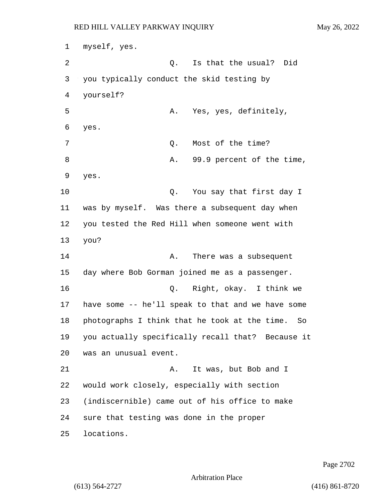myself, yes. 2 C. Is that the usual? Did you typically conduct the skid testing by yourself? 5 A. Yes, yes, definitely, yes. 7 Q. Most of the time? 8 A. 99.9 percent of the time, yes. **Q.** You say that first day I was by myself. Was there a subsequent day when you tested the Red Hill when someone went with you? 14 A. There was a subsequent day where Bob Gorman joined me as a passenger. 16 Q. Right, okay. I think we have some -- he'll speak to that and we have some photographs I think that he took at the time. So you actually specifically recall that? Because it was an unusual event. 21 A. It was, but Bob and I would work closely, especially with section (indiscernible) came out of his office to make sure that testing was done in the proper locations.

Page 2702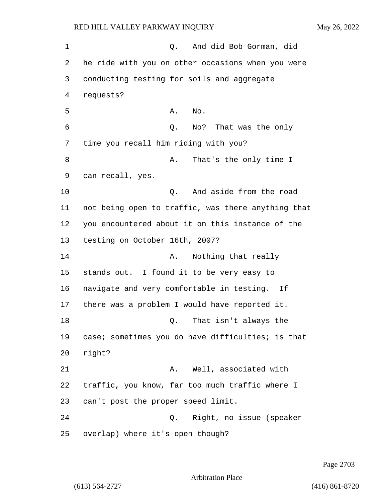1 Q. And did Bob Gorman, did 2 he ride with you on other occasions when you were 3 conducting testing for soils and aggregate 4 requests?  $5$  A. No. 6 Q. No? That was the only 7 time you recall him riding with you? 8 A. That's the only time I 9 can recall, yes. 10 Q. And aside from the road 11 not being open to traffic, was there anything that 12 you encountered about it on this instance of the 13 testing on October 16th, 2007? 14 A. Nothing that really 15 stands out. I found it to be very easy to 16 navigate and very comfortable in testing. If 17 there was a problem I would have reported it. 18 Q. That isn't always the 19 case; sometimes you do have difficulties; is that 20 right? 21 A. Well, associated with 22 traffic, you know, far too much traffic where I 23 can't post the proper speed limit. 24 Q. Right, no issue (speaker 25 overlap) where it's open though?

Page 2703

Arbitration Place

(613) 564-2727 (416) 861-8720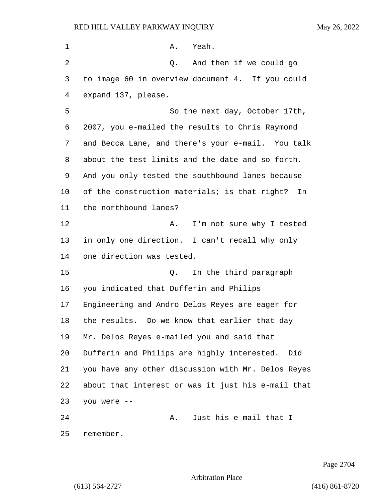| 1  | A. Yeah.                                            |
|----|-----------------------------------------------------|
| 2  | Q. And then if we could go                          |
| 3  | to image 60 in overview document 4. If you could    |
| 4  | expand 137, please.                                 |
| 5  | So the next day, October 17th,                      |
| 6  | 2007, you e-mailed the results to Chris Raymond     |
| 7  | and Becca Lane, and there's your e-mail. You talk   |
| 8  | about the test limits and the date and so forth.    |
| 9  | And you only tested the southbound lanes because    |
| 10 | of the construction materials; is that right?<br>In |
| 11 | the northbound lanes?                               |
| 12 | I'm not sure why I tested<br>Α.                     |
| 13 | in only one direction. I can't recall why only      |
| 14 | one direction was tested.                           |
| 15 | In the third paragraph<br>Q.                        |
| 16 | you indicated that Dufferin and Philips             |
| 17 | Engineering and Andro Delos Reyes are eager for     |
| 18 | the results. Do we know that earlier that day       |
| 19 | Mr. Delos Reyes e-mailed you and said that          |
| 20 | Dufferin and Philips are highly interested. Did     |
| 21 | you have any other discussion with Mr. Delos Reyes  |
| 22 | about that interest or was it just his e-mail that  |
| 23 | you were --                                         |
| 24 | Just his e-mail that I<br>Α.                        |
| 25 | remember.                                           |

Page 2704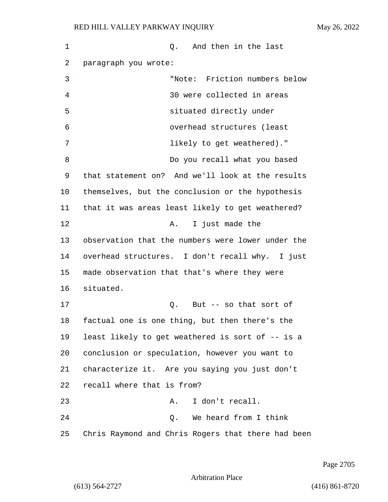1 and then in the last 2 paragraph you wrote: 3 "Note: Friction numbers below 4 30 were collected in areas 5 situated directly under 6 overhead structures (least 7 likely to get weathered)." 8 Do you recall what you based 9 that statement on? And we'll look at the results 10 themselves, but the conclusion or the hypothesis 11 that it was areas least likely to get weathered? 12 A. I just made the 13 observation that the numbers were lower under the 14 overhead structures. I don't recall why. I just 15 made observation that that's where they were 16 situated. 17 Q. But -- so that sort of 18 factual one is one thing, but then there's the 19 least likely to get weathered is sort of -- is a 20 conclusion or speculation, however you want to 21 characterize it. Are you saying you just don't 22 recall where that is from? 23 A. I don't recall. 24 Q. We heard from I think 25 Chris Raymond and Chris Rogers that there had been

Page 2705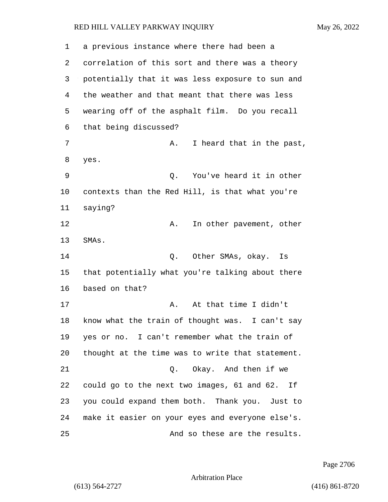| 1  | a previous instance where there had been a       |
|----|--------------------------------------------------|
| 2  | correlation of this sort and there was a theory  |
| 3  | potentially that it was less exposure to sun and |
| 4  | the weather and that meant that there was less   |
| 5  | wearing off of the asphalt film. Do you recall   |
| 6  | that being discussed?                            |
| 7  | I heard that in the past,<br>Α.                  |
| 8  | yes.                                             |
| 9  | You've heard it in other<br>Q.                   |
| 10 | contexts than the Red Hill, is that what you're  |
| 11 | saying?                                          |
| 12 | In other pavement, other<br>Α.                   |
| 13 | SMAs.                                            |
| 14 | Other SMAs, okay.<br>Q.<br>Is                    |
| 15 | that potentially what you're talking about there |
| 16 | based on that?                                   |
| 17 | At that time I didn't<br>Α.                      |
| 18 | know what the train of thought was. I can't say  |
| 19 | yes or no. I can't remember what the train of    |
| 20 | thought at the time was to write that statement. |
| 21 | Okay. And then if we<br>$Q$ .                    |
| 22 | could go to the next two images, 61 and 62. If   |
| 23 | you could expand them both. Thank you. Just to   |
| 24 | make it easier on your eyes and everyone else's. |
| 25 | And so these are the results.                    |

Page 2706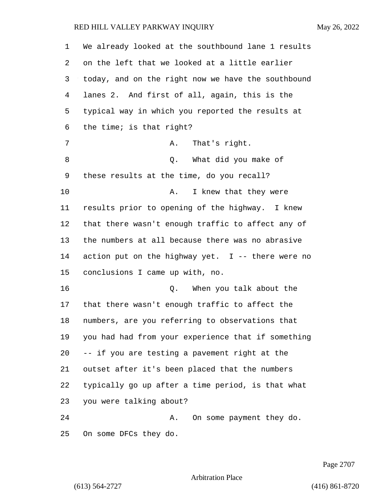| 1  | We already looked at the southbound lane 1 results  |
|----|-----------------------------------------------------|
| 2  | on the left that we looked at a little earlier      |
| 3  | today, and on the right now we have the southbound  |
| 4  | lanes 2. And first of all, again, this is the       |
| 5  | typical way in which you reported the results at    |
| 6  | the time; is that right?                            |
| 7  | That's right.<br>Α.                                 |
| 8  | What did you make of<br>Q.                          |
| 9  | these results at the time, do you recall?           |
| 10 | I knew that they were<br>Α.                         |
| 11 | results prior to opening of the highway. I knew     |
| 12 | that there wasn't enough traffic to affect any of   |
| 13 | the numbers at all because there was no abrasive    |
| 14 | action put on the highway yet. $I$ -- there were no |
| 15 | conclusions I came up with, no.                     |
| 16 | When you talk about the<br>Q.                       |
| 17 | that there wasn't enough traffic to affect the      |
| 18 | numbers, are you referring to observations that     |
| 19 | you had had from your experience that if something  |
| 20 | -- if you are testing a pavement right at the       |
| 21 | outset after it's been placed that the numbers      |
| 22 | typically go up after a time period, is that what   |
| 23 | you were talking about?                             |
| 24 | On some payment they do.<br>Α.                      |
| 25 | On some DFCs they do.                               |

Page 2707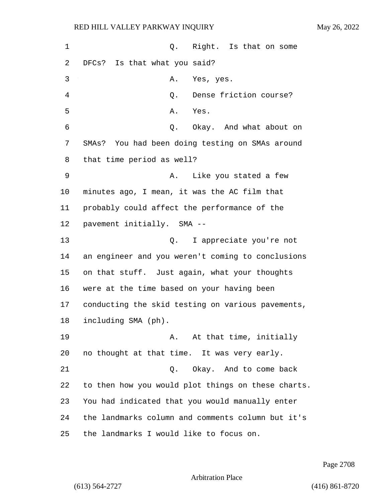1 0. Right. Is that on some DFCs? Is that what you said? 3 A. Yes, yes. 4 Q. Dense friction course? 5 A. Yes. 6 Q. Okay. And what about on SMAs? You had been doing testing on SMAs around that time period as well? 9 A. Like you stated a few minutes ago, I mean, it was the AC film that probably could affect the performance of the pavement initially. SMA -- 13 Q. I appreciate you're not an engineer and you weren't coming to conclusions on that stuff. Just again, what your thoughts were at the time based on your having been conducting the skid testing on various pavements, including SMA (ph). **A.** At that time, initially no thought at that time. It was very early. 21 Q. Okay. And to come back to then how you would plot things on these charts. You had indicated that you would manually enter the landmarks column and comments column but it's the landmarks I would like to focus on.

Page 2708

Arbitration Place

(613) 564-2727 (416) 861-8720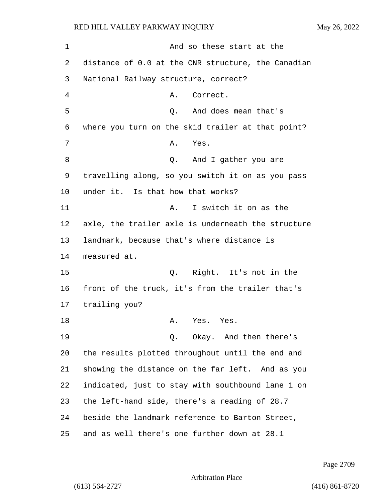| 1  | And so these start at the                          |
|----|----------------------------------------------------|
| 2  | distance of 0.0 at the CNR structure, the Canadian |
| 3  | National Railway structure, correct?               |
| 4  | Correct.<br>Α.                                     |
| 5  | And does mean that's<br>Q.                         |
| 6  | where you turn on the skid trailer at that point?  |
| 7  | Yes.<br>Α.                                         |
| 8  | Q.<br>And I gather you are                         |
| 9  | travelling along, so you switch it on as you pass  |
| 10 | under it. Is that how that works?                  |
| 11 | I switch it on as the<br>Α.                        |
| 12 | axle, the trailer axle is underneath the structure |
| 13 | landmark, because that's where distance is         |
| 14 | measured at.                                       |
| 15 | Q. Right. It's not in the                          |
| 16 | front of the truck, it's from the trailer that's   |
| 17 | trailing you?                                      |
| 18 | Α.<br>Yes. Yes.                                    |
| 19 | Q. Okay. And then there's                          |
| 20 | the results plotted throughout until the end and   |
| 21 | showing the distance on the far left. And as you   |
| 22 | indicated, just to stay with southbound lane 1 on  |
| 23 | the left-hand side, there's a reading of 28.7      |
| 24 | beside the landmark reference to Barton Street,    |
| 25 | and as well there's one further down at 28.1       |

Page 2709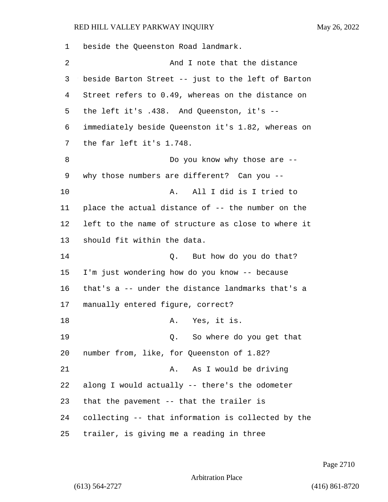| 1              | beside the Queenston Road landmark.                |
|----------------|----------------------------------------------------|
| $\overline{2}$ | And I note that the distance                       |
| 3              | beside Barton Street -- just to the left of Barton |
| 4              | Street refers to 0.49, whereas on the distance on  |
| 5              | the left it's .438. And Queenston, it's --         |
| 6              | immediately beside Queenston it's 1.82, whereas on |
| 7              | the far left it's 1.748.                           |
| 8              | Do you know why those are --                       |
| 9              | why those numbers are different? Can you --        |
| 10             | All I did is I tried to<br>Α.                      |
| 11             | place the actual distance of -- the number on the  |
| 12             | left to the name of structure as close to where it |
| 13             | should fit within the data.                        |
| 14             | Q.<br>But how do you do that?                      |
| 15             | I'm just wondering how do you know -- because      |
| 16             | that's a -- under the distance landmarks that's a  |
| 17             | manually entered figure, correct?                  |
| 18             | Yes, it is.<br>А.                                  |
| 19             | Q. So where do you get that                        |
| 20             | number from, like, for Queenston of 1.82?          |
| 21             | As I would be driving<br>Α.                        |
| 22             | along I would actually -- there's the odometer     |
| 23             | that the pavement -- that the trailer is           |
| 24             | collecting -- that information is collected by the |
| 25             | trailer, is giving me a reading in three           |

Page 2710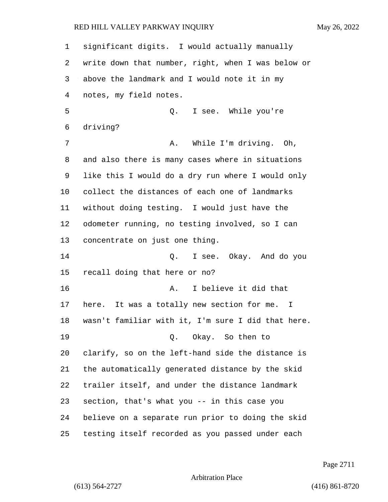significant digits. I would actually manually write down that number, right, when I was below or above the landmark and I would note it in my notes, my field notes. 5 Q. I see. While you're driving? 7 A. While I'm driving. Oh, and also there is many cases where in situations like this I would do a dry run where I would only collect the distances of each one of landmarks without doing testing. I would just have the odometer running, no testing involved, so I can concentrate on just one thing. 14 Q. I see. Okay. And do you recall doing that here or no? **A.** I believe it did that here. It was a totally new section for me. I wasn't familiar with it, I'm sure I did that here. 19 Q. Okay. So then to clarify, so on the left-hand side the distance is the automatically generated distance by the skid trailer itself, and under the distance landmark section, that's what you -- in this case you believe on a separate run prior to doing the skid testing itself recorded as you passed under each

Page 2711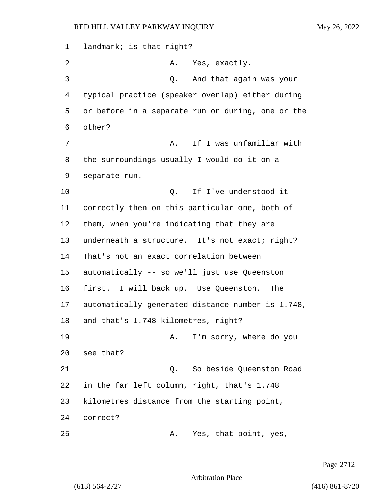1 landmark; is that right? 2 A. Yes, exactly. 3 Q. And that again was your 4 typical practice (speaker overlap) either during 5 or before in a separate run or during, one or the 6 other? 7 A. If I was unfamiliar with 8 the surroundings usually I would do it on a 9 separate run. 10 Q. If I've understood it 11 correctly then on this particular one, both of 12 them, when you're indicating that they are 13 underneath a structure. It's not exact; right? 14 That's not an exact correlation between 15 automatically -- so we'll just use Queenston 16 first. I will back up. Use Queenston. The 17 automatically generated distance number is 1.748, 18 and that's 1.748 kilometres, right? 19 A. I'm sorry, where do you 20 see that? 21 Q. So beside Queenston Road 22 in the far left column, right, that's 1.748 23 kilometres distance from the starting point, 24 correct? 25 A. Yes, that point, yes,

Page 2712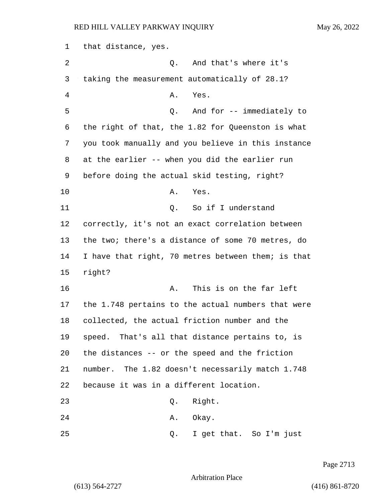that distance, yes. 2 Q. And that's where it's taking the measurement automatically of 28.1? 4 A. Yes. 5 Q. And for -- immediately to the right of that, the 1.82 for Queenston is what you took manually and you believe in this instance at the earlier -- when you did the earlier run before doing the actual skid testing, right? 10 A. Yes. 11 C. So if I understand correctly, it's not an exact correlation between the two; there's a distance of some 70 metres, do I have that right, 70 metres between them; is that 15 right? **A.** This is on the far left the 1.748 pertains to the actual numbers that were collected, the actual friction number and the speed. That's all that distance pertains to, is the distances -- or the speed and the friction number. The 1.82 doesn't necessarily match 1.748 because it was in a different location. 23 Q. Right. 24 A. Okay. 25 Q. I get that. So I'm just

Page 2713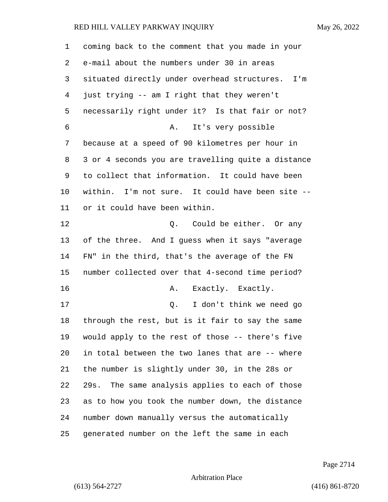| 1  | coming back to the comment that you made in your    |
|----|-----------------------------------------------------|
| 2  | e-mail about the numbers under 30 in areas          |
| 3  | situated directly under overhead structures.<br>I'm |
| 4  | just trying -- am I right that they weren't         |
| 5  | necessarily right under it? Is that fair or not?    |
| 6  | It's very possible<br>Α.                            |
| 7  | because at a speed of 90 kilometres per hour in     |
| 8  | 3 or 4 seconds you are travelling quite a distance  |
| 9  | to collect that information. It could have been     |
| 10 | within. I'm not sure. It could have been site --    |
| 11 | or it could have been within.                       |
| 12 | Could be either. Or any<br>Q.                       |
| 13 | of the three. And I guess when it says "average     |
| 14 | FN" in the third, that's the average of the FN      |
| 15 | number collected over that 4-second time period?    |
| 16 | Exactly. Exactly.<br>Α.                             |
| 17 | I don't think we need go<br>Q.                      |
| 18 | through the rest, but is it fair to say the same    |
| 19 | would apply to the rest of those -- there's five    |
| 20 | in total between the two lanes that are -- where    |
| 21 | the number is slightly under 30, in the 28s or      |
| 22 | 29s. The same analysis applies to each of those     |
| 23 | as to how you took the number down, the distance    |
| 24 | number down manually versus the automatically       |
| 25 | generated number on the left the same in each       |

Page 2714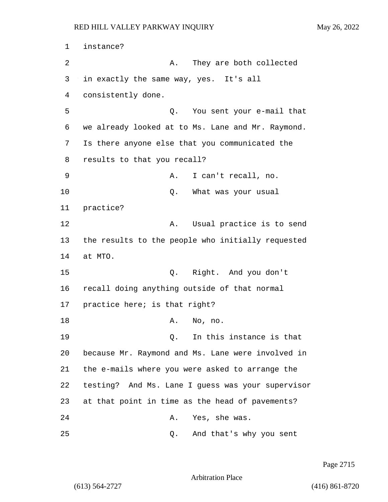1 instance? 2 A. They are both collected 3 in exactly the same way, yes. It's all 4 consistently done. 5 Q. You sent your e-mail that 6 we already looked at to Ms. Lane and Mr. Raymond. 7 Is there anyone else that you communicated the 8 results to that you recall? 9 A. I can't recall, no. 10 Q. What was your usual 11 practice? 12 A. Usual practice is to send 13 the results to the people who initially requested 14 at MTO. 15 Q. Right. And you don't 16 recall doing anything outside of that normal 17 practice here; is that right? 18 A. No, no. 19 Q. In this instance is that 20 because Mr. Raymond and Ms. Lane were involved in 21 the e-mails where you were asked to arrange the 22 testing? And Ms. Lane I guess was your supervisor 23 at that point in time as the head of pavements? 24 A. Yes, she was. 25 Q. And that's why you sent

Page 2715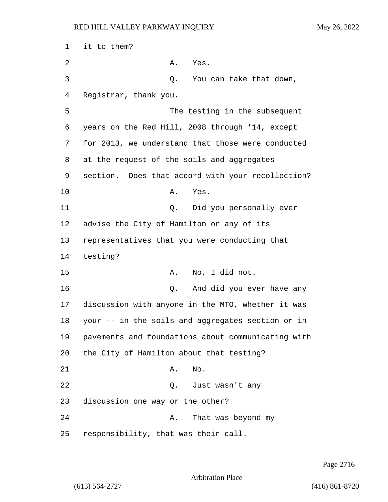1 it to them? 2 A. Yes. 3 Q. You can take that down, 4 Registrar, thank you. 5 The testing in the subsequent 6 years on the Red Hill, 2008 through '14, except 7 for 2013, we understand that those were conducted 8 at the request of the soils and aggregates 9 section. Does that accord with your recollection? 10 A. Yes. 11 Q. Did you personally ever 12 advise the City of Hamilton or any of its 13 representatives that you were conducting that 14 testing? 15 A. No, I did not. 16 Q. And did you ever have any 17 discussion with anyone in the MTO, whether it was 18 your -- in the soils and aggregates section or in 19 pavements and foundations about communicating with 20 the City of Hamilton about that testing? 21 A. No. 22 Q. Just wasn't any 23 discussion one way or the other? 24 A. That was beyond my 25 responsibility, that was their call.

Page 2716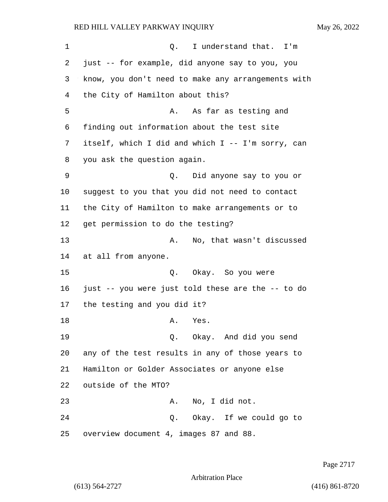1 and 1 Q. I understand that. I'm just -- for example, did anyone say to you, you know, you don't need to make any arrangements with the City of Hamilton about this? 5 A. As far as testing and finding out information about the test site itself, which I did and which I -- I'm sorry, can you ask the question again. 9 Q. Did anyone say to you or suggest to you that you did not need to contact the City of Hamilton to make arrangements or to get permission to do the testing? 13 A. No, that wasn't discussed at all from anyone. 15 Q. Okay. So you were just -- you were just told these are the -- to do the testing and you did it? 18 A. Yes. 19 Q. Okay. And did you send any of the test results in any of those years to Hamilton or Golder Associates or anyone else outside of the MTO? 23 A. No, I did not. 24 Q. Okay. If we could go to overview document 4, images 87 and 88.

Page 2717

Arbitration Place

(613) 564-2727 (416) 861-8720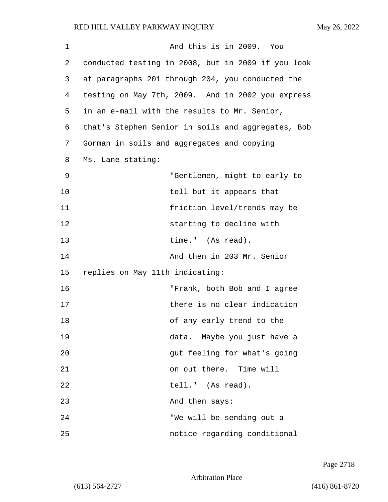1 And this is in 2009. You 2 conducted testing in 2008, but in 2009 if you look 3 at paragraphs 201 through 204, you conducted the 4 testing on May 7th, 2009. And in 2002 you express 5 in an e-mail with the results to Mr. Senior, 6 that's Stephen Senior in soils and aggregates, Bob 7 Gorman in soils and aggregates and copying 8 Ms. Lane stating: 9 "Gentlemen, might to early to 10 tell but it appears that 11 friction level/trends may be 12 starting to decline with 13 time." (As read). 14 And then in 203 Mr. Senior 15 replies on May 11th indicating: 16 "Frank, both Bob and I agree 17 there is no clear indication 18 of any early trend to the 19 data. Maybe you just have a 20 **gut feeling for what's going** 21 on out there. Time will 22 tell." (As read). 23 And then says: 24 "We will be sending out a 25 notice regarding conditional

Page 2718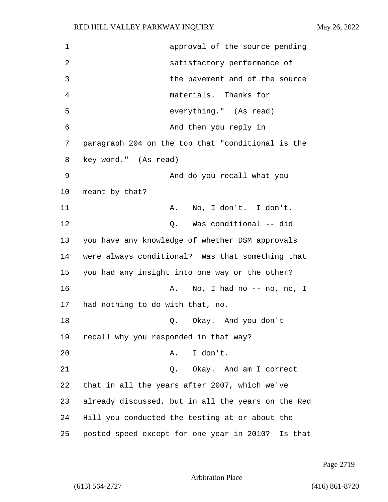| $\mathbf 1$ | approval of the source pending                     |
|-------------|----------------------------------------------------|
| 2           | satisfactory performance of                        |
| 3           | the pavement and of the source                     |
| 4           | materials. Thanks for                              |
| 5           | everything." (As read)                             |
| 6           | And then you reply in                              |
| 7           | paragraph 204 on the top that "conditional is the  |
| 8           | key word." (As read)                               |
| 9           | And do you recall what you                         |
| 10          | meant by that?                                     |
| 11          | No, I don't. I don't.<br>Α.                        |
| 12          | Was conditional -- did<br>Q.                       |
| 13          | you have any knowledge of whether DSM approvals    |
| 14          | were always conditional? Was that something that   |
| 15          | you had any insight into one way or the other?     |
| 16          | No, I had no -- no, no, I<br>Α.                    |
| 17          | had nothing to do with that, no.                   |
| 18          | Q. Okay. And you don't                             |
| 19          | recall why you responded in that way?              |
| 20          | I don't.<br>Α.                                     |
| 21          | Okay. And am I correct<br>Q.                       |
| 22          | that in all the years after 2007, which we've      |
| 23          | already discussed, but in all the years on the Red |
| 24          | Hill you conducted the testing at or about the     |
| 25          | posted speed except for one year in 2010? Is that  |

Page 2719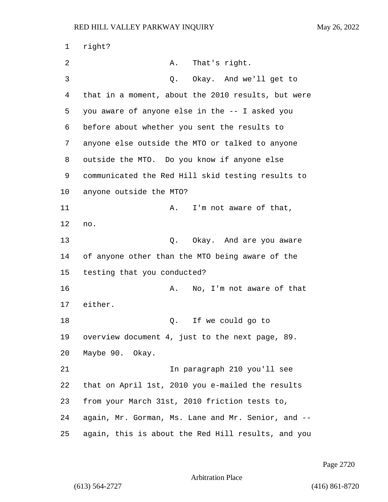| $\mathbf 1$    | right?                                             |
|----------------|----------------------------------------------------|
| 2              | Α.<br>That's right.                                |
| 3              | Okay. And we'll get to<br>Q.                       |
| $\overline{4}$ | that in a moment, about the 2010 results, but were |
| 5              | you aware of anyone else in the -- I asked you     |
| 6              | before about whether you sent the results to       |
| 7              | anyone else outside the MTO or talked to anyone    |
| 8              | outside the MTO. Do you know if anyone else        |
| 9              | communicated the Red Hill skid testing results to  |
| 10             | anyone outside the MTO?                            |
| 11             | I'm not aware of that,<br>Α.                       |
| 12             | no.                                                |
| 13             | Okay. And are you aware<br>Q.                      |
| 14             | of anyone other than the MTO being aware of the    |
| 15             | testing that you conducted?                        |
| 16             | No, I'm not aware of that<br>Α.                    |
| 17             | either.                                            |
| 18             | If we could go to<br>Q.                            |
| 19             | overview document 4, just to the next page, 89.    |
| 20             | Maybe 90. Okay.                                    |
| 21             | In paragraph 210 you'll see                        |
| 22             | that on April 1st, 2010 you e-mailed the results   |
| 23             | from your March 31st, 2010 friction tests to,      |
| 24             | again, Mr. Gorman, Ms. Lane and Mr. Senior, and -- |
| 25             | again, this is about the Red Hill results, and you |

Page 2720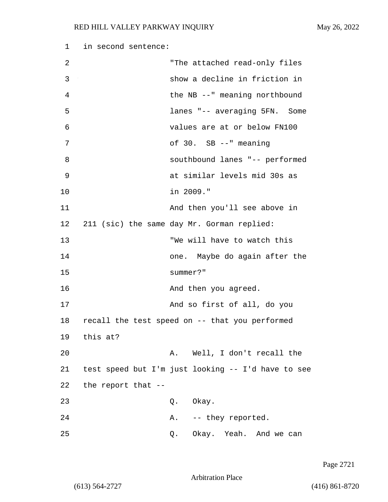| 1  | in second sentence:                        |          |                                                    |  |
|----|--------------------------------------------|----------|----------------------------------------------------|--|
| 2  |                                            |          | "The attached read-only files                      |  |
| 3  |                                            |          | show a decline in friction in                      |  |
| 4  |                                            |          | the NB --" meaning northbound                      |  |
| 5  |                                            |          | lanes "-- averaging 5FN. Some                      |  |
| 6  |                                            |          | values are at or below FN100                       |  |
| 7  |                                            |          | of 30. SB --" meaning                              |  |
| 8  |                                            |          | southbound lanes "-- performed                     |  |
| 9  |                                            |          | at similar levels mid 30s as                       |  |
| 10 |                                            |          | in 2009."                                          |  |
| 11 |                                            |          | And then you'll see above in                       |  |
| 12 | 211 (sic) the same day Mr. Gorman replied: |          |                                                    |  |
| 13 |                                            |          | "We will have to watch this                        |  |
| 14 |                                            |          | one. Maybe do again after the                      |  |
| 15 |                                            | summer?" |                                                    |  |
| 16 |                                            |          | And then you agreed.                               |  |
| 17 |                                            |          | And so first of all, do you                        |  |
| 18 |                                            |          | recall the test speed on -- that you performed     |  |
| 19 | this at?                                   |          |                                                    |  |
| 20 |                                            |          | A. Well, I don't recall the                        |  |
| 21 |                                            |          | test speed but I'm just looking -- I'd have to see |  |
| 22 | the report that --                         |          |                                                    |  |
| 23 |                                            |          | Q. Okay.                                           |  |
| 24 |                                            |          | A. -- they reported.                               |  |
| 25 |                                            | Q.       | Okay. Yeah. And we can                             |  |

Page 2721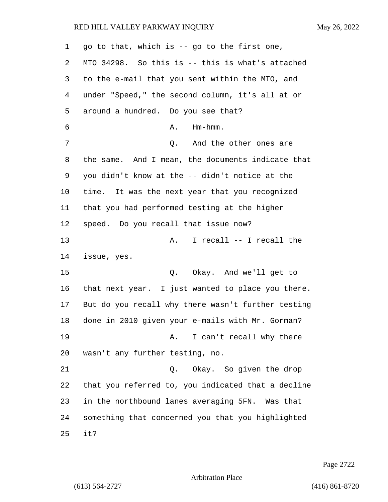| 1  | go to that, which is -- go to the first one,       |
|----|----------------------------------------------------|
| 2  | MTO 34298. So this is -- this is what's attached   |
| 3  | to the e-mail that you sent within the MTO, and    |
| 4  | under "Speed," the second column, it's all at or   |
| 5  | around a hundred. Do you see that?                 |
| 6  | $Hm - hmm$ .<br>Α.                                 |
| 7  | Q. And the other ones are                          |
| 8  | the same. And I mean, the documents indicate that  |
| 9  | you didn't know at the -- didn't notice at the     |
| 10 | time. It was the next year that you recognized     |
| 11 | that you had performed testing at the higher       |
| 12 | speed. Do you recall that issue now?               |
| 13 | I recall -- I recall the<br>Α.                     |
| 14 | issue, yes.                                        |
| 15 | Okay. And we'll get to<br>Q.                       |
| 16 | that next year. I just wanted to place you there.  |
| 17 | But do you recall why there wasn't further testing |
| 18 | done in 2010 given your e-mails with Mr. Gorman?   |
| 19 | I can't recall why there<br>Α.                     |
| 20 | wasn't any further testing, no.                    |
| 21 | Okay. So given the drop<br>Q.                      |
| 22 | that you referred to, you indicated that a decline |
| 23 | in the northbound lanes averaging 5FN. Was that    |
| 24 | something that concerned you that you highlighted  |
| 25 | it?                                                |

Page 2722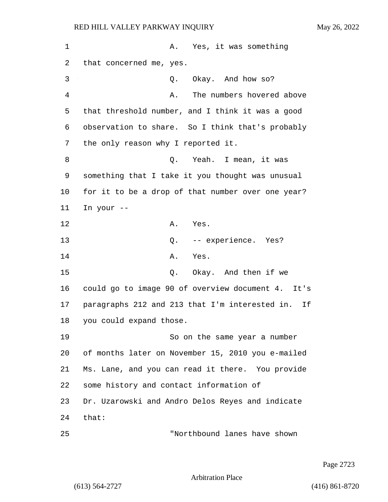| $\mathbf 1$ | A. Yes, it was something                             |
|-------------|------------------------------------------------------|
| 2           | that concerned me, yes.                              |
| 3           | Okay. And how so?<br>Q.                              |
| 4           | The numbers hovered above<br>Α.                      |
| 5           | that threshold number, and I think it was a good     |
| 6           | observation to share. So I think that's probably     |
| 7           | the only reason why I reported it.                   |
| 8           | Q. Yeah. I mean, it was                              |
| 9           | something that I take it you thought was unusual     |
| 10          | for it to be a drop of that number over one year?    |
| 11          | In your --                                           |
| 12          | A. Yes.                                              |
| 13          | Q. -- experience. Yes?                               |
| 14          | Α.<br>Yes.                                           |
| 15          | Okay. And then if we<br>Q.                           |
| 16          | could go to image 90 of overview document 4. It's    |
| 17          | paragraphs 212 and 213 that I'm interested in.<br>Ιf |
| 18          | you could expand those.                              |
| 19          | So on the same year a number                         |
| 20          | of months later on November 15, 2010 you e-mailed    |
| 21          | Ms. Lane, and you can read it there. You provide     |
| 22          | some history and contact information of              |
| 23          | Dr. Uzarowski and Andro Delos Reyes and indicate     |
| 24          | that:                                                |
| 25          | "Northbound lanes have shown                         |

Page 2723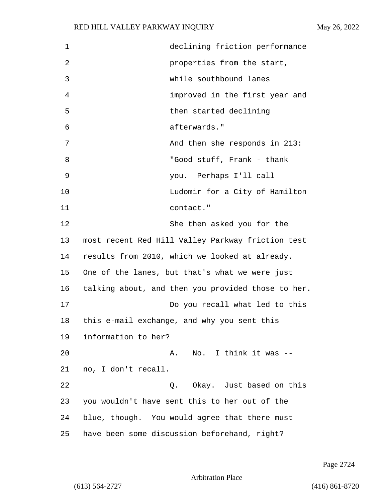| 1  | declining friction performance                     |
|----|----------------------------------------------------|
| 2  | properties from the start,                         |
| 3  | while southbound lanes                             |
| 4  | improved in the first year and                     |
| 5  | then started declining                             |
| 6  | afterwards."                                       |
| 7  | And then she responds in 213:                      |
| 8  | "Good stuff, Frank - thank                         |
| 9  | you. Perhaps I'll call                             |
| 10 | Ludomir for a City of Hamilton                     |
| 11 | contact."                                          |
| 12 | She then asked you for the                         |
| 13 | most recent Red Hill Valley Parkway friction test  |
| 14 | results from 2010, which we looked at already.     |
| 15 | One of the lanes, but that's what we were just     |
| 16 | talking about, and then you provided those to her. |
| 17 | Do you recall what led to this                     |
| 18 | this e-mail exchange, and why you sent this        |
| 19 | information to her?                                |
| 20 | No. I think it was --<br>A.                        |
| 21 | no, I don't recall.                                |
| 22 | 0. Okay. Just based on this                        |
| 23 | you wouldn't have sent this to her out of the      |
| 24 | blue, though. You would agree that there must      |
| 25 | have been some discussion beforehand, right?       |

Page 2724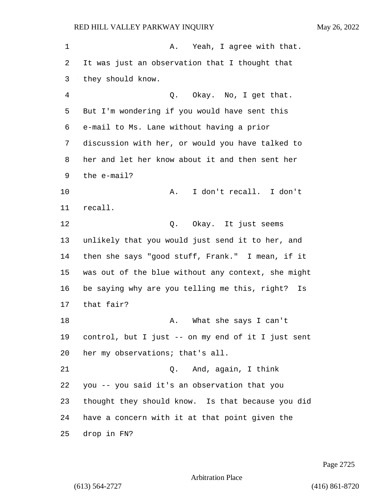1 A. Yeah, I agree with that. It was just an observation that I thought that they should know. 4 Q. Okay. No, I get that. But I'm wondering if you would have sent this e-mail to Ms. Lane without having a prior discussion with her, or would you have talked to her and let her know about it and then sent her the e-mail? 10 A. I don't recall. I don't recall. 12 O. Okay. It just seems unlikely that you would just send it to her, and then she says "good stuff, Frank." I mean, if it was out of the blue without any context, she might be saying why are you telling me this, right? Is that fair? **A.** What she says I can't control, but I just -- on my end of it I just sent her my observations; that's all. 21 Q. And, again, I think you -- you said it's an observation that you thought they should know. Is that because you did have a concern with it at that point given the drop in FN?

Page 2725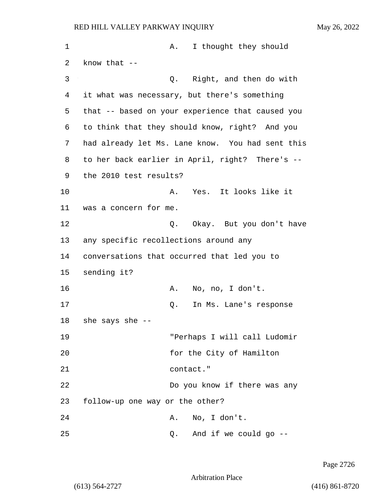1 A. I thought they should 2 know that -- 3 Q. Right, and then do with 4 it what was necessary, but there's something 5 that -- based on your experience that caused you 6 to think that they should know, right? And you 7 had already let Ms. Lane know. You had sent this 8 to her back earlier in April, right? There's -- 9 the 2010 test results? 10 A. Yes. It looks like it 11 was a concern for me. 12 **Q.** Okay. But you don't have 13 any specific recollections around any 14 conversations that occurred that led you to 15 sending it? 16 A. No, no, I don't. 17 Q. In Ms. Lane's response 18 she says she -- 19 "Perhaps I will call Ludomir 20 for the City of Hamilton 21 contact." 22 Do you know if there was any 23 follow-up one way or the other? 24 A. No, I don't. 25 Q. And if we could go --

Page 2726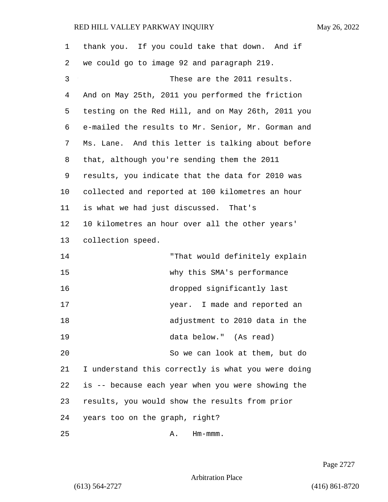| 1  | thank you. If you could take that down. And if     |
|----|----------------------------------------------------|
| 2  | we could go to image 92 and paragraph 219.         |
| 3  | These are the 2011 results.                        |
| 4  | And on May 25th, 2011 you performed the friction   |
| 5  | testing on the Red Hill, and on May 26th, 2011 you |
| 6  | e-mailed the results to Mr. Senior, Mr. Gorman and |
| 7  | Ms. Lane. And this letter is talking about before  |
| 8  | that, although you're sending them the 2011        |
| 9  | results, you indicate that the data for 2010 was   |
| 10 | collected and reported at 100 kilometres an hour   |
| 11 | is what we had just discussed. That's              |
| 12 | 10 kilometres an hour over all the other years'    |
| 13 | collection speed.                                  |
| 14 | "That would definitely explain                     |
| 15 | why this SMA's performance                         |
| 16 | dropped significantly last                         |
| 17 | year. I made and reported an                       |
| 18 | adjustment to 2010 data in the                     |
| 19 | data below." (As read)                             |
| 20 | So we can look at them, but do                     |
| 21 | I understand this correctly is what you were doing |
| 22 | is -- because each year when you were showing the  |
| 23 | results, you would show the results from prior     |
| 24 | years too on the graph, right?                     |
| 25 | $Hm-mmm$ .<br>Α.                                   |

Page 2727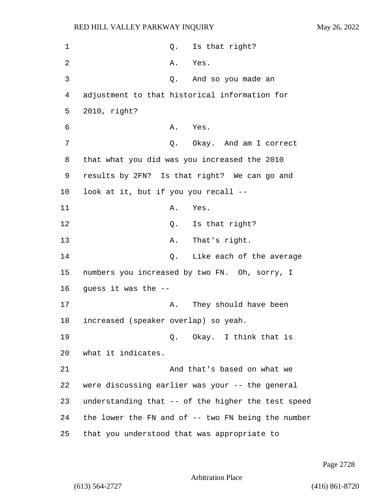| 1  | Is that right?<br>Q.                               |
|----|----------------------------------------------------|
| 2  | Α.<br>Yes.                                         |
| 3  | Q.<br>And so you made an                           |
| 4  | adjustment to that historical information for      |
| 5  | 2010, right?                                       |
| 6  | Α.<br>Yes.                                         |
| 7  | Okay. And am I correct<br>Q.                       |
| 8  | that what you did was you increased the 2010       |
| 9  | results by 2FN? Is that right? We can go and       |
| 10 | look at it, but if you you recall --               |
| 11 | Α.<br>Yes.                                         |
| 12 | Is that right?<br>Q.                               |
| 13 | That's right.<br>Α.                                |
| 14 | Q.<br>Like each of the average                     |
| 15 | numbers you increased by two FN. Oh, sorry, I      |
| 16 | guess it was the --                                |
| 17 | They should have been<br>Α.                        |
| 18 | increased (speaker overlap) so yeah.               |
| 19 | Q. Okay. I think that is                           |
| 20 | what it indicates.                                 |
| 21 | And that's based on what we                        |
| 22 | were discussing earlier was your -- the general    |
| 23 | understanding that -- of the higher the test speed |
| 24 | the lower the FN and of -- two FN being the number |
| 25 | that you understood that was appropriate to        |

Page 2728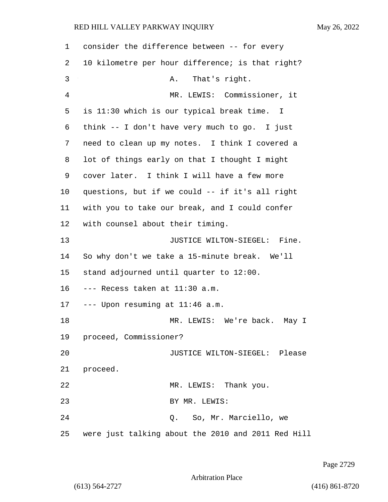| 1  | consider the difference between -- for every       |
|----|----------------------------------------------------|
| 2  | 10 kilometre per hour difference; is that right?   |
| 3  | That's right.<br>Α.                                |
| 4  | MR. LEWIS: Commissioner, it                        |
| 5  | is 11:30 which is our typical break time. I        |
| 6  | think -- I don't have very much to go. I just      |
| 7  | need to clean up my notes. I think I covered a     |
| 8  | lot of things early on that I thought I might      |
| 9  | cover later. I think I will have a few more        |
| 10 | questions, but if we could -- if it's all right    |
| 11 | with you to take our break, and I could confer     |
| 12 | with counsel about their timing.                   |
| 13 | JUSTICE WILTON-SIEGEL: Fine.                       |
| 14 | So why don't we take a 15-minute break. We'll      |
| 15 | stand adjourned until quarter to 12:00.            |
| 16 | --- Recess taken at 11:30 a.m.                     |
| 17 | --- Upon resuming at 11:46 a.m.                    |
| 18 | MR. LEWIS: We're back. May I                       |
| 19 | proceed, Commissioner?                             |
| 20 | JUSTICE WILTON-SIEGEL: Please                      |
| 21 | proceed.                                           |
| 22 | MR. LEWIS: Thank you.                              |
| 23 | BY MR. LEWIS:                                      |
| 24 | Q. So, Mr. Marciello, we                           |
| 25 | were just talking about the 2010 and 2011 Red Hill |

Page 2729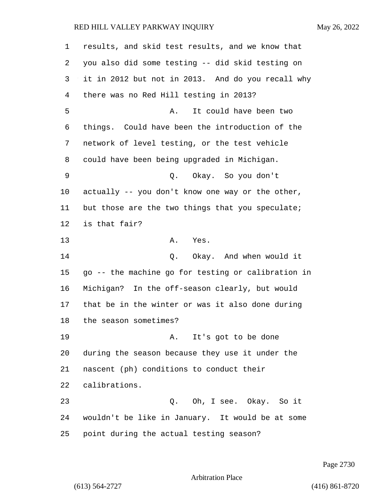| 1  | results, and skid test results, and we know that   |
|----|----------------------------------------------------|
| 2  | you also did some testing -- did skid testing on   |
| 3  | it in 2012 but not in 2013. And do you recall why  |
| 4  | there was no Red Hill testing in 2013?             |
| 5  | It could have been two<br>Α.                       |
| 6  | things. Could have been the introduction of the    |
| 7  | network of level testing, or the test vehicle      |
| 8  | could have been being upgraded in Michigan.        |
| 9  | Okay. So you don't<br>Q.                           |
| 10 | actually -- you don't know one way or the other,   |
| 11 | but those are the two things that you speculate;   |
| 12 | is that fair?                                      |
| 13 | Α.<br>Yes.                                         |
| 14 | Okay. And when would it<br>Q.                      |
| 15 | go -- the machine go for testing or calibration in |
| 16 | Michigan? In the off-season clearly, but would     |
| 17 | that be in the winter or was it also done during   |
| 18 | the season sometimes?                              |
| 19 | A. It's got to be done                             |
| 20 | during the season because they use it under the    |
| 21 | nascent (ph) conditions to conduct their           |
| 22 | calibrations.                                      |
| 23 | Q. Oh, I see. Okay. So it                          |
| 24 | wouldn't be like in January. It would be at some   |
| 25 | point during the actual testing season?            |

Page 2730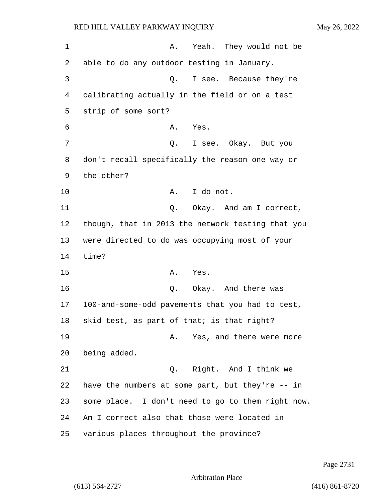1 A. Yeah. They would not be 2 able to do any outdoor testing in January. 3 Q. I see. Because they're 4 calibrating actually in the field or on a test 5 strip of some sort? 6 A. Yes. 7 Q. I see. Okay. But you 8 don't recall specifically the reason one way or 9 the other? 10 A. I do not. 11 C. Okay. And am I correct, 12 though, that in 2013 the network testing that you 13 were directed to do was occupying most of your 14 time? 15 A. Yes. 16 Q. Okay. And there was 17 100-and-some-odd pavements that you had to test, 18 skid test, as part of that; is that right? 19 A. Yes, and there were more 20 being added. 21 Q. Right. And I think we 22 have the numbers at some part, but they're -- in 23 some place. I don't need to go to them right now. 24 Am I correct also that those were located in 25 various places throughout the province?

Page 2731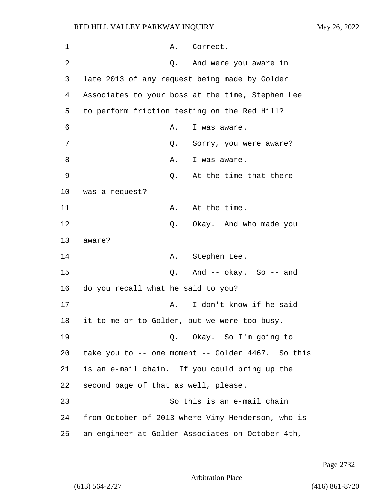| 1  |                                      | Α. | Correct.                                          |
|----|--------------------------------------|----|---------------------------------------------------|
| 2  |                                      | Q. | And were you aware in                             |
| 3  |                                      |    | late 2013 of any request being made by Golder     |
| 4  |                                      |    | Associates to your boss at the time, Stephen Lee  |
| 5  |                                      |    | to perform friction testing on the Red Hill?      |
| 6  |                                      | Α. | I was aware.                                      |
| 7  |                                      | Q. | Sorry, you were aware?                            |
| 8  |                                      | Α. | I was aware.                                      |
| 9  |                                      | Q. | At the time that there                            |
| 10 | was a request?                       |    |                                                   |
| 11 |                                      | Α. | At the time.                                      |
| 12 |                                      | Q. | Okay. And who made you                            |
| 13 | aware?                               |    |                                                   |
| 14 |                                      | Α. | Stephen Lee.                                      |
| 15 |                                      | Q. | And $--$ okay. So $--$ and                        |
| 16 | do you recall what he said to you?   |    |                                                   |
| 17 |                                      | Α. | I don't know if he said                           |
| 18 |                                      |    | it to me or to Golder, but we were too busy.      |
| 19 |                                      |    | Q. Okay. So I'm going to                          |
| 20 |                                      |    | take you to -- one moment -- Golder 4467. So this |
| 21 |                                      |    | is an e-mail chain. If you could bring up the     |
| 22 | second page of that as well, please. |    |                                                   |
| 23 |                                      |    | So this is an e-mail chain                        |
| 24 |                                      |    | from October of 2013 where Vimy Henderson, who is |
| 25 |                                      |    | an engineer at Golder Associates on October 4th,  |

Page 2732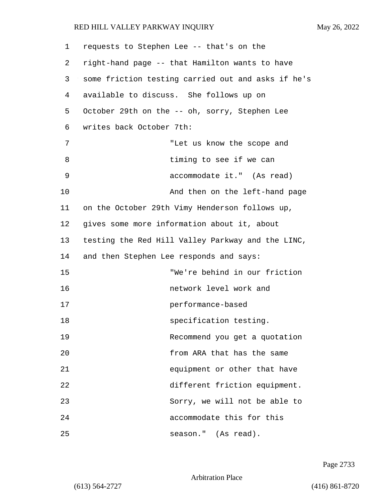| 1  | requests to Stephen Lee -- that's on the           |
|----|----------------------------------------------------|
| 2  | right-hand page -- that Hamilton wants to have     |
| 3  | some friction testing carried out and asks if he's |
| 4  | available to discuss. She follows up on            |
| 5  | October 29th on the -- oh, sorry, Stephen Lee      |
| 6  | writes back October 7th:                           |
| 7  | "Let us know the scope and                         |
| 8  | timing to see if we can                            |
| 9  | accommodate it." (As read)                         |
| 10 | And then on the left-hand page                     |
| 11 | on the October 29th Vimy Henderson follows up,     |
| 12 | gives some more information about it, about        |
| 13 | testing the Red Hill Valley Parkway and the LINC,  |
| 14 | and then Stephen Lee responds and says:            |
| 15 | "We're behind in our friction                      |
| 16 | network level work and                             |
| 17 | performance-based                                  |
| 18 | specification testing.                             |
| 19 | Recommend you get a quotation                      |
| 20 | from ARA that has the same                         |
| 21 | equipment or other that have                       |
| 22 | different friction equipment.                      |
| 23 | Sorry, we will not be able to                      |
| 24 | accommodate this for this                          |
| 25 | season." (As read).                                |

Page 2733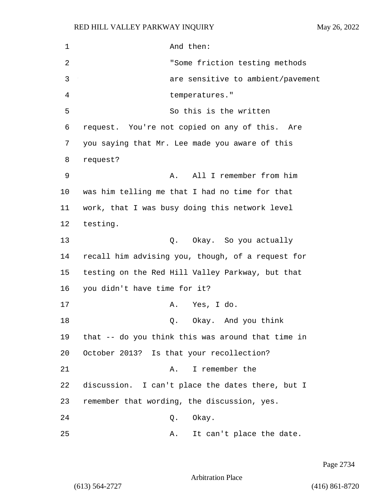1 And then: 2 "Some friction testing methods 3 are sensitive to ambient/pavement 4 temperatures." 5 So this is the written 6 request. You're not copied on any of this. Are 7 you saying that Mr. Lee made you aware of this 8 request? 9 A. All I remember from him 10 was him telling me that I had no time for that 11 work, that I was busy doing this network level 12 testing. 13 C. Okay. So you actually 14 recall him advising you, though, of a request for 15 testing on the Red Hill Valley Parkway, but that 16 you didn't have time for it? 17 A. Yes, I do. 18 Q. Okay. And you think 19 that -- do you think this was around that time in 20 October 2013? Is that your recollection? 21 A. I remember the 22 discussion. I can't place the dates there, but I 23 remember that wording, the discussion, yes. 24 Q. Okay. 25 A. It can't place the date.

Page 2734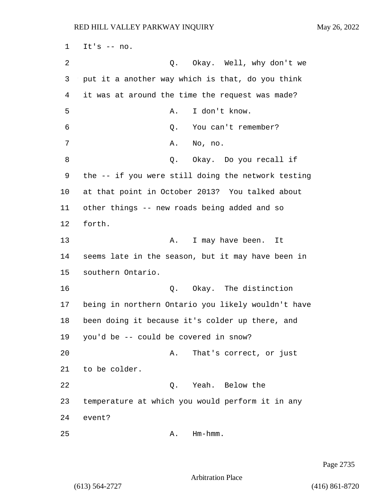$1$  It's  $-$  no. 2 Q. Okay. Well, why don't we 3 put it a another way which is that, do you think 4 it was at around the time the request was made? 5 A. I don't know. 6 Q. You can't remember? 7 A. No, no. 8 a Q. Okay. Do you recall if 9 the -- if you were still doing the network testing 10 at that point in October 2013? You talked about 11 other things -- new roads being added and so 12 forth. 13 A. I may have been. It 14 seems late in the season, but it may have been in 15 southern Ontario. 16 Q. Okay. The distinction 17 being in northern Ontario you likely wouldn't have 18 been doing it because it's colder up there, and 19 you'd be -- could be covered in snow? 20 A. That's correct, or just 21 to be colder. 22 Q. Yeah. Below the 23 temperature at which you would perform it in any 24 event?  $25$  A. Hm-hmm.

Page 2735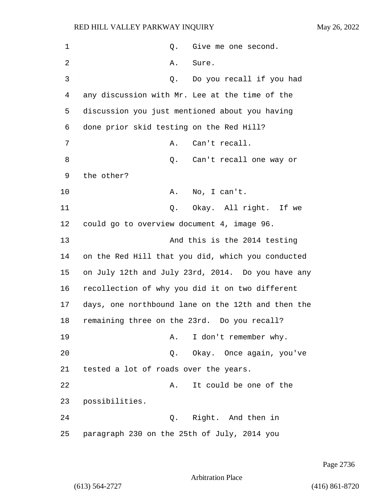1 and 0. Give me one second. 2 A. Sure. 3 Q. Do you recall if you had 4 any discussion with Mr. Lee at the time of the 5 discussion you just mentioned about you having 6 done prior skid testing on the Red Hill? 7 A. Can't recall. 8 an't recall one way or 9 the other? 10 A. No, I can't. 11 Q. Okay. All right. If we 12 could go to overview document 4, image 96. 13 And this is the 2014 testing 14 on the Red Hill that you did, which you conducted 15 on July 12th and July 23rd, 2014. Do you have any 16 recollection of why you did it on two different 17 days, one northbound lane on the 12th and then the 18 remaining three on the 23rd. Do you recall? 19 A. I don't remember why. 20 Q. Okay. Once again, you've 21 tested a lot of roads over the years. 22 A. It could be one of the 23 possibilities. 24 Q. Right. And then in 25 paragraph 230 on the 25th of July, 2014 you

Page 2736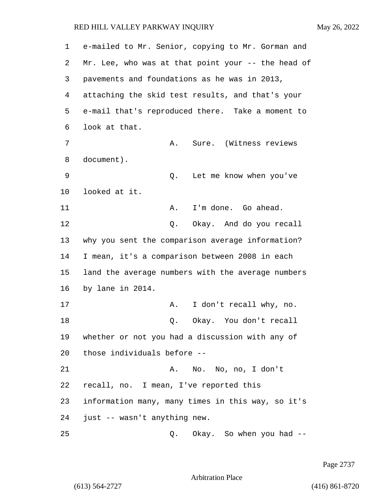| 1  | e-mailed to Mr. Senior, copying to Mr. Gorman and  |
|----|----------------------------------------------------|
| 2  | Mr. Lee, who was at that point your -- the head of |
| 3  | pavements and foundations as he was in 2013,       |
| 4  | attaching the skid test results, and that's your   |
| 5  | e-mail that's reproduced there. Take a moment to   |
| 6  | look at that.                                      |
| 7  | Sure. (Witness reviews<br>Α.                       |
| 8  | document).                                         |
| 9  | Let me know when you've<br>Q.                      |
| 10 | looked at it.                                      |
| 11 | I'm done. Go ahead.<br>Α.                          |
| 12 | Okay. And do you recall<br>Q.                      |
| 13 | why you sent the comparison average information?   |
| 14 | I mean, it's a comparison between 2008 in each     |
| 15 | land the average numbers with the average numbers  |
| 16 | by lane in 2014.                                   |
| 17 | I don't recall why, no.<br>Α.                      |
| 18 | Okay. You don't recall<br>Q.                       |
| 19 | whether or not you had a discussion with any of    |
| 20 | those individuals before --                        |
| 21 | A. No. No, no, I don't                             |
| 22 | recall, no. I mean, I've reported this             |
| 23 | information many, many times in this way, so it's  |
| 24 | just -- wasn't anything new.                       |
| 25 | Okay. So when you had --<br>Q.                     |

Page 2737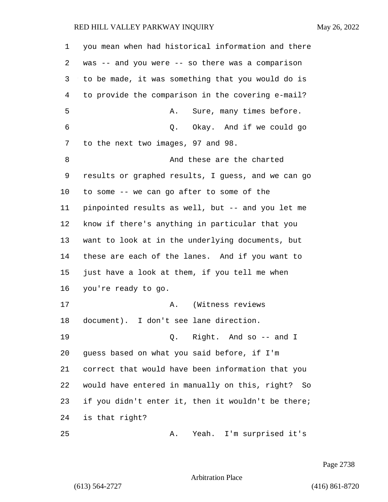you mean when had historical information and there was -- and you were -- so there was a comparison to be made, it was something that you would do is to provide the comparison in the covering e-mail? 5 A. Sure, many times before. 6 Q. Okay. And if we could go to the next two images, 97 and 98. 8 And these are the charted results or graphed results, I guess, and we can go to some -- we can go after to some of the pinpointed results as well, but -- and you let me know if there's anything in particular that you want to look at in the underlying documents, but these are each of the lanes. And if you want to just have a look at them, if you tell me when you're ready to go. 17 A. (Witness reviews document). I don't see lane direction. 19 Q. Right. And so -- and I guess based on what you said before, if I'm correct that would have been information that you would have entered in manually on this, right? So if you didn't enter it, then it wouldn't be there; is that right? 25 A. Yeah. I'm surprised it's

Page 2738

Arbitration Place

(613) 564-2727 (416) 861-8720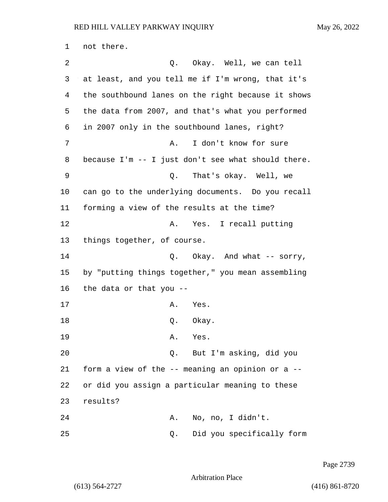1 not there. 2 Q. Okay. Well, we can tell 3 at least, and you tell me if I'm wrong, that it's 4 the southbound lanes on the right because it shows 5 the data from 2007, and that's what you performed 6 in 2007 only in the southbound lanes, right? 7 A. I don't know for sure 8 because I'm -- I just don't see what should there. 9 Q. That's okay. Well, we 10 can go to the underlying documents. Do you recall 11 forming a view of the results at the time? 12 A. Yes. I recall putting 13 things together, of course. 14 **Q.** Okay. And what -- sorry, 15 by "putting things together," you mean assembling 16 the data or that you -- 17 A. Yes. 18 Q. Okay. 19 A. Yes. 20 Q. But I'm asking, did you 21 form a view of the -- meaning an opinion or a -- 22 or did you assign a particular meaning to these 23 results? 24 A. No, no, I didn't. 25 Q. Did you specifically form

Page 2739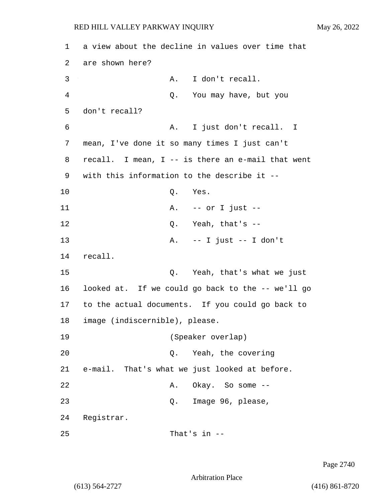1 a view about the decline in values over time that 2 are shown here? 3 A. I don't recall. 4 Q. You may have, but you 5 don't recall? 6 A. I just don't recall. I 7 mean, I've done it so many times I just can't 8 recall. I mean, I -- is there an e-mail that went 9 with this information to the describe it -- 10 Q. Yes. 11 A. -- or I just -- 12 O. Yeah, that's --13 A. -- I just -- I don't 14 recall. 15 Q. Yeah, that's what we just 16 looked at. If we could go back to the -- we'll go 17 to the actual documents. If you could go back to 18 image (indiscernible), please. 19 (Speaker overlap) 20 Q. Yeah, the covering 21 e-mail. That's what we just looked at before. 22 A. Okay. So some --23 Q. Image 96, please, 24 Registrar.  $25$  That's in  $-$ 

Page 2740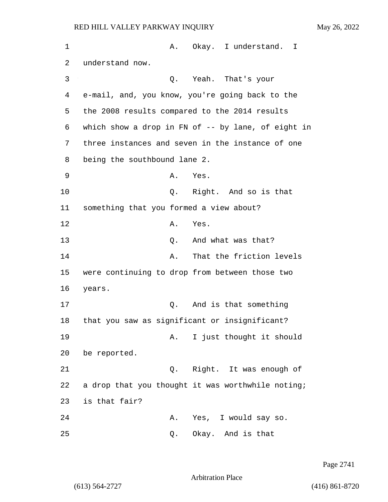| 1  | Α.                                             | Okay. I understand.<br>I                           |
|----|------------------------------------------------|----------------------------------------------------|
| 2  | understand now.                                |                                                    |
| 3  | Q.                                             | Yeah. That's your                                  |
| 4  |                                                | e-mail, and, you know, you're going back to the    |
| 5  | the 2008 results compared to the 2014 results  |                                                    |
| 6  |                                                | which show a drop in FN of -- by lane, of eight in |
| 7  |                                                | three instances and seven in the instance of one   |
| 8  | being the southbound lane 2.                   |                                                    |
| 9  | Α.                                             | Yes.                                               |
| 10 | Q.                                             | Right. And so is that                              |
| 11 | something that you formed a view about?        |                                                    |
| 12 | Α.                                             | Yes.                                               |
| 13 | Q.                                             | And what was that?                                 |
| 14 | Α.                                             | That the friction levels                           |
| 15 | were continuing to drop from between those two |                                                    |
| 16 | years.                                         |                                                    |
| 17 | Q.                                             | And is that something                              |
| 18 | that you saw as significant or insignificant?  |                                                    |
| 19 | Α.                                             | I just thought it should                           |
| 20 | be reported.                                   |                                                    |
| 21 | Q.                                             | Right. It was enough of                            |
| 22 |                                                | a drop that you thought it was worthwhile noting;  |
| 23 | is that fair?                                  |                                                    |
| 24 | Α.                                             | Yes, I would say so.                               |
| 25 | Q.                                             | Okay. And is that                                  |

Page 2741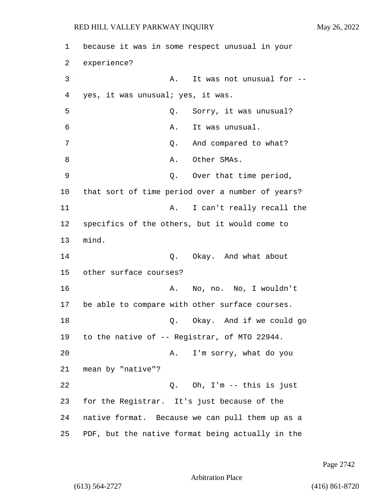1 because it was in some respect unusual in your 2 experience? 3 A. It was not unusual for --4 yes, it was unusual; yes, it was. 5 Q. Sorry, it was unusual? 6 A. It was unusual. 7 and compared to what? 8 A. Other SMAs. 9 Q. Over that time period, 10 that sort of time period over a number of years? 11 A. I can't really recall the 12 specifics of the others, but it would come to 13 mind. 14 Q. Okay. And what about 15 other surface courses? 16 A. No, no. No, I wouldn't 17 be able to compare with other surface courses. 18 Q. Okay. And if we could go 19 to the native of -- Registrar, of MTO 22944. 20 A. I'm sorry, what do you 21 mean by "native"? 22 Q. Oh, I'm -- this is just 23 for the Registrar. It's just because of the 24 native format. Because we can pull them up as a 25 PDF, but the native format being actually in the

Page 2742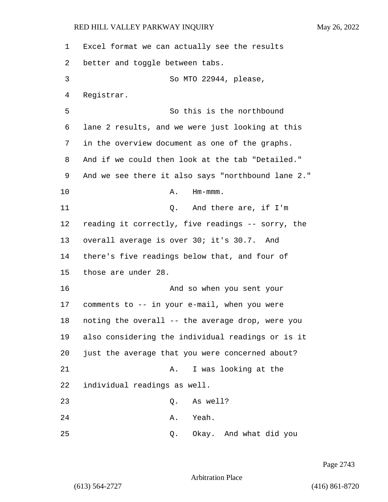Excel format we can actually see the results better and toggle between tabs. 3 So MTO 22944, please, Registrar. 5 So this is the northbound lane 2 results, and we were just looking at this in the overview document as one of the graphs. And if we could then look at the tab "Detailed." And we see there it also says "northbound lane 2." 10 A. Hm-mmm. 11 Q. And there are, if I'm reading it correctly, five readings -- sorry, the overall average is over 30; it's 30.7. And there's five readings below that, and four of those are under 28. 16 And so when you sent your comments to -- in your e-mail, when you were noting the overall -- the average drop, were you also considering the individual readings or is it just the average that you were concerned about? 21 A. I was looking at the individual readings as well. 23 Q. As well? 24 A. Yeah. 25 Q. Okay. And what did you

Page 2743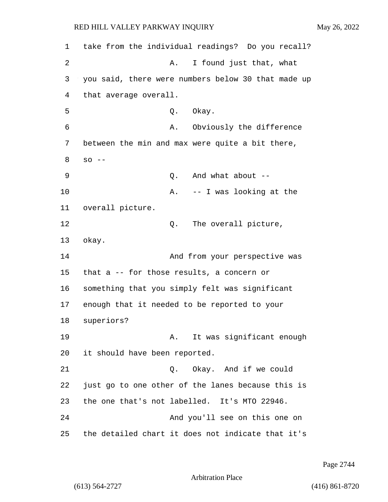1 take from the individual readings? Do you recall? 2 A. I found just that, what 3 you said, there were numbers below 30 that made up 4 that average overall. 5 Q. Okay. 6 A. Obviously the difference 7 between the min and max were quite a bit there, 8 so -- 9 Q. And what about -- 10 A. -- I was looking at the 11 overall picture. 12 O. The overall picture, 13 okay. 14 And from your perspective was 15 that a -- for those results, a concern or 16 something that you simply felt was significant 17 enough that it needed to be reported to your 18 superiors? 19 A. It was significant enough 20 it should have been reported. 21 Q. Okay. And if we could 22 just go to one other of the lanes because this is 23 the one that's not labelled. It's MTO 22946. 24 And you'll see on this one on 25 the detailed chart it does not indicate that it's

Page 2744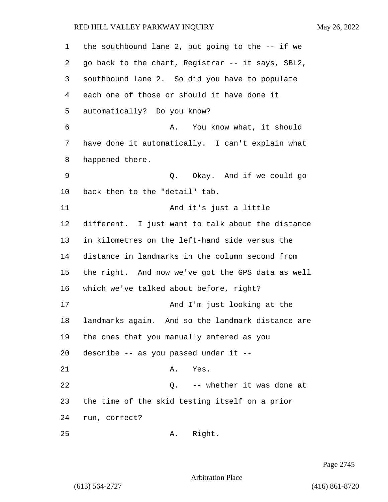| 1  | the southbound lane 2, but going to the $-$ - if we |
|----|-----------------------------------------------------|
| 2  | go back to the chart, Registrar -- it says, SBL2,   |
| 3  | southbound lane 2. So did you have to populate      |
| 4  | each one of those or should it have done it         |
| 5  | automatically? Do you know?                         |
| 6  | You know what, it should<br>Α.                      |
| 7  | have done it automatically. I can't explain what    |
| 8  | happened there.                                     |
| 9  | Q. Okay. And if we could go                         |
| 10 | back then to the "detail" tab.                      |
| 11 | And it's just a little                              |
| 12 | different. I just want to talk about the distance   |
| 13 | in kilometres on the left-hand side versus the      |
| 14 | distance in landmarks in the column second from     |
| 15 | the right. And now we've got the GPS data as well   |
| 16 | which we've talked about before, right?             |
| 17 | And I'm just looking at the                         |
| 18 | landmarks again. And so the landmark distance are   |
| 19 | the ones that you manually entered as you           |
| 20 | describe -- as you passed under it --               |
| 21 | A. Yes.                                             |
| 22 | -- whether it was done at<br>Q.                     |
| 23 | the time of the skid testing itself on a prior      |
| 24 | run, correct?                                       |
| 25 | Right.<br>Α.                                        |

Page 2745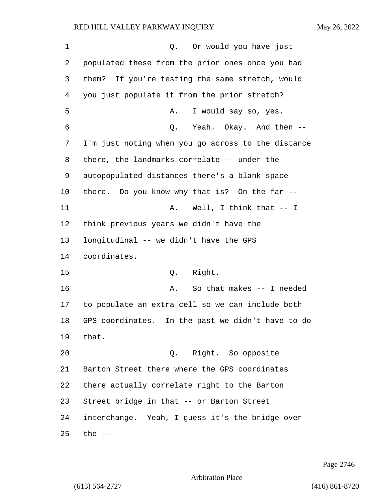| $\mathbf 1$ | Or would you have just<br>Q.                         |
|-------------|------------------------------------------------------|
| 2           | populated these from the prior ones once you had     |
| 3           | them? If you're testing the same stretch, would      |
| 4           | you just populate it from the prior stretch?         |
| 5           | I would say so, yes.<br>Α.                           |
| 6           | Yeah. Okay. And then --<br>Q.                        |
| 7           | I'm just noting when you go across to the distance   |
| 8           | there, the landmarks correlate -- under the          |
| 9           | autopopulated distances there's a blank space        |
| 10          | there. Do you know why that is? On the far --        |
| 11          | Well, I think that $--$ I<br>Α.                      |
| 12          | think previous years we didn't have the              |
| 13          | longitudinal -- we didn't have the GPS               |
| 14          | coordinates.                                         |
| 15          | Right.<br>Q.                                         |
| 16          | So that makes -- I needed<br>Α.                      |
| 17          | to populate an extra cell so we can include both     |
| 18          | GPS coordinates.<br>In the past we didn't have to do |
| 19          | that.                                                |
| 20          | Q. Right. So opposite                                |
| 21          | Barton Street there where the GPS coordinates        |
| 22          | there actually correlate right to the Barton         |
| 23          | Street bridge in that -- or Barton Street            |
| 24          | interchange. Yeah, I guess it's the bridge over      |
| 25          | the $-$                                              |

Page 2746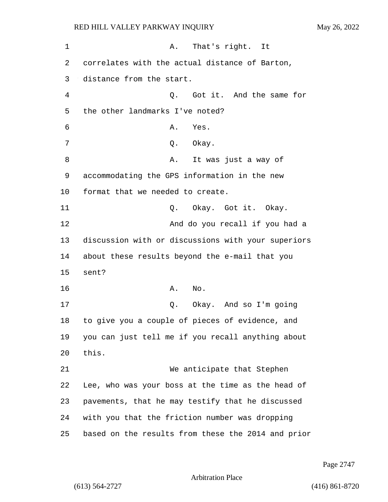1 A. That's right. It 2 correlates with the actual distance of Barton, 3 distance from the start. 4 Q. Got it. And the same for 5 the other landmarks I've noted? 6 A. Yes. 7 Q. Okay. 8 A. It was just a way of 9 accommodating the GPS information in the new 10 format that we needed to create. 11 Q. Okay. Got it. Okay. 12 And do you recall if you had a 13 discussion with or discussions with your superiors 14 about these results beyond the e-mail that you 15 sent? 16 A. No. 17 Q. Okay. And so I'm going 18 to give you a couple of pieces of evidence, and 19 you can just tell me if you recall anything about 20 this. 21 We anticipate that Stephen 22 Lee, who was your boss at the time as the head of 23 pavements, that he may testify that he discussed 24 with you that the friction number was dropping 25 based on the results from these the 2014 and prior

Page 2747

Arbitration Place

(613) 564-2727 (416) 861-8720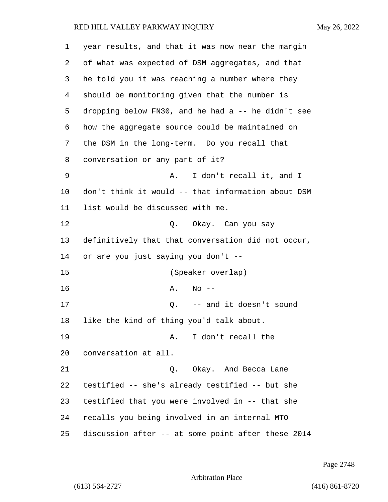| 1  | year results, and that it was now near the margin  |
|----|----------------------------------------------------|
| 2  | of what was expected of DSM aggregates, and that   |
| 3  | he told you it was reaching a number where they    |
| 4  | should be monitoring given that the number is      |
| 5  | dropping below FN30, and he had a -- he didn't see |
| 6  | how the aggregate source could be maintained on    |
| 7  | the DSM in the long-term. Do you recall that       |
| 8  | conversation or any part of it?                    |
| 9  | I don't recall it, and I<br>Α.                     |
| 10 | don't think it would -- that information about DSM |
| 11 | list would be discussed with me.                   |
| 12 | Q. Okay. Can you say                               |
| 13 | definitively that that conversation did not occur, |
| 14 | or are you just saying you don't --                |
| 15 | (Speaker overlap)                                  |
| 16 | Α.<br>$No$ --                                      |
| 17 | Q. $--$ and it doesn't sound                       |
| 18 | like the kind of thing you'd talk about.           |
| 19 | I don't recall the<br>Α.                           |
| 20 | conversation at all.                               |
| 21 | Okay. And Becca Lane<br>О.                         |
| 22 | testified -- she's already testified -- but she    |
| 23 | testified that you were involved in -- that she    |
| 24 | recalls you being involved in an internal MTO      |
| 25 | discussion after -- at some point after these 2014 |

Page 2748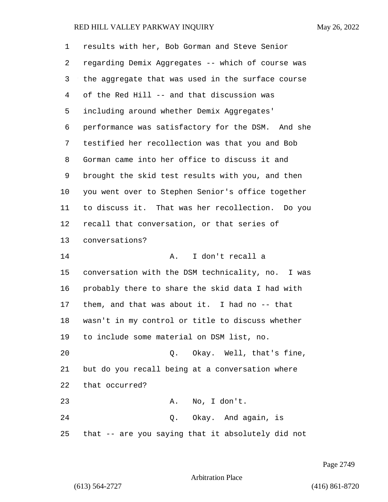| $\mathbf 1$ | results with her, Bob Gorman and Steve Senior     |
|-------------|---------------------------------------------------|
| 2           | regarding Demix Aggregates -- which of course was |
| 3           | the aggregate that was used in the surface course |
| 4           | of the Red Hill -- and that discussion was        |
| 5           | including around whether Demix Aggregates'        |
| 6           | performance was satisfactory for the DSM. And she |
| 7           | testified her recollection was that you and Bob   |
| 8           | Gorman came into her office to discuss it and     |
| 9           | brought the skid test results with you, and then  |
| 10          | you went over to Stephen Senior's office together |
| 11          | to discuss it. That was her recollection. Do you  |
| 12          | recall that conversation, or that series of       |
| 13          | conversations?                                    |
| 14          | I don't recall a<br>Α.                            |
| 15          | conversation with the DSM technicality, no. I was |
| 16          | probably there to share the skid data I had with  |
| 17          | them, and that was about it. I had no $-$ - that  |
| 18          | wasn't in my control or title to discuss whether  |
| 19          | to include some material on DSM list, no.         |
| 20          | Q. Okay. Well, that's fine,                       |
| 21          | but do you recall being at a conversation where   |
| 22          | that occurred?                                    |
| 23          | No, I don't.<br>Α.                                |
| 24          | Q. Okay. And again, is                            |
| 25          | that -- are you saying that it absolutely did not |

Page 2749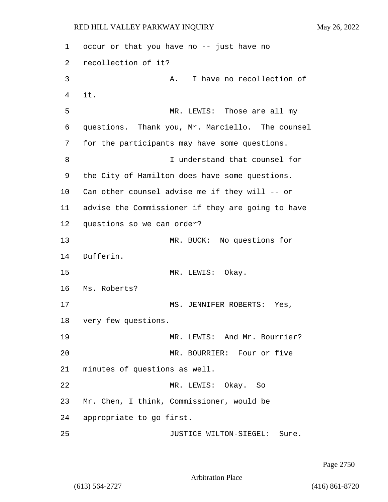1 occur or that you have no -- just have no 2 recollection of it? 3 A. I have no recollection of 4 it. 5 MR. LEWIS: Those are all my 6 questions. Thank you, Mr. Marciello. The counsel 7 for the participants may have some questions. 8 I understand that counsel for 9 the City of Hamilton does have some questions. 10 Can other counsel advise me if they will -- or 11 advise the Commissioner if they are going to have 12 questions so we can order? 13 MR. BUCK: No questions for 14 Dufferin. 15 MR. LEWIS: Okay. 16 Ms. Roberts? 17 MS. JENNIFER ROBERTS: Yes, 18 very few questions. 19 MR. LEWIS: And Mr. Bourrier? 20 MR. BOURRIER: Four or five 21 minutes of questions as well. 22 MR. LEWIS: Okay. So 23 Mr. Chen, I think, Commissioner, would be 24 appropriate to go first. 25 JUSTICE WILTON-SIEGEL: Sure.

Page 2750

Arbitration Place

(613) 564-2727 (416) 861-8720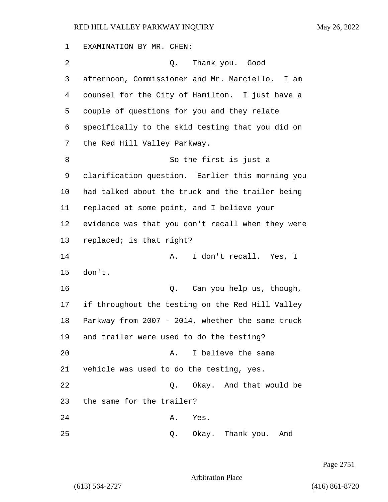EXAMINATION BY MR. CHEN: 2 Q. Thank you. Good afternoon, Commissioner and Mr. Marciello. I am counsel for the City of Hamilton. I just have a couple of questions for you and they relate specifically to the skid testing that you did on the Red Hill Valley Parkway. 8 So the first is just a clarification question. Earlier this morning you had talked about the truck and the trailer being replaced at some point, and I believe your evidence was that you don't recall when they were replaced; is that right? 14 A. I don't recall. Yes, I 15 don't. 16 and you help us, though, if throughout the testing on the Red Hill Valley Parkway from 2007 - 2014, whether the same truck and trailer were used to do the testing? 20 A. I believe the same vehicle was used to do the testing, yes. 22 Q. Okay. And that would be the same for the trailer? 24 A. Yes. 25 Q. Okay. Thank you. And

Page 2751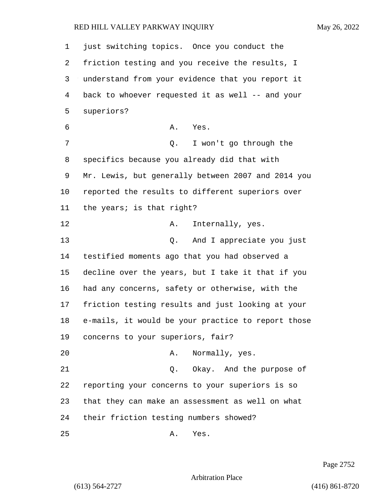just switching topics. Once you conduct the friction testing and you receive the results, I understand from your evidence that you report it back to whoever requested it as well -- and your superiors? 6 A. Yes. 7 Q. I won't go through the specifics because you already did that with Mr. Lewis, but generally between 2007 and 2014 you reported the results to different superiors over the years; is that right? 12 A. Internally, yes. 13 Q. And I appreciate you just testified moments ago that you had observed a decline over the years, but I take it that if you had any concerns, safety or otherwise, with the friction testing results and just looking at your e-mails, it would be your practice to report those concerns to your superiors, fair? 20 A. Normally, yes. 21 Q. Okay. And the purpose of reporting your concerns to your superiors is so that they can make an assessment as well on what their friction testing numbers showed? 25 A. Yes.

Page 2752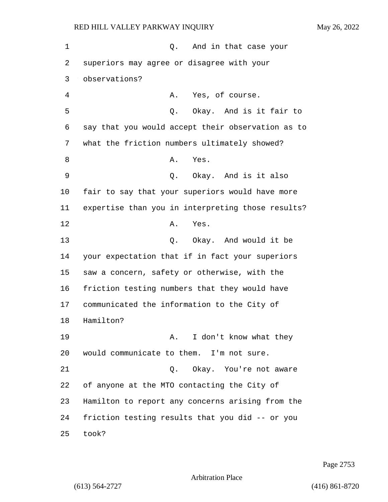1 and in that case your 2 superiors may agree or disagree with your 3 observations? 4 A. Yes, of course. 5 Q. Okay. And is it fair to 6 say that you would accept their observation as to 7 what the friction numbers ultimately showed? 8 A. Yes. 9 Q. Okay. And is it also 10 fair to say that your superiors would have more 11 expertise than you in interpreting those results? 12 A. Yes. 13 Q. Okay. And would it be 14 your expectation that if in fact your superiors 15 saw a concern, safety or otherwise, with the 16 friction testing numbers that they would have 17 communicated the information to the City of 18 Hamilton? 19 A. I don't know what they 20 would communicate to them. I'm not sure. 21 C. Okay. You're not aware 22 of anyone at the MTO contacting the City of 23 Hamilton to report any concerns arising from the 24 friction testing results that you did -- or you 25 took?

Page 2753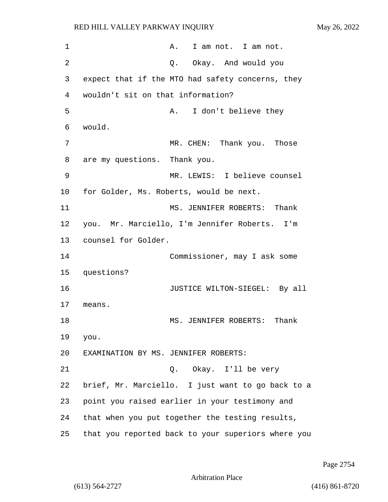| $\mathbf 1$ | A. I am not. I am not.                             |  |
|-------------|----------------------------------------------------|--|
| 2           | Q. Okay. And would you                             |  |
| 3           | expect that if the MTO had safety concerns, they   |  |
| 4           | wouldn't sit on that information?                  |  |
| 5           | I don't believe they<br>Α.                         |  |
| 6           | would.                                             |  |
| 7           | MR. CHEN: Thank you.<br>Those                      |  |
| 8           | are my questions. Thank you.                       |  |
| 9           | MR. LEWIS: I believe counsel                       |  |
| 10          | for Golder, Ms. Roberts, would be next.            |  |
| 11          | MS. JENNIFER ROBERTS: Thank                        |  |
| 12          | you. Mr. Marciello, I'm Jennifer Roberts. I'm      |  |
| 13          | counsel for Golder.                                |  |
| 14          | Commissioner, may I ask some                       |  |
| 15          | questions?                                         |  |
| 16          | JUSTICE WILTON-SIEGEL: By all                      |  |
| 17          | means.                                             |  |
| 18          | Thank<br>MS. JENNIFER ROBERTS:                     |  |
| 19          | you.                                               |  |
| 20          | EXAMINATION BY MS. JENNIFER ROBERTS:               |  |
| 21          | Q. Okay. I'll be very                              |  |
| 22          | brief, Mr. Marciello. I just want to go back to a  |  |
| 23          | point you raised earlier in your testimony and     |  |
| 24          | that when you put together the testing results,    |  |
| 25          | that you reported back to your superiors where you |  |

Page 2754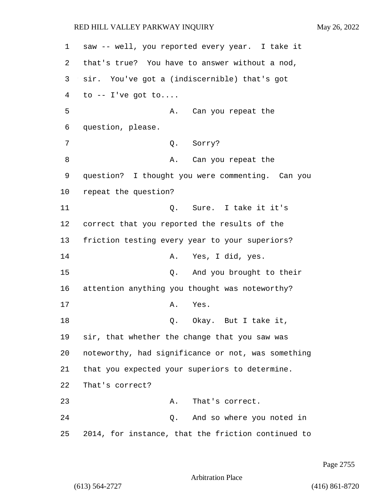1 saw -- well, you reported every year. I take it 2 that's true? You have to answer without a nod, 3 sir. You've got a (indiscernible) that's got  $4$  to  $-$  I've got to.... 5 A. Can you repeat the 6 question, please. 7 Q. Sorry? 8 A. Can you repeat the 9 question? I thought you were commenting. Can you 10 repeat the question? 11 Q. Sure. I take it it's 12 correct that you reported the results of the 13 friction testing every year to your superiors? 14 A. Yes, I did, yes. 15 Q. And you brought to their 16 attention anything you thought was noteworthy? 17 A. Yes. 18 Q. Okay. But I take it, 19 sir, that whether the change that you saw was 20 noteworthy, had significance or not, was something 21 that you expected your superiors to determine. 22 That's correct? 23 A. That's correct. 24 Q. And so where you noted in 25 2014, for instance, that the friction continued to

Page 2755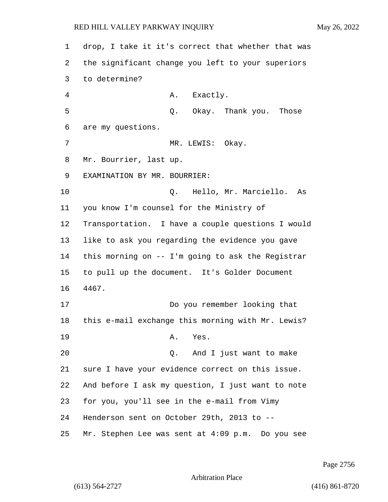drop, I take it it's correct that whether that was the significant change you left to your superiors to determine? 4 A. Exactly. 5 Q. Okay. Thank you. Those are my questions. 7 MR. LEWIS: Okay. Mr. Bourrier, last up. EXAMINATION BY MR. BOURRIER: 10 Q. Hello, Mr. Marciello. As you know I'm counsel for the Ministry of Transportation. I have a couple questions I would like to ask you regarding the evidence you gave this morning on -- I'm going to ask the Registrar to pull up the document. It's Golder Document 4467. 17 Do you remember looking that this e-mail exchange this morning with Mr. Lewis? 19 A. Yes. 20 Q. And I just want to make sure I have your evidence correct on this issue. And before I ask my question, I just want to note for you, you'll see in the e-mail from Vimy Henderson sent on October 29th, 2013 to -- Mr. Stephen Lee was sent at 4:09 p.m. Do you see

Page 2756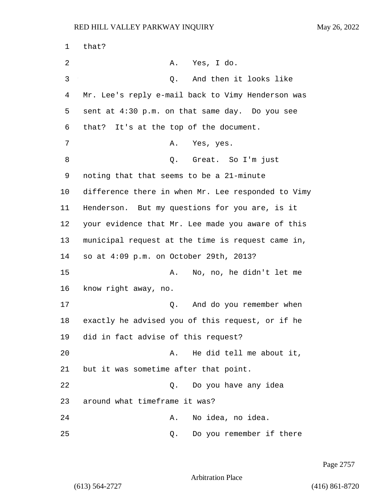1 that? 2 A. Yes, I do. 3 Q. And then it looks like 4 Mr. Lee's reply e-mail back to Vimy Henderson was 5 sent at 4:30 p.m. on that same day. Do you see 6 that? It's at the top of the document. 7 A. Yes, yes. 8 Q. Great. So I'm just 9 noting that that seems to be a 21-minute 10 difference there in when Mr. Lee responded to Vimy 11 Henderson. But my questions for you are, is it 12 your evidence that Mr. Lee made you aware of this 13 municipal request at the time is request came in, 14 so at 4:09 p.m. on October 29th, 2013? 15 A. No, no, he didn't let me 16 know right away, no. 17 and 0. And do you remember when 18 exactly he advised you of this request, or if he 19 did in fact advise of this request? 20 A. He did tell me about it, 21 but it was sometime after that point. 22 Q. Do you have any idea 23 around what timeframe it was? 24 A. No idea, no idea. 25 Q. Do you remember if there

Page 2757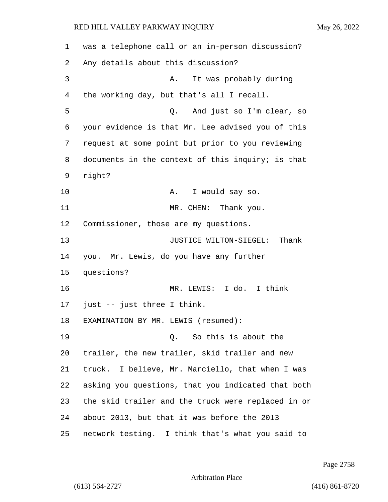| 1  | was a telephone call or an in-person discussion?   |
|----|----------------------------------------------------|
| 2  | Any details about this discussion?                 |
| 3  | It was probably during<br>Α.                       |
| 4  | the working day, but that's all I recall.          |
| 5  | And just so I'm clear, so<br>Q.                    |
| 6  | your evidence is that Mr. Lee advised you of this  |
| 7  | request at some point but prior to you reviewing   |
| 8  | documents in the context of this inquiry; is that  |
| 9  | right?                                             |
| 10 | I would say so.<br>Α.                              |
| 11 | MR. CHEN: Thank you.                               |
| 12 | Commissioner, those are my questions.              |
| 13 | JUSTICE WILTON-SIEGEL: Thank                       |
| 14 | you. Mr. Lewis, do you have any further            |
| 15 | questions?                                         |
| 16 | MR. LEWIS: I do. I think                           |
| 17 | just -- just three I think.                        |
| 18 | EXAMINATION BY MR. LEWIS (resumed):                |
| 19 | So this is about the<br>$\circ$ .                  |
| 20 | trailer, the new trailer, skid trailer and new     |
| 21 | truck. I believe, Mr. Marciello, that when I was   |
| 22 | asking you questions, that you indicated that both |
| 23 | the skid trailer and the truck were replaced in or |
| 24 | about 2013, but that it was before the 2013        |
| 25 | network testing. I think that's what you said to   |

Page 2758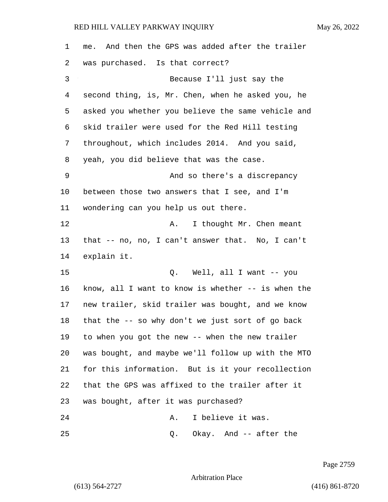| 1  | me. And then the GPS was added after the trailer   |
|----|----------------------------------------------------|
| 2  | was purchased. Is that correct?                    |
| 3  | Because I'll just say the                          |
| 4  | second thing, is, Mr. Chen, when he asked you, he  |
| 5  | asked you whether you believe the same vehicle and |
| 6  | skid trailer were used for the Red Hill testing    |
| 7  | throughout, which includes 2014. And you said,     |
| 8  | yeah, you did believe that was the case.           |
| 9  | And so there's a discrepancy                       |
| 10 | between those two answers that I see, and I'm      |
| 11 | wondering can you help us out there.               |
| 12 | I thought Mr. Chen meant<br>Α.                     |
| 13 | that -- no, no, I can't answer that. No, I can't   |
| 14 | explain it.                                        |
| 15 | Well, all I want -- you<br>Q.                      |
| 16 | know, all I want to know is whether -- is when the |
| 17 | new trailer, skid trailer was bought, and we know  |
| 18 | that the -- so why don't we just sort of go back   |
| 19 | to when you got the new -- when the new trailer    |
| 20 | was bought, and maybe we'll follow up with the MTO |
| 21 | for this information. But is it your recollection  |
| 22 | that the GPS was affixed to the trailer after it   |
| 23 | was bought, after it was purchased?                |
| 24 | I believe it was.<br>Α.                            |
| 25 | Okay. And -- after the<br>Q.                       |

Page 2759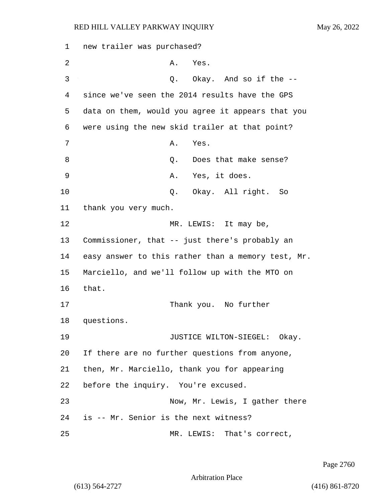| 1  | new trailer was purchased?            |    |                                                    |
|----|---------------------------------------|----|----------------------------------------------------|
| 2  |                                       | Α. | Yes.                                               |
| 3  |                                       | Q. | Okay. And so if the --                             |
| 4  |                                       |    | since we've seen the 2014 results have the GPS     |
| 5  |                                       |    | data on them, would you agree it appears that you  |
| 6  |                                       |    | were using the new skid trailer at that point?     |
| 7  |                                       | Α. | Yes.                                               |
| 8  |                                       | Q. | Does that make sense?                              |
| 9  |                                       | Α. | Yes, it does.                                      |
| 10 |                                       |    | Q. Okay. All right. So                             |
| 11 | thank you very much.                  |    |                                                    |
| 12 |                                       |    | MR. LEWIS: It may be,                              |
| 13 |                                       |    | Commissioner, that -- just there's probably an     |
| 14 |                                       |    | easy answer to this rather than a memory test, Mr. |
| 15 |                                       |    | Marciello, and we'll follow up with the MTO on     |
| 16 | that.                                 |    |                                                    |
| 17 |                                       |    | Thank you. No further                              |
| 18 | questions.                            |    |                                                    |
| 19 |                                       |    | JUSTICE WILTON-SIEGEL: Okay.                       |
| 20 |                                       |    | If there are no further questions from anyone,     |
| 21 |                                       |    | then, Mr. Marciello, thank you for appearing       |
| 22 | before the inquiry. You're excused.   |    |                                                    |
| 23 |                                       |    | Now, Mr. Lewis, I gather there                     |
| 24 | is -- Mr. Senior is the next witness? |    |                                                    |
| 25 |                                       |    | MR. LEWIS: That's correct,                         |

Page 2760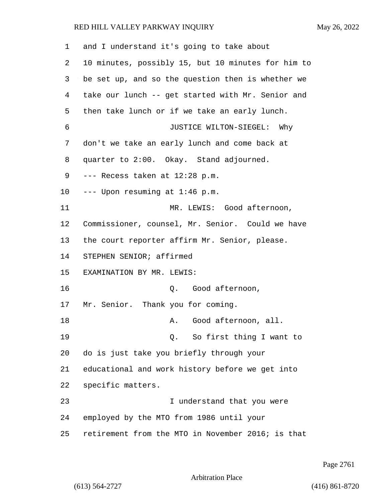| $\mathbf 1$ | and I understand it's going to take about          |
|-------------|----------------------------------------------------|
| 2           | 10 minutes, possibly 15, but 10 minutes for him to |
| 3           | be set up, and so the question then is whether we  |
| 4           | take our lunch -- get started with Mr. Senior and  |
| 5           | then take lunch or if we take an early lunch.      |
| 6           | JUSTICE WILTON-SIEGEL: Why                         |
| 7           | don't we take an early lunch and come back at      |
| 8           | quarter to 2:00. Okay. Stand adjourned.            |
| 9           | --- Recess taken at 12:28 p.m.                     |
| $10 \,$     | --- Upon resuming at 1:46 p.m.                     |
| 11          | MR. LEWIS: Good afternoon,                         |
| 12          | Commissioner, counsel, Mr. Senior. Could we have   |
| 13          | the court reporter affirm Mr. Senior, please.      |
| 14          | STEPHEN SENIOR; affirmed                           |
| 15          | EXAMINATION BY MR. LEWIS:                          |
| 16          | Q. Good afternoon,                                 |
| 17          | Mr. Senior. Thank you for coming.                  |
| 18          | Good afternoon, all.<br>Α.                         |
| 19          | Q. So first thing I want to                        |
| 20          | do is just take you briefly through your           |
| 21          | educational and work history before we get into    |
| 22          | specific matters.                                  |
| 23          | I understand that you were                         |
| 24          | employed by the MTO from 1986 until your           |
| 25          | retirement from the MTO in November 2016; is that  |

Page 2761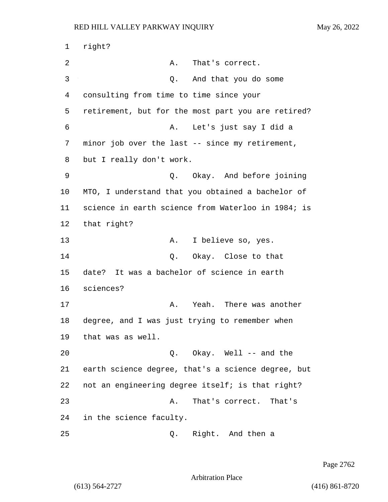1 right? 2 A. That's correct. 3 Q. And that you do some 4 consulting from time to time since your 5 retirement, but for the most part you are retired? 6 A. Let's just say I did a 7 minor job over the last -- since my retirement, 8 but I really don't work. 9 Q. Okay. And before joining 10 MTO, I understand that you obtained a bachelor of 11 science in earth science from Waterloo in 1984; is 12 that right? 13 A. I believe so, yes. 14 Q. Okay. Close to that 15 date? It was a bachelor of science in earth 16 sciences? 17 A. Yeah. There was another 18 degree, and I was just trying to remember when 19 that was as well. 20 Q. Okay. Well -- and the 21 earth science degree, that's a science degree, but 22 not an engineering degree itself; is that right? 23 A. That's correct. That's 24 in the science faculty. 25 Q. Right. And then a

Page 2762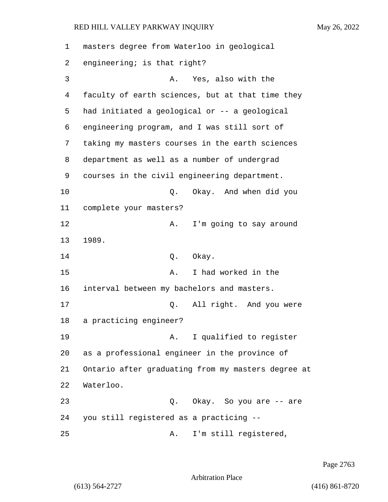| 1              | masters degree from Waterloo in geological         |
|----------------|----------------------------------------------------|
| 2              | engineering; is that right?                        |
| 3              | Yes, also with the<br>Α.                           |
| $\overline{4}$ | faculty of earth sciences, but at that time they   |
| 5              | had initiated a geological or -- a geological      |
| 6              | engineering program, and I was still sort of       |
| 7              | taking my masters courses in the earth sciences    |
| 8              | department as well as a number of undergrad        |
| 9              | courses in the civil engineering department.       |
| 10             | Okay. And when did you<br>Q.                       |
| 11             | complete your masters?                             |
| 12             | I'm going to say around<br>Α.                      |
| 13             | 1989.                                              |
| 14             | Okay.<br>Q.                                        |
| 15             | I had worked in the<br>Α.                          |
| 16             | interval between my bachelors and masters.         |
| 17             | All right. And you were<br>Q.                      |
| 18             | a practicing engineer?                             |
| 19             | I qualified to register<br>Α.                      |
| 20             | as a professional engineer in the province of      |
| 21             | Ontario after graduating from my masters degree at |
| 22             | Waterloo.                                          |
| 23             | Okay. So you are -- are<br>Q.                      |
| 24             | you still registered as a practicing --            |
| 25             | I'm still registered,<br>Α.                        |

Page 2763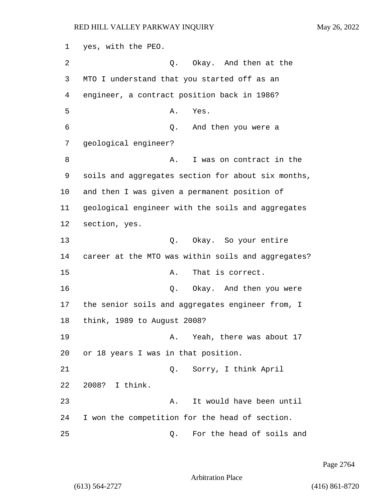1 yes, with the PEO. 2 Q. Okay. And then at the 3 MTO I understand that you started off as an 4 engineer, a contract position back in 1986? 5 A. Yes. 6 Q. And then you were a 7 geological engineer? 8 A. I was on contract in the 9 soils and aggregates section for about six months, 10 and then I was given a permanent position of 11 geological engineer with the soils and aggregates 12 section, yes. 13 Q. Okay. So your entire 14 career at the MTO was within soils and aggregates? 15 A. That is correct. 16 Q. Okay. And then you were 17 the senior soils and aggregates engineer from, I 18 think, 1989 to August 2008? 19 A. Yeah, there was about 17 20 or 18 years I was in that position. 21 Q. Sorry, I think April 22 2008? I think. 23 A. It would have been until 24 I won the competition for the head of section. 25 Q. For the head of soils and

Page 2764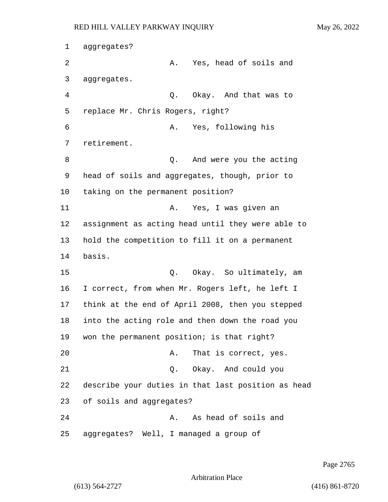1 aggregates? 2 A. Yes, head of soils and 3 aggregates. 4 Q. Okay. And that was to 5 replace Mr. Chris Rogers, right? 6 A. Yes, following his 7 retirement. 8 and were you the acting 9 head of soils and aggregates, though, prior to 10 taking on the permanent position? 11 A. Yes, I was given an 12 assignment as acting head until they were able to 13 hold the competition to fill it on a permanent 14 basis. 15 C. Okay. So ultimately, am 16 I correct, from when Mr. Rogers left, he left I 17 think at the end of April 2008, then you stepped 18 into the acting role and then down the road you 19 won the permanent position; is that right? 20 A. That is correct, yes. 21 Q. Okay. And could you 22 describe your duties in that last position as head 23 of soils and aggregates? 24 A. As head of soils and 25 aggregates? Well, I managed a group of

Page 2765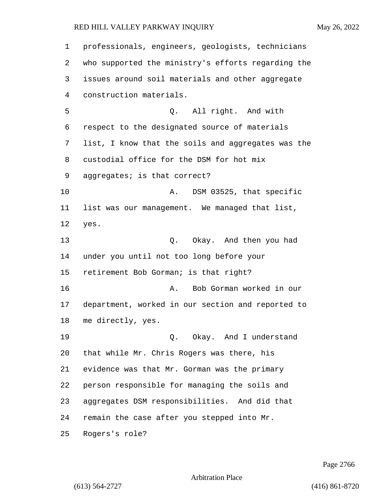professionals, engineers, geologists, technicians who supported the ministry's efforts regarding the issues around soil materials and other aggregate construction materials. 5 Q. All right. And with respect to the designated source of materials list, I know that the soils and aggregates was the custodial office for the DSM for hot mix aggregates; is that correct? 10 A. DSM 03525, that specific list was our management. We managed that list, yes. 13 Q. Okay. And then you had under you until not too long before your retirement Bob Gorman; is that right? 16 A. Bob Gorman worked in our department, worked in our section and reported to me directly, yes. 19 C. Okay. And I understand that while Mr. Chris Rogers was there, his evidence was that Mr. Gorman was the primary person responsible for managing the soils and aggregates DSM responsibilities. And did that remain the case after you stepped into Mr. Rogers's role?

Page 2766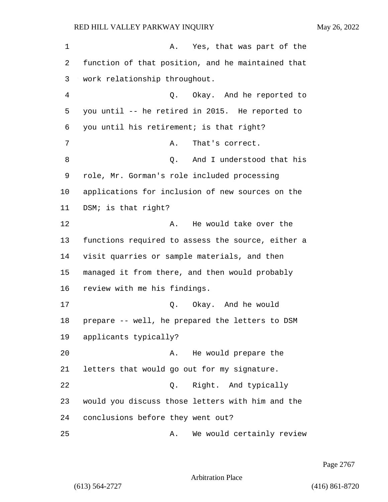| 1  | Yes, that was part of the<br>Α.                   |
|----|---------------------------------------------------|
| 2  | function of that position, and he maintained that |
| 3  | work relationship throughout.                     |
| 4  | Q. Okay. And he reported to                       |
| 5  | you until -- he retired in 2015. He reported to   |
| 6  | you until his retirement; is that right?          |
| 7  | That's correct.<br>Α.                             |
| 8  | And I understood that his<br>Q.                   |
| 9  | role, Mr. Gorman's role included processing       |
| 10 | applications for inclusion of new sources on the  |
| 11 | DSM; is that right?                               |
| 12 | He would take over the<br>Α.                      |
| 13 | functions required to assess the source, either a |
| 14 | visit quarries or sample materials, and then      |
| 15 | managed it from there, and then would probably    |
| 16 | review with me his findings.                      |
| 17 | Q. Okay. And he would                             |
| 18 | prepare -- well, he prepared the letters to DSM   |
| 19 | applicants typically?                             |
| 20 | He would prepare the<br>Α.                        |
| 21 | letters that would go out for my signature.       |
| 22 | Right. And typically<br>Q.                        |
| 23 | would you discuss those letters with him and the  |
| 24 | conclusions before they went out?                 |
| 25 | We would certainly review<br>Α.                   |

Page 2767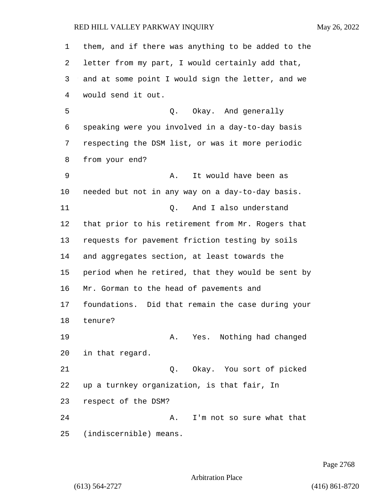them, and if there was anything to be added to the letter from my part, I would certainly add that, and at some point I would sign the letter, and we would send it out. 5 Q. Okay. And generally speaking were you involved in a day-to-day basis respecting the DSM list, or was it more periodic from your end? 9 A. It would have been as needed but not in any way on a day-to-day basis. 11 C. And I also understand that prior to his retirement from Mr. Rogers that requests for pavement friction testing by soils and aggregates section, at least towards the period when he retired, that they would be sent by Mr. Gorman to the head of pavements and foundations. Did that remain the case during your tenure? 19 A. Yes. Nothing had changed in that regard. 21 Q. Okay. You sort of picked up a turnkey organization, is that fair, In respect of the DSM? 24 A. I'm not so sure what that (indiscernible) means.

Page 2768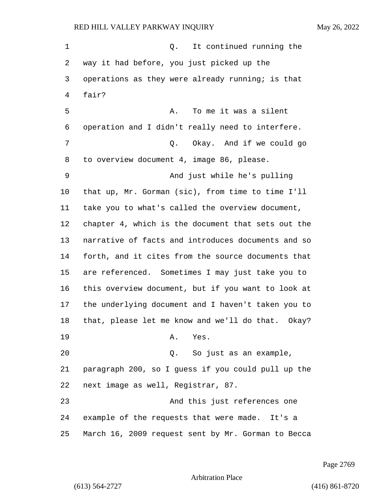1 and 0. It continued running the way it had before, you just picked up the operations as they were already running; is that fair? 5 A. To me it was a silent operation and I didn't really need to interfere. 7 C. Okay. And if we could go to overview document 4, image 86, please. 9 And just while he's pulling that up, Mr. Gorman (sic), from time to time I'll take you to what's called the overview document, chapter 4, which is the document that sets out the narrative of facts and introduces documents and so forth, and it cites from the source documents that are referenced. Sometimes I may just take you to this overview document, but if you want to look at the underlying document and I haven't taken you to that, please let me know and we'll do that. Okay? 19 A. Yes. 20 Q. So just as an example, paragraph 200, so I guess if you could pull up the next image as well, Registrar, 87. 23 And this just references one example of the requests that were made. It's a March 16, 2009 request sent by Mr. Gorman to Becca

Page 2769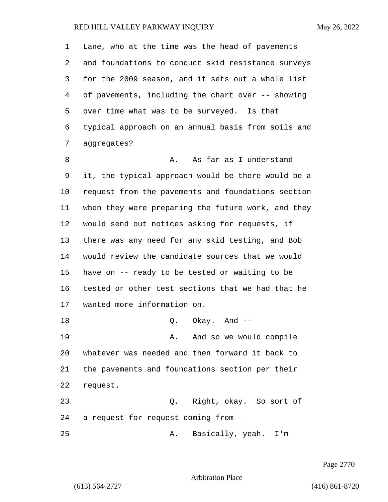| 1  | Lane, who at the time was the head of pavements    |
|----|----------------------------------------------------|
| 2  | and foundations to conduct skid resistance surveys |
| 3  | for the 2009 season, and it sets out a whole list  |
| 4  | of pavements, including the chart over -- showing  |
| 5  | over time what was to be surveyed. Is that         |
| 6  | typical approach on an annual basis from soils and |
| 7  | aggregates?                                        |
| 8  | As far as I understand<br>Α.                       |
| 9  | it, the typical approach would be there would be a |
| 10 | request from the pavements and foundations section |
| 11 | when they were preparing the future work, and they |
| 12 | would send out notices asking for requests, if     |
| 13 | there was any need for any skid testing, and Bob   |
| 14 | would review the candidate sources that we would   |
| 15 | have on -- ready to be tested or waiting to be     |
| 16 | tested or other test sections that we had that he  |
| 17 | wanted more information on.                        |
| 18 | $Q.$ Okay. And $-$                                 |
| 19 | And so we would compile<br>Α.                      |
| 20 | whatever was needed and then forward it back to    |
| 21 | the pavements and foundations section per their    |
| 22 | request.                                           |
| 23 | Q. Right, okay. So sort of                         |
| 24 | a request for request coming from --               |
| 25 | Basically, yeah. I'm<br>Α.                         |

Page 2770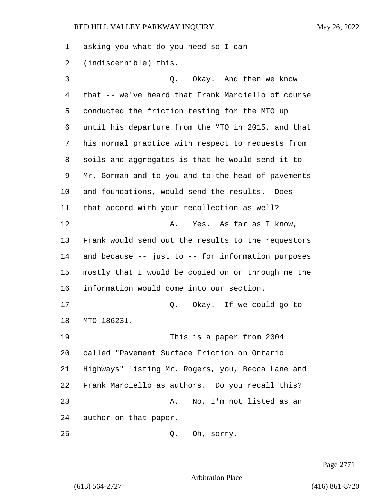asking you what do you need so I can (indiscernible) this.

3 Q. Okay. And then we know that -- we've heard that Frank Marciello of course conducted the friction testing for the MTO up until his departure from the MTO in 2015, and that his normal practice with respect to requests from soils and aggregates is that he would send it to Mr. Gorman and to you and to the head of pavements and foundations, would send the results. Does that accord with your recollection as well? 12 A. Yes. As far as I know, Frank would send out the results to the requestors and because -- just to -- for information purposes mostly that I would be copied on or through me the information would come into our section. 17 Q. Okay. If we could go to MTO 186231. 19 This is a paper from 2004 called "Pavement Surface Friction on Ontario Highways" listing Mr. Rogers, you, Becca Lane and Frank Marciello as authors. Do you recall this? 23 A. No, I'm not listed as an author on that paper. 25 Q. Oh, sorry.

Page 2771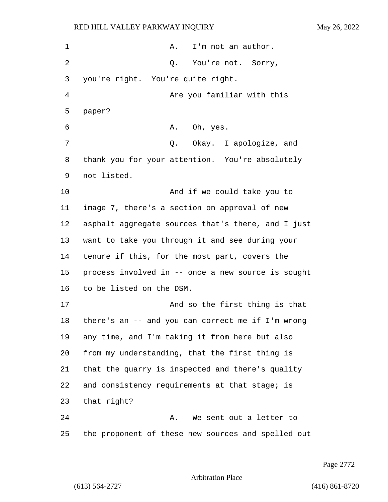| 1              | I'm not an author.<br>Α.                           |
|----------------|----------------------------------------------------|
| 2              | Q. You're not. Sorry,                              |
| 3              | you're right. You're quite right.                  |
| $\overline{4}$ | Are you familiar with this                         |
| 5              | paper?                                             |
| 6              | Oh, yes.<br>Α.                                     |
| 7              | Q. Okay. I apologize, and                          |
| 8              | thank you for your attention. You're absolutely    |
| 9              | not listed.                                        |
| 10             | And if we could take you to                        |
| 11             | image 7, there's a section on approval of new      |
| 12             | asphalt aggregate sources that's there, and I just |
| 13             | want to take you through it and see during your    |
| 14             | tenure if this, for the most part, covers the      |
| 15             | process involved in -- once a new source is sought |
| 16             | to be listed on the DSM.                           |
| 17             | And so the first thing is that                     |
| 18             | there's an -- and you can correct me if I'm wrong  |
| 19             | any time, and I'm taking it from here but also     |
| 20             | from my understanding, that the first thing is     |
| 21             | that the quarry is inspected and there's quality   |
| 22             | and consistency requirements at that stage; is     |
| 23             | that right?                                        |
| 24             | We sent out a letter to<br>Α.                      |
| 25             | the proponent of these new sources and spelled out |

Page 2772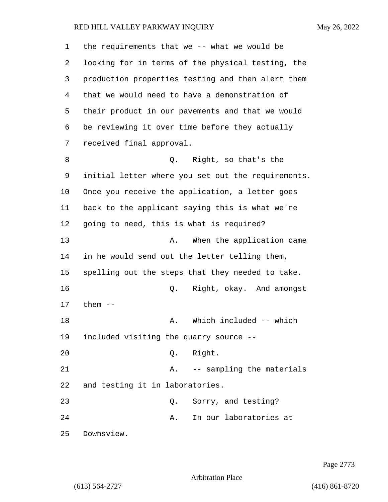| 1  | the requirements that we -- what we would be       |
|----|----------------------------------------------------|
| 2  | looking for in terms of the physical testing, the  |
| 3  | production properties testing and then alert them  |
| 4  | that we would need to have a demonstration of      |
| 5  | their product in our pavements and that we would   |
| 6  | be reviewing it over time before they actually     |
| 7  | received final approval.                           |
| 8  | Q. Right, so that's the                            |
| 9  | initial letter where you set out the requirements. |
| 10 | Once you receive the application, a letter goes    |
| 11 | back to the applicant saying this is what we're    |
| 12 | going to need, this is what is required?           |
| 13 | When the application came<br>Α.                    |
| 14 | in he would send out the letter telling them,      |
| 15 | spelling out the steps that they needed to take.   |
| 16 | Right, okay. And amongst<br>Q.                     |
| 17 | them $--$                                          |
| 18 | Which included -- which<br>Α.                      |
| 19 | included visiting the quarry source --             |
| 20 | Right.<br>Q.                                       |
| 21 | -- sampling the materials<br>Α.                    |
| 22 | and testing it in laboratories.                    |
| 23 | Sorry, and testing?<br>Q.                          |
| 24 | In our laboratories at<br>Α.                       |
| 25 | Downsview.                                         |

Page 2773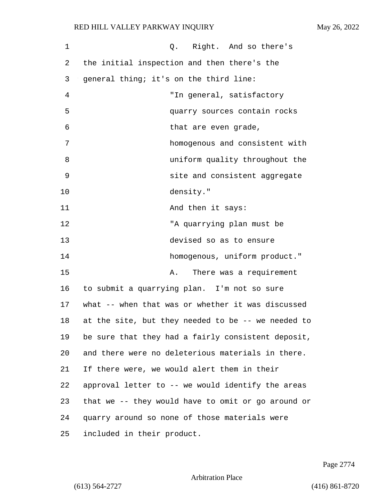| 1  | Q. Right. And so there's                           |
|----|----------------------------------------------------|
| 2  | the initial inspection and then there's the        |
| 3  | general thing; it's on the third line:             |
| 4  | "In general, satisfactory                          |
| 5  | quarry sources contain rocks                       |
| 6  | that are even grade,                               |
| 7  | homogenous and consistent with                     |
| 8  | uniform quality throughout the                     |
| 9  | site and consistent aggregate                      |
| 10 | density."                                          |
| 11 | And then it says:                                  |
| 12 | "A quarrying plan must be                          |
| 13 | devised so as to ensure                            |
| 14 | homogenous, uniform product."                      |
| 15 | There was a requirement<br>Α.                      |
| 16 | to submit a quarrying plan. I'm not so sure        |
| 17 | what -- when that was or whether it was discussed  |
| 18 | at the site, but they needed to be -- we needed to |
| 19 | be sure that they had a fairly consistent deposit, |
| 20 | and there were no deleterious materials in there.  |
| 21 | If there were, we would alert them in their        |
| 22 | approval letter to -- we would identify the areas  |
| 23 | that we -- they would have to omit or go around or |
| 24 | quarry around so none of those materials were      |
| 25 | included in their product.                         |

Page 2774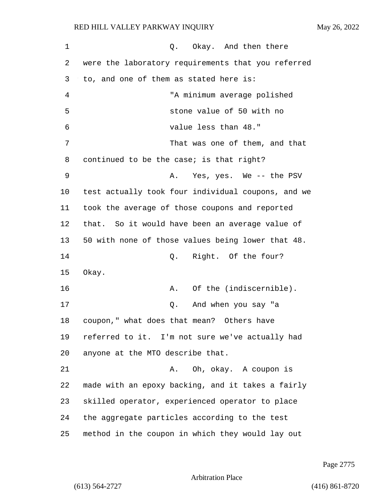| 1  | Okay. And then there<br>Q.                         |
|----|----------------------------------------------------|
| 2  | were the laboratory requirements that you referred |
| 3  | to, and one of them as stated here is:             |
| 4  | "A minimum average polished                        |
| 5  | stone value of 50 with no                          |
| 6  | value less than 48."                               |
| 7  | That was one of them, and that                     |
| 8  | continued to be the case; is that right?           |
| 9  | Yes, yes. We -- the PSV<br>Α.                      |
| 10 | test actually took four individual coupons, and we |
| 11 | took the average of those coupons and reported     |
| 12 | that. So it would have been an average value of    |
| 13 | 50 with none of those values being lower that 48.  |
| 14 | Right. Of the four?<br>Q.                          |
| 15 | Okay.                                              |
| 16 | Of the (indiscernible).<br>Α.                      |
| 17 | Q. And when you say "a                             |
| 18 | coupon," what does that mean? Others have          |
| 19 | referred to it. I'm not sure we've actually had    |
| 20 | anyone at the MTO describe that.                   |
| 21 | Oh, okay. A coupon is<br>Α.                        |
| 22 | made with an epoxy backing, and it takes a fairly  |
| 23 | skilled operator, experienced operator to place    |
| 24 | the aggregate particles according to the test      |
| 25 | method in the coupon in which they would lay out   |

Page 2775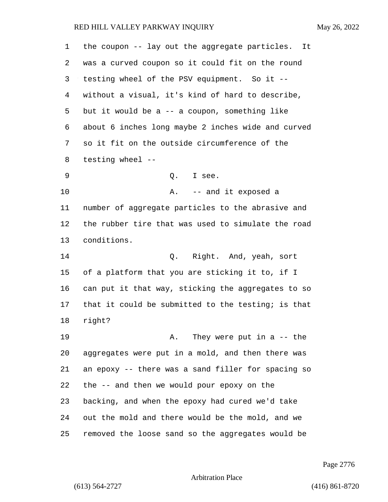the coupon -- lay out the aggregate particles. It was a curved coupon so it could fit on the round testing wheel of the PSV equipment. So it -- without a visual, it's kind of hard to describe, but it would be a -- a coupon, something like about 6 inches long maybe 2 inches wide and curved so it fit on the outside circumference of the testing wheel -- 9 Q. I see. 10 A. -- and it exposed a number of aggregate particles to the abrasive and the rubber tire that was used to simulate the road conditions. 14 Q. Right. And, yeah, sort of a platform that you are sticking it to, if I can put it that way, sticking the aggregates to so that it could be submitted to the testing; is that right? 19 A. They were put in a -- the aggregates were put in a mold, and then there was an epoxy -- there was a sand filler for spacing so the -- and then we would pour epoxy on the backing, and when the epoxy had cured we'd take out the mold and there would be the mold, and we removed the loose sand so the aggregates would be

Page 2776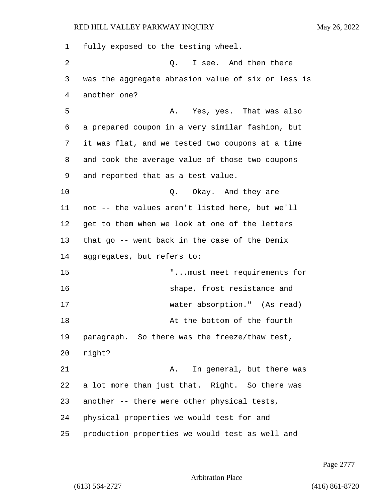fully exposed to the testing wheel. 2 Q. I see. And then there was the aggregate abrasion value of six or less is another one? 5 A. Yes, yes. That was also a prepared coupon in a very similar fashion, but it was flat, and we tested two coupons at a time and took the average value of those two coupons and reported that as a test value. 10 Q. Okay. And they are not -- the values aren't listed here, but we'll get to them when we look at one of the letters that go -- went back in the case of the Demix aggregates, but refers to: 15 "...must meet requirements for 16 shape, frost resistance and 17 water absorption." (As read) 18 At the bottom of the fourth paragraph. So there was the freeze/thaw test, 20 right? 21 A. In general, but there was a lot more than just that. Right. So there was another -- there were other physical tests, physical properties we would test for and production properties we would test as well and

Page 2777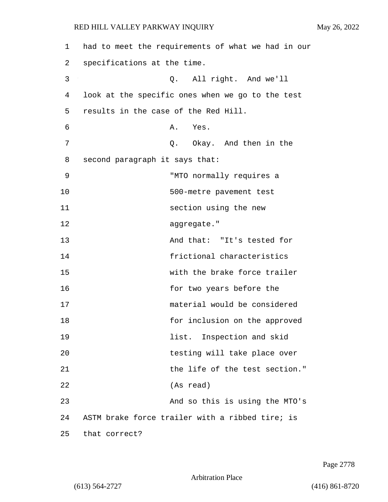| 1  | had to meet the requirements of what we had in our |
|----|----------------------------------------------------|
| 2  | specifications at the time.                        |
| 3  | All right. And we'll<br>Q.                         |
| 4  | look at the specific ones when we go to the test   |
| 5  | results in the case of the Red Hill.               |
| 6  | Α.<br>Yes.                                         |
| 7  | Q. Okay. And then in the                           |
| 8  | second paragraph it says that:                     |
| 9  | "MTO normally requires a                           |
| 10 | 500-metre pavement test                            |
| 11 | section using the new                              |
| 12 | aggregate."                                        |
| 13 | And that: "It's tested for                         |
| 14 | frictional characteristics                         |
| 15 | with the brake force trailer                       |
| 16 | for two years before the                           |
| 17 | material would be considered                       |
| 18 | for inclusion on the approved                      |
| 19 | list. Inspection and skid                          |
| 20 | testing will take place over                       |
| 21 | the life of the test section."                     |
| 22 | (As read)                                          |
| 23 | And so this is using the MTO's                     |
| 24 | ASTM brake force trailer with a ribbed tire; is    |
| 25 | that correct?                                      |

Page 2778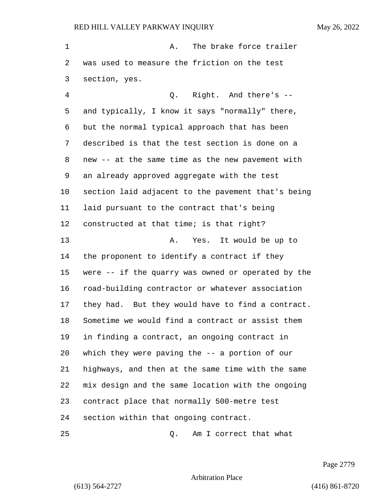1 A. The brake force trailer was used to measure the friction on the test section, yes. 4 Q. Right. And there's -- and typically, I know it says "normally" there, but the normal typical approach that has been described is that the test section is done on a new -- at the same time as the new pavement with an already approved aggregate with the test section laid adjacent to the pavement that's being laid pursuant to the contract that's being constructed at that time; is that right? 13 A. Yes. It would be up to the proponent to identify a contract if they were -- if the quarry was owned or operated by the road-building contractor or whatever association they had. But they would have to find a contract. Sometime we would find a contract or assist them in finding a contract, an ongoing contract in which they were paving the -- a portion of our highways, and then at the same time with the same mix design and the same location with the ongoing contract place that normally 500-metre test section within that ongoing contract. 25 Q. Am I correct that what

Page 2779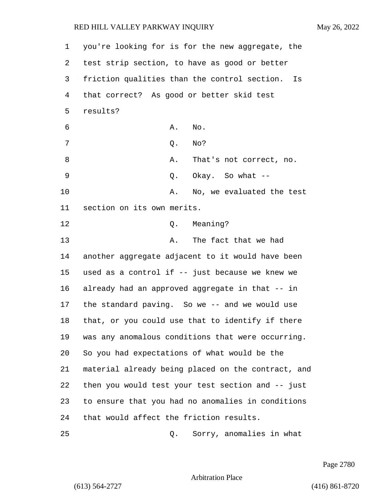you're looking for is for the new aggregate, the test strip section, to have as good or better friction qualities than the control section. Is that correct? As good or better skid test 5 results?  $\delta$  and  $\delta$ . A. No. 7 Q. No? 8 A. That's not correct, no. 9 Q. Okay. So what -- 10 A. No, we evaluated the test section on its own merits. 12 O. Meaning? 13 A. The fact that we had another aggregate adjacent to it would have been used as a control if -- just because we knew we already had an approved aggregate in that -- in the standard paving. So we -- and we would use that, or you could use that to identify if there was any anomalous conditions that were occurring. So you had expectations of what would be the material already being placed on the contract, and then you would test your test section and -- just to ensure that you had no anomalies in conditions

25 Q. Sorry, anomalies in what

24 that would affect the friction results.

Page 2780

Arbitration Place

(613) 564-2727 (416) 861-8720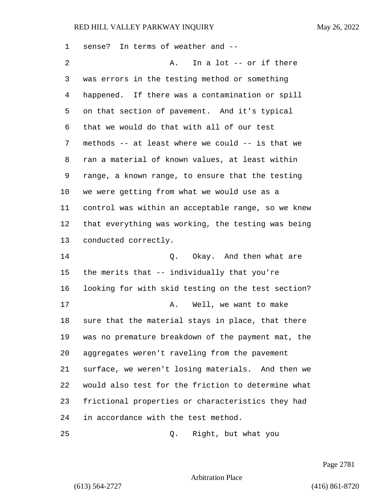sense? In terms of weather and -- 2 A. In a lot -- or if there was errors in the testing method or something happened. If there was a contamination or spill on that section of pavement. And it's typical that we would do that with all of our test methods -- at least where we could -- is that we ran a material of known values, at least within range, a known range, to ensure that the testing we were getting from what we would use as a control was within an acceptable range, so we knew that everything was working, the testing was being conducted correctly. 14 C. Okay. And then what are the merits that -- individually that you're looking for with skid testing on the test section? 17 A. Well, we want to make sure that the material stays in place, that there was no premature breakdown of the payment mat, the aggregates weren't raveling from the pavement surface, we weren't losing materials. And then we would also test for the friction to determine what frictional properties or characteristics they had in accordance with the test method. 25 Q. Right, but what you

Page 2781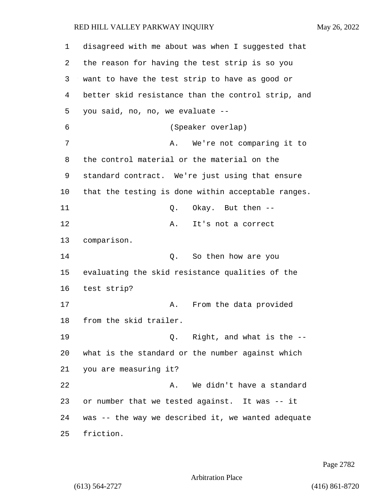| 1  | disagreed with me about was when I suggested that  |
|----|----------------------------------------------------|
| 2  | the reason for having the test strip is so you     |
| 3  | want to have the test strip to have as good or     |
| 4  | better skid resistance than the control strip, and |
| 5  | you said, no, no, we evaluate --                   |
| 6  | (Speaker overlap)                                  |
| 7  | We're not comparing it to<br>Α.                    |
| 8  | the control material or the material on the        |
| 9  | standard contract. We're just using that ensure    |
| 10 | that the testing is done within acceptable ranges. |
| 11 | Okay. But then --<br>Q.                            |
| 12 | Α.<br>It's not a correct                           |
| 13 | comparison.                                        |
| 14 | So then how are you<br>Q.                          |
| 15 | evaluating the skid resistance qualities of the    |
| 16 | test strip?                                        |
| 17 | From the data provided<br>Α.                       |
| 18 | from the skid trailer.                             |
| 19 | Q. Right, and what is the --                       |
| 20 | what is the standard or the number against which   |
| 21 | you are measuring it?                              |
| 22 | We didn't have a standard<br>Α.                    |
| 23 | or number that we tested against. It was -- it     |
| 24 | was -- the way we described it, we wanted adequate |
| 25 | friction.                                          |

Page 2782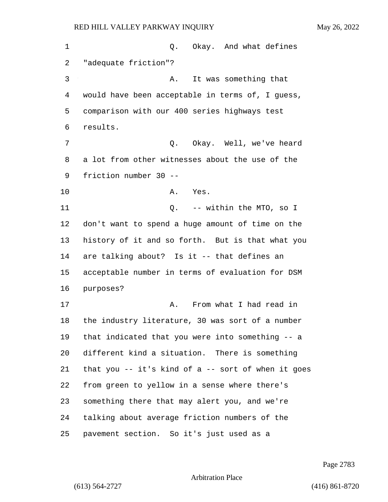| 1  | Okay. And what defines<br>Q.                       |
|----|----------------------------------------------------|
| 2  | "adequate friction"?                               |
| 3  | It was something that<br>Α.                        |
| 4  | would have been acceptable in terms of, I guess,   |
| 5  | comparison with our 400 series highways test       |
| 6  | results.                                           |
| 7  | Q. Okay. Well, we've heard                         |
| 8  | a lot from other witnesses about the use of the    |
| 9  | friction number 30 --                              |
| 10 | Yes.<br>Α.                                         |
| 11 | Q. -- within the MTO, so I                         |
| 12 | don't want to spend a huge amount of time on the   |
| 13 | history of it and so forth. But is that what you   |
| 14 | are talking about? Is it -- that defines an        |
| 15 | acceptable number in terms of evaluation for DSM   |
| 16 | purposes?                                          |
| 17 | From what I had read in<br>Α.                      |
| 18 | the industry literature, 30 was sort of a number   |
| 19 | that indicated that you were into something -- a   |
| 20 | different kind a situation. There is something     |
| 21 | that you -- it's kind of a -- sort of when it goes |
| 22 | from green to yellow in a sense where there's      |
| 23 | something there that may alert you, and we're      |
| 24 | talking about average friction numbers of the      |
| 25 | pavement section. So it's just used as a           |

Page 2783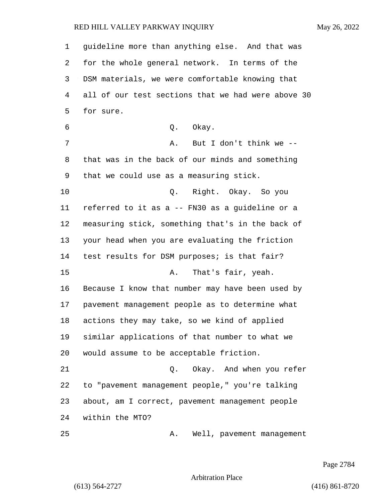guideline more than anything else. And that was for the whole general network. In terms of the DSM materials, we were comfortable knowing that all of our test sections that we had were above 30 for sure. 6 0. Okay. 7 A. But I don't think we -- that was in the back of our minds and something that we could use as a measuring stick. 10 Q. Right. Okay. So you referred to it as a -- FN30 as a guideline or a measuring stick, something that's in the back of your head when you are evaluating the friction test results for DSM purposes; is that fair? 15 A. That's fair, yeah. Because I know that number may have been used by pavement management people as to determine what actions they may take, so we kind of applied similar applications of that number to what we would assume to be acceptable friction. 21 Q. Okay. And when you refer to "pavement management people," you're talking about, am I correct, pavement management people within the MTO? 25 A. Well, pavement management

Page 2784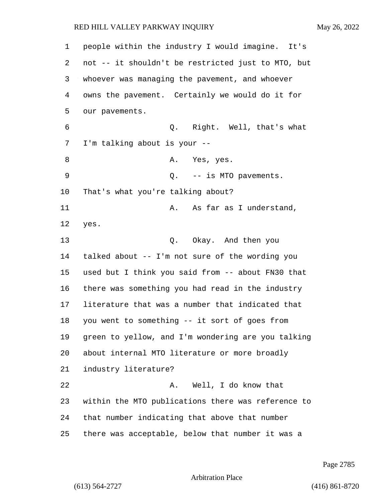| 1  | people within the industry I would imagine. It's   |
|----|----------------------------------------------------|
| 2  | not -- it shouldn't be restricted just to MTO, but |
| 3  | whoever was managing the pavement, and whoever     |
| 4  | owns the pavement. Certainly we would do it for    |
| 5  | our pavements.                                     |
| 6  | Q. Right. Well, that's what                        |
| 7  | I'm talking about is your --                       |
| 8  | A. Yes, yes.                                       |
| 9  | Q. -- is MTO pavements.                            |
| 10 | That's what you're talking about?                  |
| 11 | As far as I understand,<br>Α.                      |
| 12 | yes.                                               |
| 13 | Q. Okay. And then you                              |
| 14 | talked about -- I'm not sure of the wording you    |
| 15 | used but I think you said from -- about FN30 that  |
| 16 | there was something you had read in the industry   |
| 17 | literature that was a number that indicated that   |
| 18 | you went to something -- it sort of goes from      |
| 19 | green to yellow, and I'm wondering are you talking |
| 20 | about internal MTO literature or more broadly      |
| 21 | industry literature?                               |
| 22 | Well, I do know that<br>Α.                         |
| 23 | within the MTO publications there was reference to |
| 24 | that number indicating that above that number      |
| 25 | there was acceptable, below that number it was a   |

Page 2785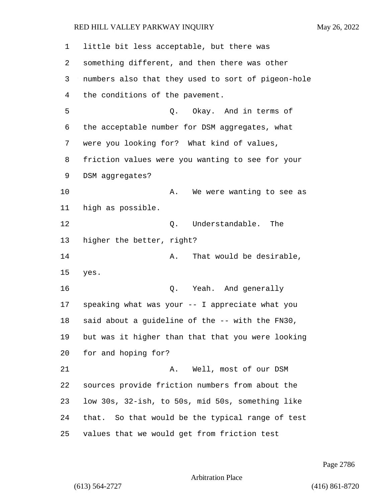| $\mathbf 1$ | little bit less acceptable, but there was          |
|-------------|----------------------------------------------------|
| 2           | something different, and then there was other      |
| 3           | numbers also that they used to sort of pigeon-hole |
| 4           | the conditions of the pavement.                    |
| 5           | Okay. And in terms of<br>Q.                        |
| 6           | the acceptable number for DSM aggregates, what     |
| 7           | were you looking for? What kind of values,         |
| 8           | friction values were you wanting to see for your   |
| 9           | DSM aggregates?                                    |
| 10          | We were wanting to see as<br>Α.                    |
| 11          | high as possible.                                  |
| 12          | Understandable.<br>The<br>Q.                       |
| 13          | higher the better, right?                          |
| 14          | That would be desirable,<br>Α.                     |
| 15          | yes.                                               |
| 16          | Yeah. And generally<br>Q.                          |
| 17          | speaking what was your -- I appreciate what you    |
| 18          | said about a guideline of the -- with the FN30,    |
| 19          | but was it higher than that that you were looking  |
| 20          | for and hoping for?                                |
| 21          | Well, most of our DSM<br>Α.                        |
| 22          | sources provide friction numbers from about the    |
| 23          | low 30s, 32-ish, to 50s, mid 50s, something like   |
| 24          | that. So that would be the typical range of test   |
| 25          | values that we would get from friction test        |

Page 2786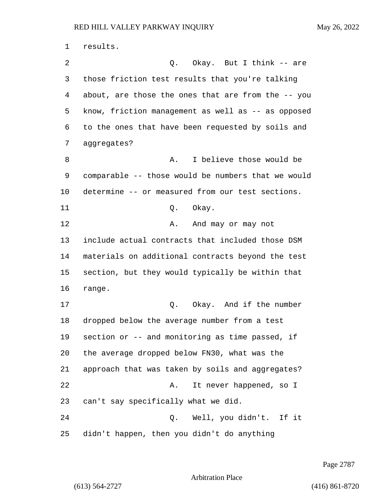results. 2 Q. Okay. But I think -- are those friction test results that you're talking about, are those the ones that are from the -- you know, friction management as well as -- as opposed to the ones that have been requested by soils and aggregates? 8 A. I believe those would be comparable -- those would be numbers that we would determine -- or measured from our test sections. 11 Q. Okay. 12 A. And may or may not include actual contracts that included those DSM materials on additional contracts beyond the test section, but they would typically be within that range. 17 C. Okay. And if the number dropped below the average number from a test section or -- and monitoring as time passed, if the average dropped below FN30, what was the approach that was taken by soils and aggregates? 22 A. It never happened, so I can't say specifically what we did. 24 Q. Well, you didn't. If it didn't happen, then you didn't do anything

Page 2787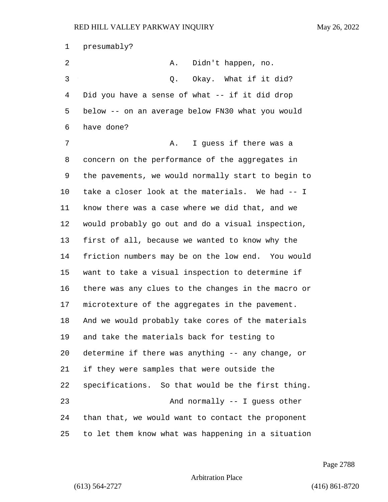presumably? 2 A. Didn't happen, no. 3 O. Okay. What if it did? Did you have a sense of what -- if it did drop below -- on an average below FN30 what you would have done? 7 A. I guess if there was a concern on the performance of the aggregates in the pavements, we would normally start to begin to take a closer look at the materials. We had -- I know there was a case where we did that, and we would probably go out and do a visual inspection, first of all, because we wanted to know why the friction numbers may be on the low end. You would want to take a visual inspection to determine if there was any clues to the changes in the macro or microtexture of the aggregates in the pavement. And we would probably take cores of the materials and take the materials back for testing to determine if there was anything -- any change, or if they were samples that were outside the specifications. So that would be the first thing. 23 And normally -- I guess other than that, we would want to contact the proponent to let them know what was happening in a situation

Page 2788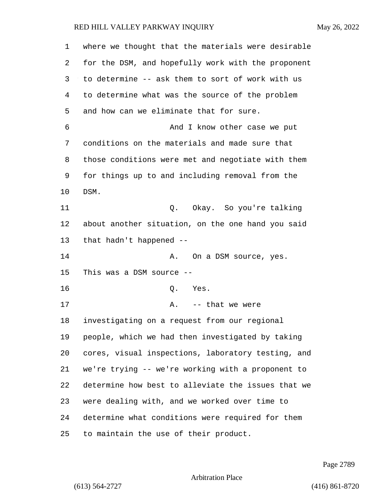| 1  | where we thought that the materials were desirable |
|----|----------------------------------------------------|
| 2  | for the DSM, and hopefully work with the proponent |
| 3  | to determine -- ask them to sort of work with us   |
| 4  | to determine what was the source of the problem    |
| 5  | and how can we eliminate that for sure.            |
| 6  | And I know other case we put                       |
| 7  | conditions on the materials and made sure that     |
| 8  | those conditions were met and negotiate with them  |
| 9  | for things up to and including removal from the    |
| 10 | DSM.                                               |
| 11 | Q. Okay. So you're talking                         |
| 12 | about another situation, on the one hand you said  |
| 13 | that hadn't happened --                            |
| 14 | On a DSM source, yes.<br>Α.                        |
| 15 | This was a DSM source $--$                         |
| 16 | Q.<br>Yes.                                         |
| 17 | A. -- that we were                                 |
| 18 | investigating on a request from our regional       |
| 19 | people, which we had then investigated by taking   |
| 20 | cores, visual inspections, laboratory testing, and |
| 21 | we're trying -- we're working with a proponent to  |
| 22 | determine how best to alleviate the issues that we |
| 23 | were dealing with, and we worked over time to      |
| 24 | determine what conditions were required for them   |
| 25 | to maintain the use of their product.              |

Page 2789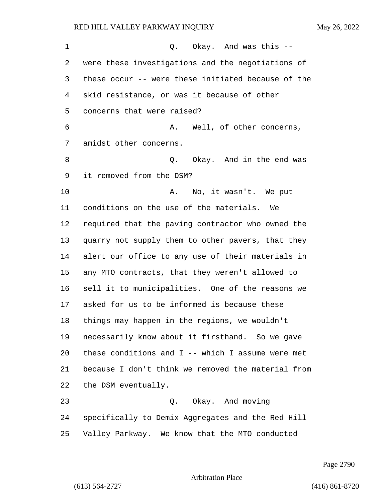1 O. Okay. And was this -- were these investigations and the negotiations of these occur -- were these initiated because of the skid resistance, or was it because of other concerns that were raised? 6 A. Well, of other concerns, amidst other concerns. 8 and 10 Q. Okay. And in the end was it removed from the DSM? 10 A. No, it wasn't. We put conditions on the use of the materials. We required that the paving contractor who owned the quarry not supply them to other pavers, that they alert our office to any use of their materials in any MTO contracts, that they weren't allowed to sell it to municipalities. One of the reasons we asked for us to be informed is because these things may happen in the regions, we wouldn't necessarily know about it firsthand. So we gave these conditions and I -- which I assume were met because I don't think we removed the material from the DSM eventually. 23 Q. Okay. And moving specifically to Demix Aggregates and the Red Hill

Page 2790

Arbitration Place

Valley Parkway. We know that the MTO conducted

(613) 564-2727 (416) 861-8720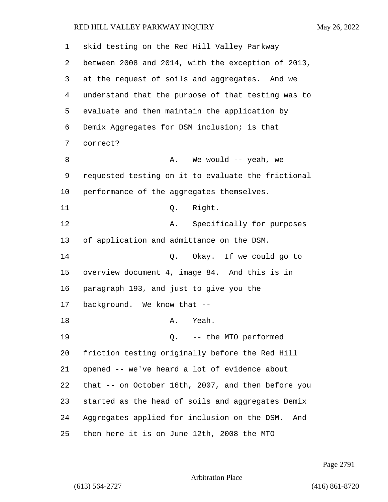| 1  | skid testing on the Red Hill Valley Parkway         |
|----|-----------------------------------------------------|
| 2  | between 2008 and 2014, with the exception of 2013,  |
| 3  | at the request of soils and aggregates. And we      |
| 4  | understand that the purpose of that testing was to  |
| 5  | evaluate and then maintain the application by       |
| 6  | Demix Aggregates for DSM inclusion; is that         |
| 7  | correct?                                            |
| 8  | We would -- yeah, we<br>Α.                          |
| 9  | requested testing on it to evaluate the frictional  |
| 10 | performance of the aggregates themselves.           |
| 11 | Right.<br>Q.                                        |
| 12 | Specifically for purposes<br>Α.                     |
| 13 | of application and admittance on the DSM.           |
| 14 | Q. Okay. If we could go to                          |
| 15 | overview document 4, image 84. And this is in       |
| 16 | paragraph 193, and just to give you the             |
| 17 | background. We know that --                         |
| 18 | Yeah.<br>А.                                         |
| 19 | Q. -- the MTO performed                             |
| 20 | friction testing originally before the Red Hill     |
| 21 | opened -- we've heard a lot of evidence about       |
| 22 | that -- on October 16th, 2007, and then before you  |
| 23 | started as the head of soils and aggregates Demix   |
| 24 | Aggregates applied for inclusion on the DSM.<br>And |
| 25 | then here it is on June 12th, 2008 the MTO          |

Page 2791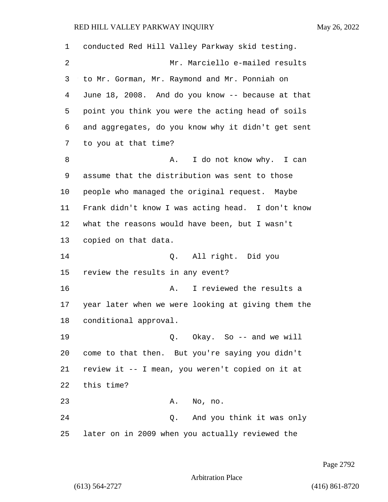| 1  | conducted Red Hill Valley Parkway skid testing.    |
|----|----------------------------------------------------|
| 2  | Mr. Marciello e-mailed results                     |
| 3  | to Mr. Gorman, Mr. Raymond and Mr. Ponniah on      |
| 4  | June 18, 2008. And do you know -- because at that  |
| 5  | point you think you were the acting head of soils  |
| 6  | and aggregates, do you know why it didn't get sent |
| 7  | to you at that time?                               |
| 8  | I do not know why. I can<br>Α.                     |
| 9  | assume that the distribution was sent to those     |
| 10 | people who managed the original request. Maybe     |
| 11 | Frank didn't know I was acting head. I don't know  |
| 12 | what the reasons would have been, but I wasn't     |
| 13 | copied on that data.                               |
| 14 | Q. All right. Did you                              |
| 15 | review the results in any event?                   |
| 16 | I reviewed the results a<br>Α.                     |
| 17 | year later when we were looking at giving them the |
| 18 | conditional approval.                              |
| 19 | Q. Okay. So -- and we will                         |
| 20 | come to that then. But you're saying you didn't    |
| 21 | review it -- I mean, you weren't copied on it at   |
| 22 | this time?                                         |
| 23 | No, no.<br>Α.                                      |
| 24 | And you think it was only<br>Q.                    |
| 25 | later on in 2009 when you actually reviewed the    |

Page 2792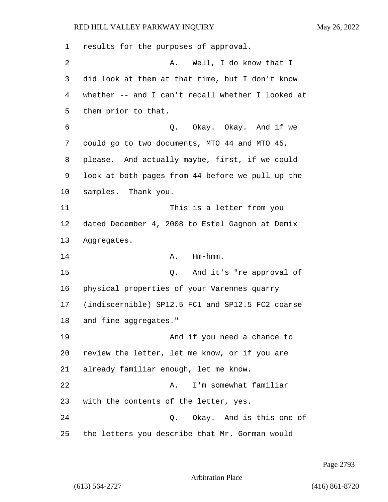results for the purposes of approval. 2 A. Well, I do know that I did look at them at that time, but I don't know whether -- and I can't recall whether I looked at them prior to that. 6 Q. Okay. Okay. And if we could go to two documents, MTO 44 and MTO 45, please. And actually maybe, first, if we could look at both pages from 44 before we pull up the samples. Thank you. 11 This is a letter from you dated December 4, 2008 to Estel Gagnon at Demix Aggregates. 14 A. Hm-hmm. 15 Q. And it's "re approval of physical properties of your Varennes quarry (indiscernible) SP12.5 FC1 and SP12.5 FC2 coarse and fine aggregates." 19 And if you need a chance to review the letter, let me know, or if you are already familiar enough, let me know. 22 A. I'm somewhat familiar with the contents of the letter, yes. 24 Q. Okay. And is this one of the letters you describe that Mr. Gorman would

Page 2793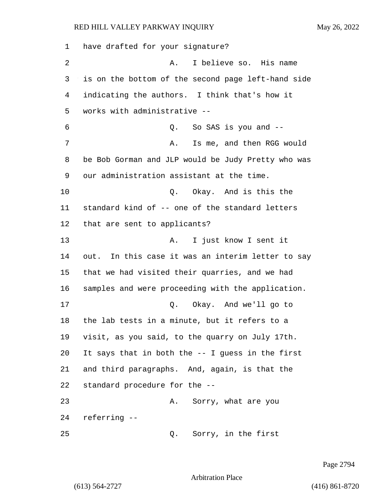have drafted for your signature? 2 A. I believe so. His name is on the bottom of the second page left-hand side indicating the authors. I think that's how it works with administrative -- 6 Q. So SAS is you and -- 7 A. Is me, and then RGG would be Bob Gorman and JLP would be Judy Pretty who was our administration assistant at the time. 10 Q. Okay. And is this the standard kind of -- one of the standard letters that are sent to applicants? 13 A. I just know I sent it out. In this case it was an interim letter to say that we had visited their quarries, and we had samples and were proceeding with the application. 17 Q. Okay. And we'll go to the lab tests in a minute, but it refers to a visit, as you said, to the quarry on July 17th. It says that in both the -- I guess in the first and third paragraphs. And, again, is that the standard procedure for the -- 23 A. Sorry, what are you referring -- 25 Q. Sorry, in the first

Page 2794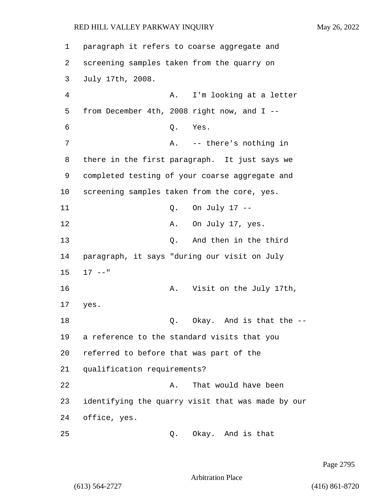1 paragraph it refers to coarse aggregate and 2 screening samples taken from the quarry on 3 July 17th, 2008. 4 A. I'm looking at a letter 5 from December 4th, 2008 right now, and I -- 6 Q. Yes. 7 A. -- there's nothing in 8 there in the first paragraph. It just says we 9 completed testing of your coarse aggregate and 10 screening samples taken from the core, yes. 11 Q. On July 17 -- 12 A. On July 17, yes. 13 O. And then in the third 14 paragraph, it says "during our visit on July 15 17 --" 16 A. Visit on the July 17th, 17 yes. 18 Q. Okay. And is that the --19 a reference to the standard visits that you 20 referred to before that was part of the 21 qualification requirements? 22 A. That would have been 23 identifying the quarry visit that was made by our 24 office, yes. 25 Q. Okay. And is that

Page 2795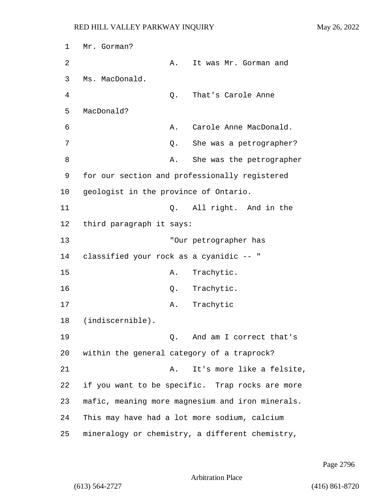1 Mr. Gorman? 2 A. It was Mr. Gorman and 3 Ms. MacDonald. 4 Q. That's Carole Anne 5 MacDonald? 6 **A.** Carole Anne MacDonald. 7 C. She was a petrographer? 8 A. She was the petrographer 9 for our section and professionally registered 10 geologist in the province of Ontario. 11 Q. All right. And in the 12 third paragraph it says: 13 "Our petrographer has 14 classified your rock as a cyanidic -- " 15 A. Trachytic. 16 Q. Trachytic. 17 A. Trachytic 18 (indiscernible). 19 Q. And am I correct that's 20 within the general category of a traprock? 21 A. It's more like a felsite, 22 if you want to be specific. Trap rocks are more 23 mafic, meaning more magnesium and iron minerals. 24 This may have had a lot more sodium, calcium 25 mineralogy or chemistry, a different chemistry,

Page 2796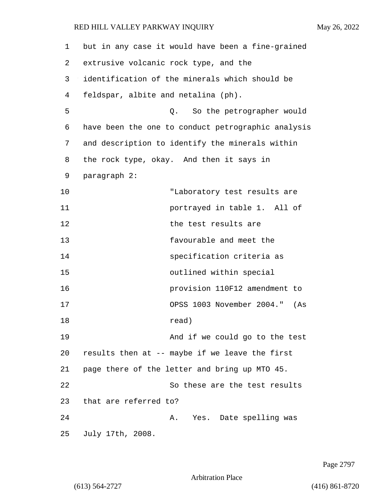| 1  | but in any case it would have been a fine-grained  |
|----|----------------------------------------------------|
| 2  | extrusive volcanic rock type, and the              |
| 3  | identification of the minerals which should be     |
| 4  | feldspar, albite and netalina (ph).                |
| 5  | So the petrographer would<br>О.                    |
| 6  | have been the one to conduct petrographic analysis |
| 7  | and description to identify the minerals within    |
| 8  | the rock type, okay. And then it says in           |
| 9  | paragraph 2:                                       |
| 10 | "Laboratory test results are                       |
| 11 | portrayed in table 1. All of                       |
| 12 | the test results are                               |
| 13 | favourable and meet the                            |
| 14 | specification criteria as                          |
| 15 | outlined within special                            |
| 16 | provision 110F12 amendment to                      |
| 17 | OPSS 1003 November 2004."<br>(As                   |
| 18 | read)                                              |
| 19 | And if we could go to the test                     |
| 20 | results then at -- maybe if we leave the first     |
| 21 | page there of the letter and bring up MTO 45.      |
| 22 | So these are the test results                      |
| 23 | that are referred to?                              |
| 24 | Yes. Date spelling was<br>Α.                       |
| 25 | July 17th, 2008.                                   |

Page 2797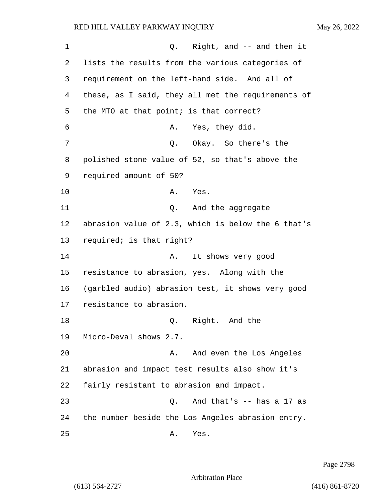1 Q. Right, and -- and then it 2 lists the results from the various categories of 3 requirement on the left-hand side. And all of 4 these, as I said, they all met the requirements of 5 the MTO at that point; is that correct? 6 A. Yes, they did. 7 C. Okay. So there's the 8 polished stone value of 52, so that's above the 9 required amount of 50? 10 A. Yes. 11 and the aggregate 12 abrasion value of 2.3, which is below the 6 that's 13 required; is that right? 14 A. It shows very good 15 resistance to abrasion, yes. Along with the 16 (garbled audio) abrasion test, it shows very good 17 resistance to abrasion. 18 O. Right. And the 19 Micro-Deval shows 2.7. 20 A. And even the Los Angeles 21 abrasion and impact test results also show it's 22 fairly resistant to abrasion and impact. 23 Q. And that's -- has a 17 as 24 the number beside the Los Angeles abrasion entry.

25 A. Yes.

Page 2798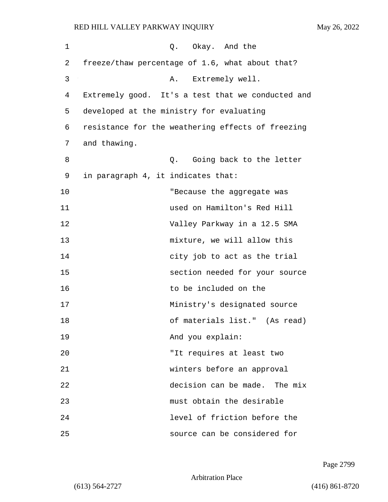| 1  | Q. Okay. And the                                  |
|----|---------------------------------------------------|
| 2  | freeze/thaw percentage of 1.6, what about that?   |
| 3  | Extremely well.<br>Α.                             |
| 4  | Extremely good. It's a test that we conducted and |
| 5  | developed at the ministry for evaluating          |
| 6  | resistance for the weathering effects of freezing |
| 7  | and thawing.                                      |
| 8  | Going back to the letter<br>Q.                    |
| 9  | in paragraph 4, it indicates that:                |
| 10 | "Because the aggregate was                        |
| 11 | used on Hamilton's Red Hill                       |
| 12 | Valley Parkway in a 12.5 SMA                      |
| 13 | mixture, we will allow this                       |
| 14 | city job to act as the trial                      |
| 15 | section needed for your source                    |
| 16 | to be included on the                             |
| 17 | Ministry's designated source                      |
| 18 | of materials list." (As read)                     |
| 19 | And you explain:                                  |
| 20 | "It requires at least two                         |
| 21 | winters before an approval                        |
| 22 | decision can be made. The mix                     |
| 23 | must obtain the desirable                         |
| 24 | level of friction before the                      |
| 25 | source can be considered for                      |

Page 2799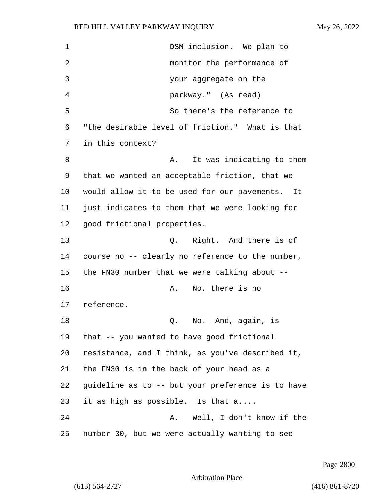1 DSM inclusion. We plan to 2 monitor the performance of 3 your aggregate on the 4 parkway." (As read) 5 So there's the reference to 6 "the desirable level of friction." What is that 7 in this context? 8 A. It was indicating to them 9 that we wanted an acceptable friction, that we 10 would allow it to be used for our pavements. It 11 just indicates to them that we were looking for 12 good frictional properties. 13 Q. Right. And there is of 14 course no -- clearly no reference to the number, 15 the FN30 number that we were talking about -- 16 A. No, there is no 17 reference. 18 Q. No. And, again, is 19 that -- you wanted to have good frictional 20 resistance, and I think, as you've described it, 21 the FN30 is in the back of your head as a 22 guideline as to -- but your preference is to have 23 it as high as possible. Is that a.... 24 A. Well, I don't know if the 25 number 30, but we were actually wanting to see

Page 2800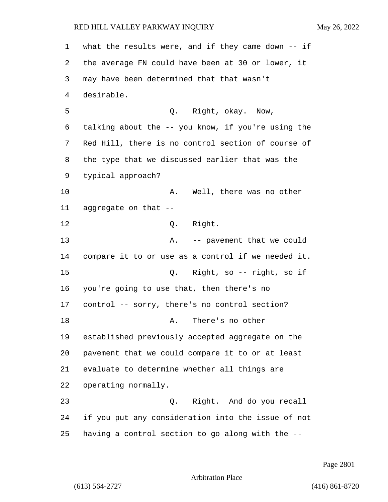what the results were, and if they came down -- if the average FN could have been at 30 or lower, it may have been determined that that wasn't desirable. 5 Q. Right, okay. Now, talking about the -- you know, if you're using the Red Hill, there is no control section of course of the type that we discussed earlier that was the typical approach? 10 A. Well, there was no other aggregate on that -- 12 O. Right. 13 A. -- pavement that we could compare it to or use as a control if we needed it. 15 Q. Right, so -- right, so if you're going to use that, then there's no control -- sorry, there's no control section? 18 A. There's no other established previously accepted aggregate on the pavement that we could compare it to or at least evaluate to determine whether all things are operating normally. 23 Q. Right. And do you recall if you put any consideration into the issue of not having a control section to go along with the --

Page 2801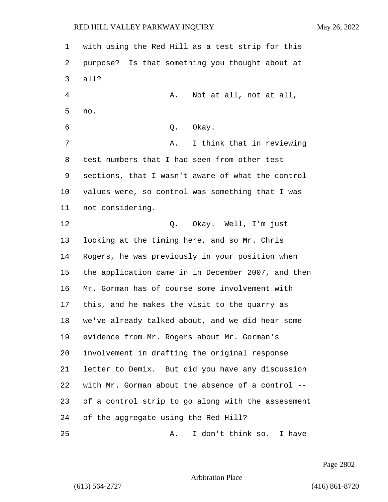with using the Red Hill as a test strip for this purpose? Is that something you thought about at all? 4 A. Not at all, not at all, no. 6 Q. Okay. 7 A. I think that in reviewing test numbers that I had seen from other test sections, that I wasn't aware of what the control values were, so control was something that I was not considering. 12 Q. Okay. Well, I'm just looking at the timing here, and so Mr. Chris Rogers, he was previously in your position when the application came in in December 2007, and then Mr. Gorman has of course some involvement with this, and he makes the visit to the quarry as we've already talked about, and we did hear some evidence from Mr. Rogers about Mr. Gorman's involvement in drafting the original response letter to Demix. But did you have any discussion with Mr. Gorman about the absence of a control -- of a control strip to go along with the assessment of the aggregate using the Red Hill? 25 A. I don't think so. I have

Page 2802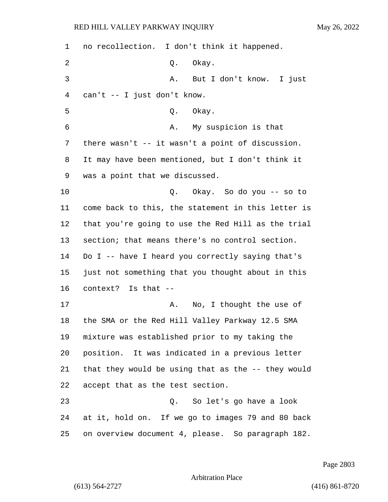no recollection. I don't think it happened. 2 Q. Okay. 3 A. But I don't know. I just can't -- I just don't know. 5 Q. Okay. 6 A. My suspicion is that there wasn't -- it wasn't a point of discussion. It may have been mentioned, but I don't think it was a point that we discussed. 10 Q. Okay. So do you -- so to come back to this, the statement in this letter is that you're going to use the Red Hill as the trial section; that means there's no control section. Do I -- have I heard you correctly saying that's just not something that you thought about in this context? Is that -- 17 A. No, I thought the use of the SMA or the Red Hill Valley Parkway 12.5 SMA mixture was established prior to my taking the position. It was indicated in a previous letter that they would be using that as the -- they would accept that as the test section. 23 Q. So let's go have a look at it, hold on. If we go to images 79 and 80 back on overview document 4, please. So paragraph 182.

Page 2803

Arbitration Place

(613) 564-2727 (416) 861-8720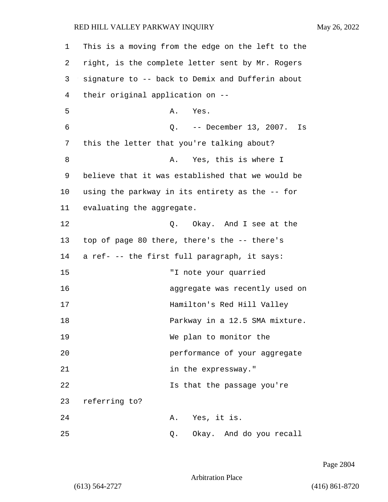| 1  | This is a moving from the edge on the left to the |
|----|---------------------------------------------------|
| 2  | right, is the complete letter sent by Mr. Rogers  |
| 3  | signature to -- back to Demix and Dufferin about  |
| 4  | their original application on --                  |
| 5  | Α.<br>Yes.                                        |
| 6  | Q. -- December 13, 2007.<br>Is                    |
| 7  | this the letter that you're talking about?        |
| 8  | Yes, this is where I<br>Α.                        |
| 9  | believe that it was established that we would be  |
| 10 | using the parkway in its entirety as the -- for   |
| 11 | evaluating the aggregate.                         |
| 12 | Q. Okay. And I see at the                         |
| 13 | top of page 80 there, there's the -- there's      |
| 14 | a ref- -- the first full paragraph, it says:      |
| 15 | "I note your quarried                             |
| 16 | aggregate was recently used on                    |
| 17 | Hamilton's Red Hill Valley                        |
| 18 | Parkway in a 12.5 SMA mixture.                    |
| 19 | We plan to monitor the                            |
| 20 | performance of your aggregate                     |
| 21 | in the expressway."                               |
| 22 | Is that the passage you're                        |
| 23 | referring to?                                     |
| 24 | A. Yes, it is.                                    |
| 25 | Okay. And do you recall<br>Q.                     |

Page 2804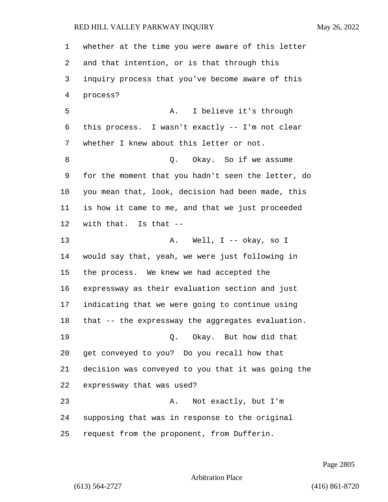whether at the time you were aware of this letter and that intention, or is that through this inquiry process that you've become aware of this process? 5 A. I believe it's through this process. I wasn't exactly -- I'm not clear whether I knew about this letter or not. 8 and 10. Okay. So if we assume for the moment that you hadn't seen the letter, do you mean that, look, decision had been made, this is how it came to me, and that we just proceeded with that. Is that -- 13 A. Well, I -- okay, so I would say that, yeah, we were just following in the process. We knew we had accepted the expressway as their evaluation section and just indicating that we were going to continue using that -- the expressway the aggregates evaluation. 19 Q. Okay. But how did that get conveyed to you? Do you recall how that decision was conveyed to you that it was going the expressway that was used? 23 A. Not exactly, but I'm supposing that was in response to the original request from the proponent, from Dufferin.

Page 2805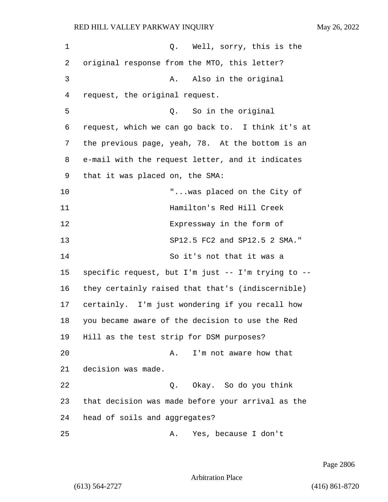| $\mathbf 1$ | Q. Well, sorry, this is the                        |
|-------------|----------------------------------------------------|
| 2           | original response from the MTO, this letter?       |
| 3           | A. Also in the original                            |
| 4           | request, the original request.                     |
| 5           | So in the original<br>Q.                           |
| 6           | request, which we can go back to. I think it's at  |
| 7           | the previous page, yeah, 78. At the bottom is an   |
| 8           | e-mail with the request letter, and it indicates   |
| 9           | that it was placed on, the SMA:                    |
| 10          | "was placed on the City of                         |
| 11          | Hamilton's Red Hill Creek                          |
| 12          | Expressway in the form of                          |
| 13          | SP12.5 FC2 and SP12.5 2 SMA."                      |
| 14          | So it's not that it was a                          |
| 15          | specific request, but I'm just -- I'm trying to -- |
| 16          | they certainly raised that that's (indiscernible)  |
| 17          | certainly. I'm just wondering if you recall how    |
| 18          | you became aware of the decision to use the Red    |
| 19          | Hill as the test strip for DSM purposes?           |
| 20          | I'm not aware how that<br>Α.                       |
| 21          | decision was made.                                 |
| 22          | Q. Okay. So do you think                           |
| 23          | that decision was made before your arrival as the  |
| 24          | head of soils and aggregates?                      |
| 25          | Yes, because I don't<br>Α.                         |

Page 2806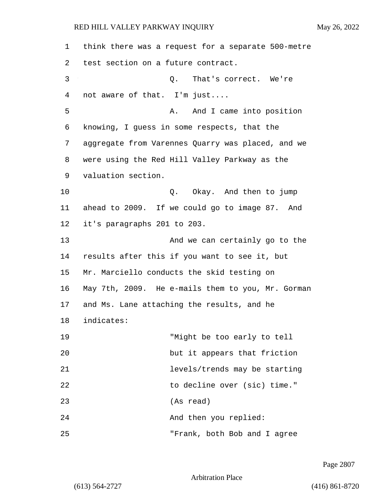1 think there was a request for a separate 500-metre 2 test section on a future contract. 3 Q. That's correct. We're 4 not aware of that. I'm just.... 5 A. And I came into position 6 knowing, I guess in some respects, that the 7 aggregate from Varennes Quarry was placed, and we 8 were using the Red Hill Valley Parkway as the 9 valuation section. 10 Q. Okay. And then to jump 11 ahead to 2009. If we could go to image 87. And 12 it's paragraphs 201 to 203. 13 And we can certainly go to the 14 results after this if you want to see it, but 15 Mr. Marciello conducts the skid testing on 16 May 7th, 2009. He e-mails them to you, Mr. Gorman 17 and Ms. Lane attaching the results, and he 18 indicates: 19 "Might be too early to tell 20 but it appears that friction 21 levels/trends may be starting 22 to decline over (sic) time." 23 (As read) 24 And then you replied: 25 "Frank, both Bob and I agree

Page 2807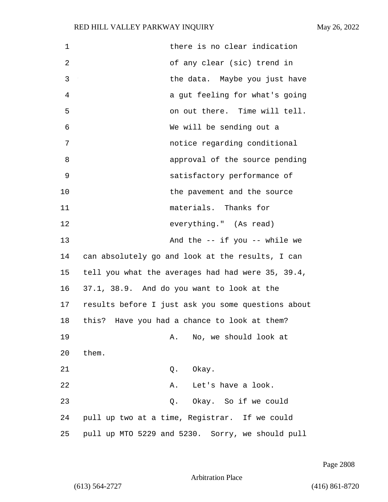| $\mathbf 1$ | there is no clear indication                       |
|-------------|----------------------------------------------------|
| 2           | of any clear (sic) trend in                        |
| 3           | the data. Maybe you just have                      |
| 4           | a gut feeling for what's going                     |
| 5           | on out there. Time will tell.                      |
| 6           | We will be sending out a                           |
| 7           | notice regarding conditional                       |
| 8           | approval of the source pending                     |
| 9           | satisfactory performance of                        |
| 10          | the pavement and the source                        |
| 11          | materials. Thanks for                              |
| 12          | everything." (As read)                             |
| 13          | And the $--$ if you $--$ while we                  |
| 14          | can absolutely go and look at the results, I can   |
| 15          | tell you what the averages had had were 35, 39.4,  |
| 16          | 37.1, 38.9. And do you want to look at the         |
| 17          | results before I just ask you some questions about |
| 18          | this?<br>Have you had a chance to look at them?    |
| 19          | No, we should look at<br>Α.                        |
| 20          | them.                                              |
| 21          | Okay.<br>Q.                                        |
| 22          | Let's have a look.<br>Α.                           |
| 23          | Okay. So if we could<br>Q.                         |
| 24          | pull up two at a time, Registrar. If we could      |
| 25          | pull up MTO 5229 and 5230. Sorry, we should pull   |

Page 2808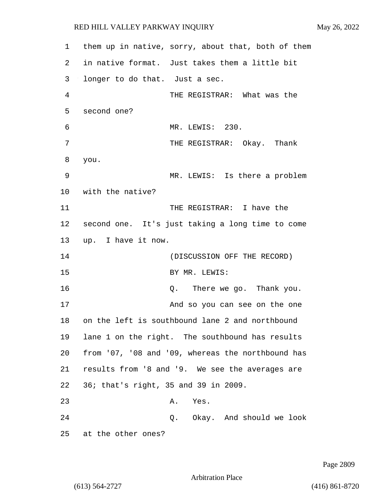1 them up in native, sorry, about that, both of them 2 in native format. Just takes them a little bit 3 longer to do that. Just a sec. 4 THE REGISTRAR: What was the 5 second one? 6 MR. LEWIS: 230. 7 THE REGISTRAR: Okay. Thank 8 you. 9 MR. LEWIS: Is there a problem 10 with the native? 11 THE REGISTRAR: I have the 12 second one. It's just taking a long time to come 13 up. I have it now. 14 (DISCUSSION OFF THE RECORD) 15 BY MR. LEWIS: 16 Q. There we go. Thank you. 17 And so you can see on the one 18 on the left is southbound lane 2 and northbound 19 lane 1 on the right. The southbound has results 20 from '07, '08 and '09, whereas the northbound has 21 results from '8 and '9. We see the averages are 22 36; that's right, 35 and 39 in 2009. 23 A. Yes. 24 Q. Okay. And should we look 25 at the other ones?

Page 2809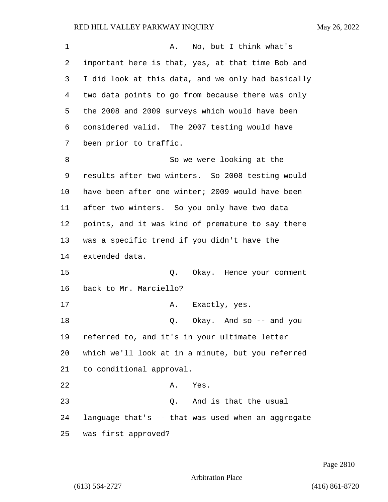| 1  | No, but I think what's<br>Α.                       |
|----|----------------------------------------------------|
| 2  | important here is that, yes, at that time Bob and  |
| 3  | I did look at this data, and we only had basically |
| 4  | two data points to go from because there was only  |
| 5  | the 2008 and 2009 surveys which would have been    |
| 6  | considered valid. The 2007 testing would have      |
| 7  | been prior to traffic.                             |
| 8  | So we were looking at the                          |
| 9  | results after two winters. So 2008 testing would   |
| 10 | have been after one winter; 2009 would have been   |
| 11 | after two winters. So you only have two data       |
| 12 | points, and it was kind of premature to say there  |
| 13 | was a specific trend if you didn't have the        |
| 14 | extended data.                                     |
| 15 | Q.<br>Okay. Hence your comment                     |
| 16 | back to Mr. Marciello?                             |
| 17 | Exactly, yes.<br>Α.                                |
| 18 | Okay. And $so$ -- and you<br>Q.                    |
| 19 | referred to, and it's in your ultimate letter      |
| 20 | which we'll look at in a minute, but you referred  |
| 21 | to conditional approval.                           |
| 22 | Α.<br>Yes.                                         |
| 23 | Q. And is that the usual                           |
| 24 | language that's -- that was used when an aggregate |
| 25 | was first approved?                                |

Page 2810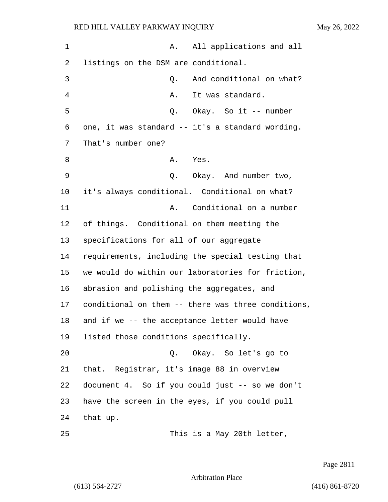1 A. All applications and all 2 listings on the DSM are conditional. 3 Q. And conditional on what? 4 A. It was standard. 5 Q. Okay. So it -- number 6 one, it was standard -- it's a standard wording. 7 That's number one? 8 A. Yes. 9 Q. Okay. And number two, 10 it's always conditional. Conditional on what? 11 A. Conditional on a number 12 of things. Conditional on them meeting the 13 specifications for all of our aggregate 14 requirements, including the special testing that 15 we would do within our laboratories for friction, 16 abrasion and polishing the aggregates, and 17 conditional on them -- there was three conditions, 18 and if we -- the acceptance letter would have 19 listed those conditions specifically. 20 Q. Okay. So let's go to 21 that. Registrar, it's image 88 in overview 22 document 4. So if you could just -- so we don't 23 have the screen in the eyes, if you could pull 24 that up. 25 This is a May 20th letter,

Page 2811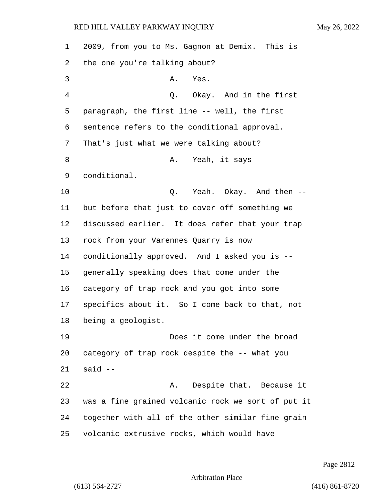2009, from you to Ms. Gagnon at Demix. This is the one you're talking about? 3 A. Yes. 4 Q. Okay. And in the first paragraph, the first line -- well, the first sentence refers to the conditional approval. That's just what we were talking about? 8 A. Yeah, it says conditional. **Q.** Yeah. Okay. And then -- but before that just to cover off something we discussed earlier. It does refer that your trap rock from your Varennes Quarry is now conditionally approved. And I asked you is -- generally speaking does that come under the category of trap rock and you got into some specifics about it. So I come back to that, not being a geologist. 19 Does it come under the broad category of trap rock despite the -- what you said -- 22 A. Despite that. Because it was a fine grained volcanic rock we sort of put it together with all of the other similar fine grain volcanic extrusive rocks, which would have

Page 2812

Arbitration Place

(613) 564-2727 (416) 861-8720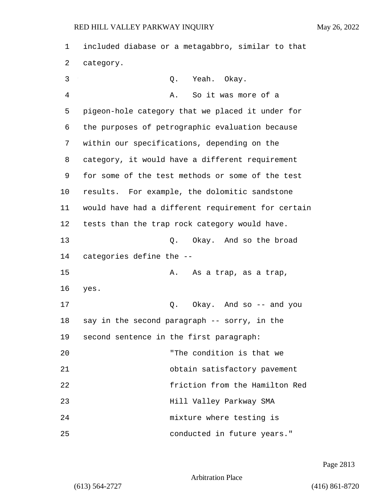1 included diabase or a metagabbro, similar to that 2 category. 3 Q. Yeah. Okay. 4 A. So it was more of a 5 pigeon-hole category that we placed it under for 6 the purposes of petrographic evaluation because 7 within our specifications, depending on the 8 category, it would have a different requirement 9 for some of the test methods or some of the test 10 results. For example, the dolomitic sandstone 11 would have had a different requirement for certain 12 tests than the trap rock category would have. 13 Q. Okay. And so the broad 14 categories define the -- 15 A. As a trap, as a trap, 16 yes. 17 Q. Okay. And so -- and you 18 say in the second paragraph -- sorry, in the 19 second sentence in the first paragraph: 20 "The condition is that we 21 obtain satisfactory pavement 22 friction from the Hamilton Red 23 Hill Valley Parkway SMA 24 mixture where testing is 25 conducted in future years."

Page 2813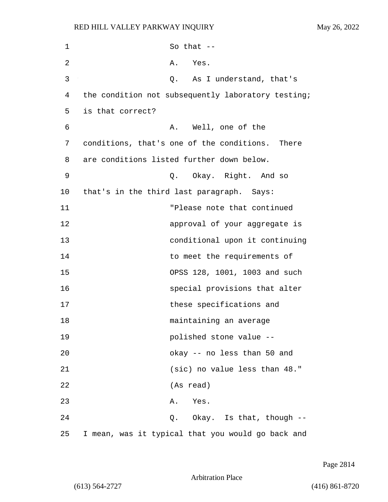| 1  | So that $--$                                       |
|----|----------------------------------------------------|
| 2  | Yes.<br>Α.                                         |
| 3  | As I understand, that's<br>Q.                      |
| 4  | the condition not subsequently laboratory testing; |
| 5  | is that correct?                                   |
| 6  | A. Well, one of the                                |
| 7  | conditions, that's one of the conditions. There    |
| 8  | are conditions listed further down below.          |
| 9  | Okay. Right. And so<br>Q.                          |
| 10 | that's in the third last paragraph. Says:          |
| 11 | "Please note that continued                        |
| 12 | approval of your aggregate is                      |
| 13 | conditional upon it continuing                     |
| 14 | to meet the requirements of                        |
| 15 | OPSS 128, 1001, 1003 and such                      |
| 16 | special provisions that alter                      |
| 17 | these specifications and                           |
| 18 | maintaining an average                             |
| 19 | polished stone value --                            |
| 20 | okay -- no less than 50 and                        |
| 21 | (sic) no value less than 48."                      |
| 22 | (As read)                                          |
| 23 | A. Yes.                                            |
| 24 | Q. Okay. Is that, though --                        |
| 25 | I mean, was it typical that you would go back and  |

Page 2814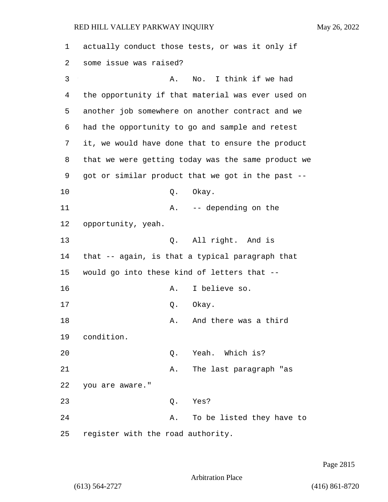| 1  | actually conduct those tests, or was it only if    |
|----|----------------------------------------------------|
| 2  | some issue was raised?                             |
| 3  | No. I think if we had<br>Α.                        |
| 4  | the opportunity if that material was ever used on  |
| 5  | another job somewhere on another contract and we   |
| 6  | had the opportunity to go and sample and retest    |
| 7  | it, we would have done that to ensure the product  |
| 8  | that we were getting today was the same product we |
| 9  | got or similar product that we got in the past --  |
| 10 | Q.<br>Okay.                                        |
| 11 | -- depending on the<br>Α.                          |
| 12 | opportunity, yeah.                                 |
| 13 | All right. And is<br>Q.                            |
| 14 | that -- again, is that a typical paragraph that    |
| 15 | would go into these kind of letters that --        |
| 16 | I believe so.<br>Α.                                |
| 17 | Q.<br>Okay.                                        |
| 18 | And there was a third<br>Α.                        |
| 19 | condition.                                         |
| 20 | Yeah. Which is?<br>Q.                              |
| 21 | The last paragraph "as<br>Α.                       |
| 22 | you are aware."                                    |
| 23 | Yes?<br>Q.                                         |
| 24 | To be listed they have to<br>Α.                    |
| 25 | register with the road authority.                  |

Page 2815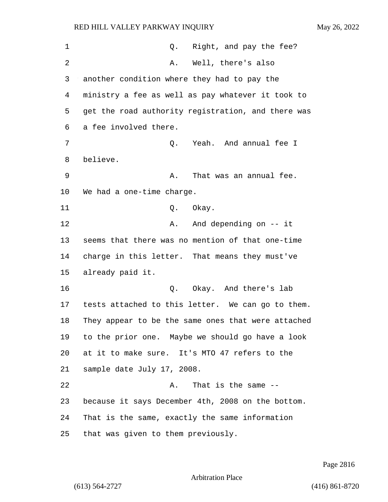| 1  | Right, and pay the fee?<br>Q.                      |
|----|----------------------------------------------------|
| 2  | Well, there's also<br>Α.                           |
| 3  | another condition where they had to pay the        |
| 4  | ministry a fee as well as pay whatever it took to  |
| 5  | get the road authority registration, and there was |
| 6  | a fee involved there.                              |
| 7  | Yeah. And annual fee I<br>Q.                       |
| 8  | believe.                                           |
| 9  | That was an annual fee.<br>Α.                      |
| 10 | We had a one-time charge.                          |
| 11 | Okay.<br>Q.                                        |
| 12 | And depending on -- it<br>Α.                       |
| 13 | seems that there was no mention of that one-time   |
| 14 | charge in this letter. That means they must've     |
| 15 | already paid it.                                   |
| 16 | Q. Okay. And there's lab                           |
| 17 | tests attached to this letter. We can go to them.  |
| 18 | They appear to be the same ones that were attached |
| 19 | to the prior one. Maybe we should go have a look   |
| 20 | at it to make sure. It's MTO 47 refers to the      |
| 21 | sample date July 17, 2008.                         |
| 22 | That is the same $-$ -<br>Α.                       |
| 23 | because it says December 4th, 2008 on the bottom.  |
| 24 | That is the same, exactly the same information     |
| 25 | that was given to them previously.                 |

Page 2816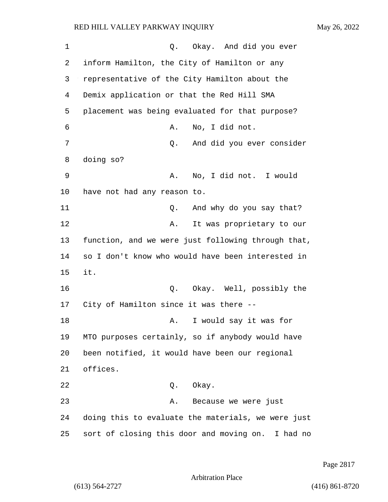| 1  | Okay. And did you ever<br>Q.                         |
|----|------------------------------------------------------|
| 2  | inform Hamilton, the City of Hamilton or any         |
| 3  | representative of the City Hamilton about the        |
| 4  | Demix application or that the Red Hill SMA           |
| 5  | placement was being evaluated for that purpose?      |
| 6  | No, I did not.<br>Α.                                 |
| 7  | And did you ever consider<br>Q.                      |
| 8  | doing so?                                            |
| 9  | No, I did not. I would<br>Α.                         |
| 10 | have not had any reason to.                          |
| 11 | And why do you say that?<br>Q.                       |
| 12 | It was proprietary to our<br>Α.                      |
| 13 | function, and we were just following through that,   |
| 14 | so I don't know who would have been interested in    |
| 15 | it.                                                  |
| 16 | Q. Okay. Well, possibly the                          |
| 17 | City of Hamilton since it was there --               |
| 18 | I would say it was for<br>Α.                         |
| 19 | MTO purposes certainly, so if anybody would have     |
| 20 | been notified, it would have been our regional       |
| 21 | offices.                                             |
| 22 | Q. Okay.                                             |
| 23 | Because we were just<br>Α.                           |
| 24 | doing this to evaluate the materials, we were just   |
| 25 | sort of closing this door and moving on.<br>I had no |

Page 2817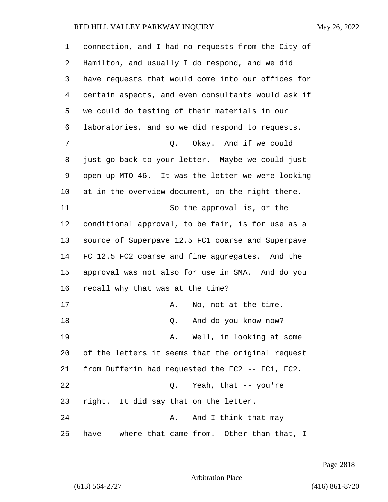| 1  | connection, and I had no requests from the City of |
|----|----------------------------------------------------|
| 2  | Hamilton, and usually I do respond, and we did     |
| 3  | have requests that would come into our offices for |
| 4  | certain aspects, and even consultants would ask if |
| 5  | we could do testing of their materials in our      |
| 6  | laboratories, and so we did respond to requests.   |
| 7  | Q. Okay. And if we could                           |
| 8  | just go back to your letter. Maybe we could just   |
| 9  | open up MTO 46. It was the letter we were looking  |
| 10 | at in the overview document, on the right there.   |
| 11 | So the approval is, or the                         |
| 12 | conditional approval, to be fair, is for use as a  |
| 13 | source of Superpave 12.5 FC1 coarse and Superpave  |
| 14 | FC 12.5 FC2 coarse and fine aggregates. And the    |
| 15 | approval was not also for use in SMA. And do you   |
| 16 | recall why that was at the time?                   |
| 17 | No, not at the time.<br>Α.                         |
| 18 | And do you know now?<br>Q.                         |
| 19 | A. Well, in looking at some                        |
| 20 | of the letters it seems that the original request  |
| 21 | from Dufferin had requested the FC2 -- FC1, FC2.   |
| 22 | Yeah, that -- you're<br>$Q$ .                      |
| 23 | right. It did say that on the letter.              |
| 24 | And I think that may<br>Α.                         |
| 25 | have -- where that came from. Other than that, I   |

Page 2818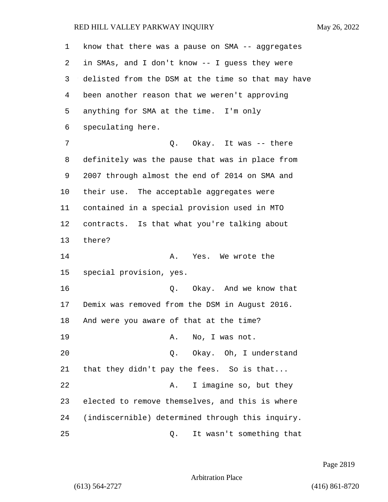| 1  | know that there was a pause on SMA -- aggregates   |
|----|----------------------------------------------------|
| 2  | in SMAs, and I don't know -- I guess they were     |
| 3  | delisted from the DSM at the time so that may have |
| 4  | been another reason that we weren't approving      |
| 5  | anything for SMA at the time. I'm only             |
| 6  | speculating here.                                  |
| 7  | Q. Okay. It was -- there                           |
| 8  | definitely was the pause that was in place from    |
| 9  | 2007 through almost the end of 2014 on SMA and     |
| 10 | their use. The acceptable aggregates were          |
| 11 | contained in a special provision used in MTO       |
| 12 | contracts. Is that what you're talking about       |
| 13 | there?                                             |
| 14 | Yes. We wrote the<br>A.                            |
| 15 | special provision, yes.                            |
| 16 | Okay. And we know that<br>Q.                       |
| 17 | Demix was removed from the DSM in August 2016.     |
| 18 | And were you aware of that at the time?            |
| 19 | No, I was not.<br>Α.                               |
| 20 | Okay. Oh, I understand<br>Q.                       |
| 21 | that they didn't pay the fees. So is that          |
| 22 | I imagine so, but they<br>Α.                       |
| 23 | elected to remove themselves, and this is where    |
| 24 | (indiscernible) determined through this inquiry.   |
| 25 | It wasn't something that<br>Q.                     |

Page 2819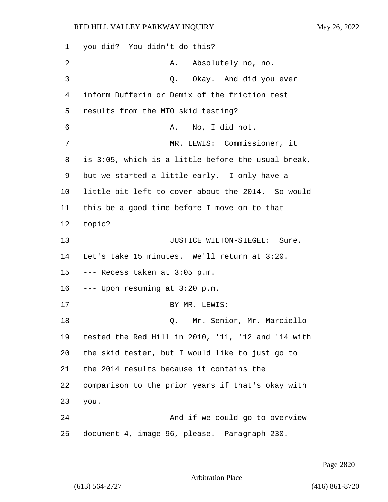1 you did? You didn't do this? 2 A. Absolutely no, no. 3 O. Okay. And did you ever 4 inform Dufferin or Demix of the friction test 5 results from the MTO skid testing? 6 A. No, I did not. 7 MR. LEWIS: Commissioner, it 8 is 3:05, which is a little before the usual break, 9 but we started a little early. I only have a 10 little bit left to cover about the 2014. So would 11 this be a good time before I move on to that 12 topic? 13 JUSTICE WILTON-SIEGEL: Sure. 14 Let's take 15 minutes. We'll return at 3:20. 15 --- Recess taken at 3:05 p.m. 16 --- Upon resuming at 3:20 p.m. 17 BY MR. LEWIS: 18 Q. Mr. Senior, Mr. Marciello 19 tested the Red Hill in 2010, '11, '12 and '14 with 20 the skid tester, but I would like to just go to 21 the 2014 results because it contains the 22 comparison to the prior years if that's okay with 23 you. 24 And if we could go to overview 25 document 4, image 96, please. Paragraph 230.

Page 2820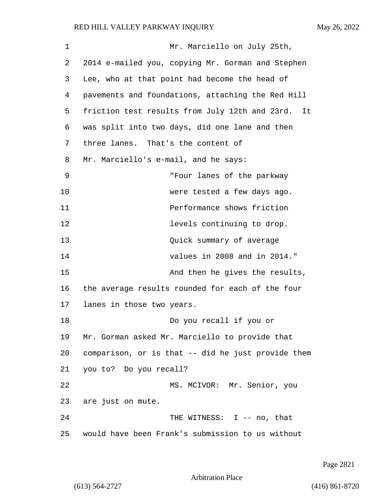| 1  | Mr. Marciello on July 25th,                        |
|----|----------------------------------------------------|
| 2  | 2014 e-mailed you, copying Mr. Gorman and Stephen  |
| 3  | Lee, who at that point had become the head of      |
| 4  | pavements and foundations, attaching the Red Hill  |
| 5  | friction test results from July 12th and 23rd. It  |
| 6  | was split into two days, did one lane and then     |
| 7  | three lanes. That's the content of                 |
| 8  | Mr. Marciello's e-mail, and he says:               |
| 9  | "Four lanes of the parkway                         |
| 10 | were tested a few days ago.                        |
| 11 | Performance shows friction                         |
| 12 | levels continuing to drop.                         |
| 13 | Quick summary of average                           |
| 14 | values in 2008 and in 2014."                       |
| 15 | And then he gives the results,                     |
| 16 | the average results rounded for each of the four   |
| 17 | lanes in those two years.                          |
| 18 | Do you recall if you or                            |
| 19 | Mr. Gorman asked Mr. Marciello to provide that     |
| 20 | comparison, or is that -- did he just provide them |
| 21 | you to? Do you recall?                             |
| 22 | MS. MCIVOR: Mr. Senior, you                        |
| 23 | are just on mute.                                  |
| 24 | THE WITNESS: I -- no, that                         |
| 25 | would have been Frank's submission to us without   |

Page 2821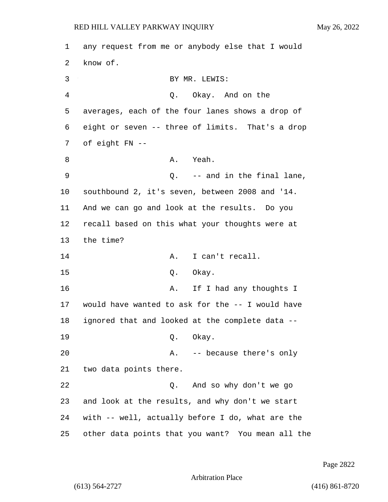1 any request from me or anybody else that I would 2 know of. 3 BY MR. LEWIS: 4 Q. Okay. And on the 5 averages, each of the four lanes shows a drop of 6 eight or seven -- three of limits. That's a drop 7 of eight FN -- 8 A. Yeah. 9 and in the final lane, 10 southbound 2, it's seven, between 2008 and '14. 11 And we can go and look at the results. Do you 12 recall based on this what your thoughts were at 13 the time? 14 A. I can't recall. 15 0. Okay. 16 A. If I had any thoughts I 17 would have wanted to ask for the -- I would have 18 ignored that and looked at the complete data -- 19 Q. Okay. 20 A. -- because there's only 21 two data points there. 22 Q. And so why don't we go 23 and look at the results, and why don't we start 24 with -- well, actually before I do, what are the 25 other data points that you want? You mean all the

Page 2822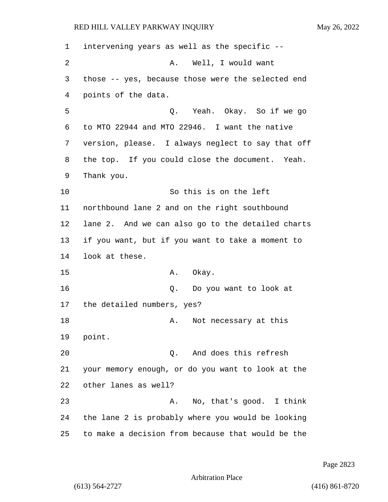intervening years as well as the specific -- 2 A. Well, I would want those -- yes, because those were the selected end points of the data. 5 Q. Yeah. Okay. So if we go to MTO 22944 and MTO 22946. I want the native version, please. I always neglect to say that off the top. If you could close the document. Yeah. Thank you. 10 So this is on the left northbound lane 2 and on the right southbound lane 2. And we can also go to the detailed charts if you want, but if you want to take a moment to look at these. 15 A. Okay. 16 Q. Do you want to look at the detailed numbers, yes? 18 A. Not necessary at this 19 point. 20 Q. And does this refresh your memory enough, or do you want to look at the other lanes as well? 23 A. No, that's good. I think the lane 2 is probably where you would be looking to make a decision from because that would be the

Page 2823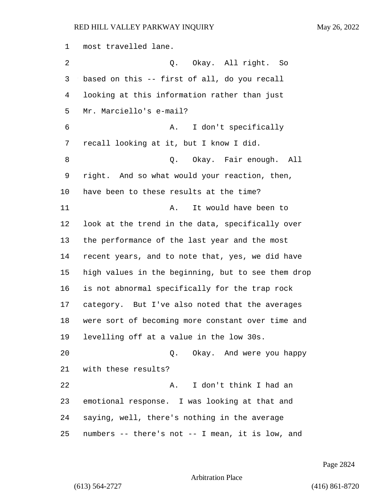most travelled lane. 2 Q. Okay. All right. So based on this -- first of all, do you recall looking at this information rather than just Mr. Marciello's e-mail? 6 A. I don't specifically recall looking at it, but I know I did. 8 a Q. Okay. Fair enough. All right. And so what would your reaction, then, have been to these results at the time? 11 A. It would have been to look at the trend in the data, specifically over the performance of the last year and the most recent years, and to note that, yes, we did have high values in the beginning, but to see them drop is not abnormal specifically for the trap rock category. But I've also noted that the averages were sort of becoming more constant over time and levelling off at a value in the low 30s. 20 Q. Okay. And were you happy with these results? 22 A. I don't think I had an emotional response. I was looking at that and saying, well, there's nothing in the average numbers -- there's not -- I mean, it is low, and

Page 2824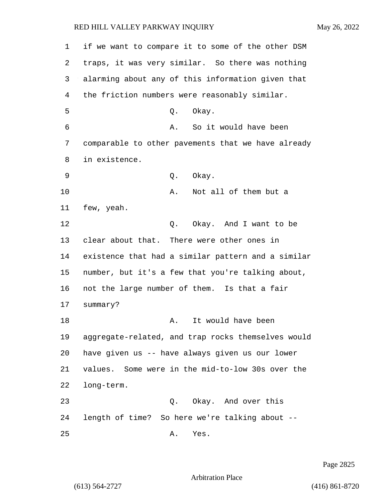| 1  | if we want to compare it to some of the other DSM  |
|----|----------------------------------------------------|
| 2  | traps, it was very similar. So there was nothing   |
| 3  | alarming about any of this information given that  |
| 4  | the friction numbers were reasonably similar.      |
| 5  | Okay.<br>Q.                                        |
| 6  | So it would have been<br>Α.                        |
| 7  | comparable to other pavements that we have already |
| 8  | in existence.                                      |
| 9  | Okay.<br>Q.                                        |
| 10 | Not all of them but a<br>Α.                        |
| 11 | few, yeah.                                         |
| 12 | Okay. And I want to be<br>Q.                       |
| 13 | clear about that. There were other ones in         |
| 14 | existence that had a similar pattern and a similar |
| 15 | number, but it's a few that you're talking about,  |
| 16 | not the large number of them. Is that a fair       |
| 17 | summary?                                           |
| 18 | It would have been<br>Α.                           |
| 19 | aggregate-related, and trap rocks themselves would |
| 20 | have given us -- have always given us our lower    |
| 21 | values. Some were in the mid-to-low 30s over the   |
| 22 | long-term.                                         |
| 23 | Okay. And over this<br>Q.                          |
| 24 | length of time? So here we're talking about --     |
| 25 | Α.<br>Yes.                                         |

Page 2825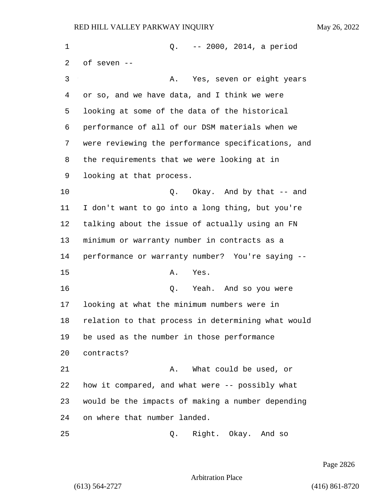1 Q. -- 2000, 2014, a period of seven -- 3 A. Yes, seven or eight years or so, and we have data, and I think we were looking at some of the data of the historical performance of all of our DSM materials when we were reviewing the performance specifications, and the requirements that we were looking at in looking at that process. **Q.** Okay. And by that -- and I don't want to go into a long thing, but you're talking about the issue of actually using an FN minimum or warranty number in contracts as a performance or warranty number? You're saying -- 15 A. Yes. 16 Q. Yeah. And so you were looking at what the minimum numbers were in relation to that process in determining what would be used as the number in those performance contracts? 21 A. What could be used, or how it compared, and what were -- possibly what would be the impacts of making a number depending on where that number landed. 25 Q. Right. Okay. And so

Page 2826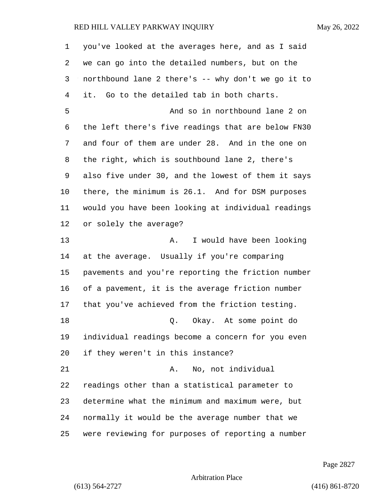| $\mathbf 1$ | you've looked at the averages here, and as I said  |
|-------------|----------------------------------------------------|
| 2           | we can go into the detailed numbers, but on the    |
| 3           | northbound lane 2 there's -- why don't we go it to |
| 4           | it. Go to the detailed tab in both charts.         |
| 5           | And so in northbound lane 2 on                     |
| 6           | the left there's five readings that are below FN30 |
| 7           | and four of them are under 28. And in the one on   |
| 8           | the right, which is southbound lane 2, there's     |
| 9           | also five under 30, and the lowest of them it says |
| 10          | there, the minimum is 26.1. And for DSM purposes   |
| 11          | would you have been looking at individual readings |
| 12          | or solely the average?                             |
| 13          | I would have been looking<br>Α.                    |
| 14          | at the average. Usually if you're comparing        |
| 15          | pavements and you're reporting the friction number |
| 16          | of a pavement, it is the average friction number   |
| 17          | that you've achieved from the friction testing.    |
| $18\,$      | Okay. At some point do<br>Q.                       |
| 19          | individual readings become a concern for you even  |
| 20          | if they weren't in this instance?                  |
| 21          | No, not individual<br>Α.                           |
| 22          | readings other than a statistical parameter to     |
| 23          | determine what the minimum and maximum were, but   |
| 24          | normally it would be the average number that we    |
| 25          | were reviewing for purposes of reporting a number  |

Page 2827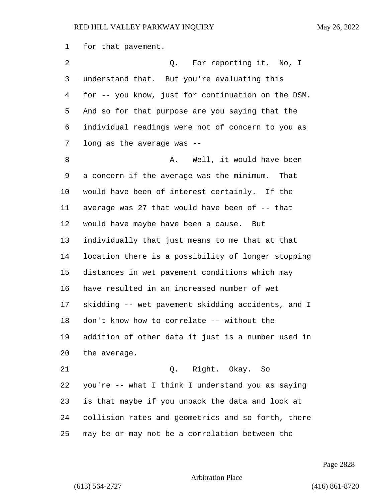for that pavement.

2 Q. For reporting it. No, I understand that. But you're evaluating this for -- you know, just for continuation on the DSM. And so for that purpose are you saying that the individual readings were not of concern to you as long as the average was -- 8 A. Well, it would have been a concern if the average was the minimum. That would have been of interest certainly. If the average was 27 that would have been of -- that would have maybe have been a cause. But individually that just means to me that at that location there is a possibility of longer stopping distances in wet pavement conditions which may have resulted in an increased number of wet skidding -- wet pavement skidding accidents, and I don't know how to correlate -- without the addition of other data it just is a number used in the average. 21 Q. Right. Okay. So you're -- what I think I understand you as saying is that maybe if you unpack the data and look at collision rates and geometrics and so forth, there

may be or may not be a correlation between the

Page 2828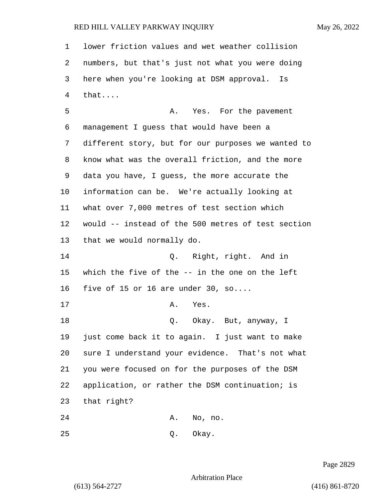| 1  | lower friction values and wet weather collision    |
|----|----------------------------------------------------|
| 2  | numbers, but that's just not what you were doing   |
| 3  | here when you're looking at DSM approval. Is       |
| 4  | that                                               |
| 5  | Yes. For the pavement<br>Α.                        |
| 6  | management I guess that would have been a          |
| 7  | different story, but for our purposes we wanted to |
| 8  | know what was the overall friction, and the more   |
| 9  | data you have, I guess, the more accurate the      |
| 10 | information can be. We're actually looking at      |
| 11 | what over 7,000 metres of test section which       |
| 12 | would -- instead of the 500 metres of test section |
| 13 | that we would normally do.                         |
| 14 | Right, right. And in<br>Q.                         |
| 15 | which the five of the -- in the one on the left    |
| 16 | five of 15 or 16 are under 30, so                  |
| 17 | Yes.<br>Α.                                         |
| 18 | Okay. But, anyway, I<br>Q.                         |
| 19 | just come back it to again. I just want to make    |
| 20 | sure I understand your evidence. That's not what   |
| 21 | you were focused on for the purposes of the DSM    |
| 22 | application, or rather the DSM continuation; is    |
| 23 | that right?                                        |
| 24 | Α.<br>No, no.                                      |
| 25 | Okay.<br>Q.                                        |

Page 2829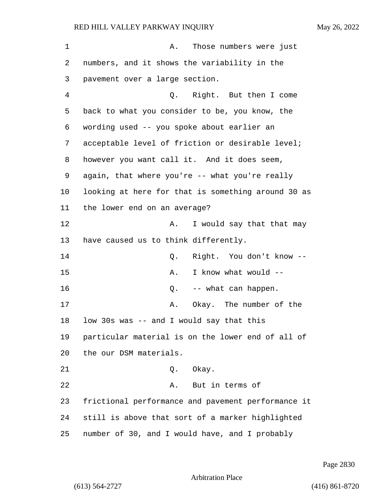| 1  | Those numbers were just<br>Α.                      |
|----|----------------------------------------------------|
| 2  | numbers, and it shows the variability in the       |
| 3  | pavement over a large section.                     |
| 4  | Q. Right. But then I come                          |
| 5  | back to what you consider to be, you know, the     |
| 6  | wording used -- you spoke about earlier an         |
| 7  | acceptable level of friction or desirable level;   |
| 8  | however you want call it. And it does seem,        |
| 9  | again, that where you're -- what you're really     |
| 10 | looking at here for that is something around 30 as |
| 11 | the lower end on an average?                       |
| 12 | I would say that that may<br>Α.                    |
| 13 | have caused us to think differently.               |
| 14 | Right. You don't know --<br>Q.                     |
| 15 | I know what would --<br>Α.                         |
| 16 | -- what can happen.<br>Q.                          |
| 17 | Okay. The number of the<br>Α.                      |
| 18 | low 30s was -- and I would say that this           |
| 19 | particular material is on the lower end of all of  |
| 20 | the our DSM materials.                             |
| 21 | Okay.<br>Q.                                        |
| 22 | But in terms of<br>Α.                              |
| 23 | frictional performance and pavement performance it |
| 24 | still is above that sort of a marker highlighted   |
| 25 | number of 30, and I would have, and I probably     |

Page 2830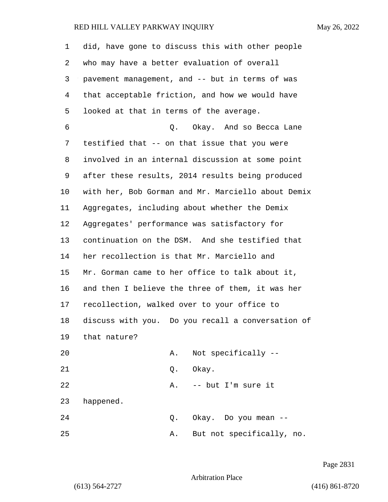| 1  | did, have gone to discuss this with other people   |
|----|----------------------------------------------------|
| 2  | who may have a better evaluation of overall        |
| 3  | pavement management, and -- but in terms of was    |
| 4  | that acceptable friction, and how we would have    |
| 5  | looked at that in terms of the average.            |
| 6  | Q. Okay. And so Becca Lane                         |
| 7  | testified that -- on that issue that you were      |
| 8  | involved in an internal discussion at some point   |
| 9  | after these results, 2014 results being produced   |
| 10 | with her, Bob Gorman and Mr. Marciello about Demix |
| 11 | Aggregates, including about whether the Demix      |
| 12 | Aggregates' performance was satisfactory for       |
| 13 | continuation on the DSM. And she testified that    |
| 14 | her recollection is that Mr. Marciello and         |
| 15 | Mr. Gorman came to her office to talk about it,    |
| 16 | and then I believe the three of them, it was her   |
| 17 | recollection, walked over to your office to        |
| 18 | discuss with you. Do you recall a conversation of  |
| 19 | that nature?                                       |
| 20 | Not specifically --<br>Α.                          |
| 21 | Okay.<br>Q.                                        |
| 22 | -- but I'm sure it<br>Α.                           |
| 23 | happened.                                          |
| 24 | Okay. Do you mean --<br>Q.                         |
| 25 | But not specifically, no.<br>Α.                    |

Page 2831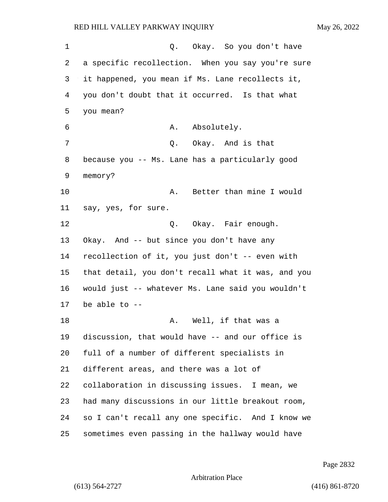1 C. Okay. So you don't have a specific recollection. When you say you're sure it happened, you mean if Ms. Lane recollects it, you don't doubt that it occurred. Is that what you mean? 6 A. Absolutely. 7 Q. Okay. And is that because you -- Ms. Lane has a particularly good memory? 10 A. Better than mine I would say, yes, for sure. 12 O. Okay. Fair enough. Okay. And -- but since you don't have any recollection of it, you just don't -- even with that detail, you don't recall what it was, and you would just -- whatever Ms. Lane said you wouldn't be able to -- 18 A. Well, if that was a discussion, that would have -- and our office is full of a number of different specialists in different areas, and there was a lot of collaboration in discussing issues. I mean, we had many discussions in our little breakout room, so I can't recall any one specific. And I know we sometimes even passing in the hallway would have

Page 2832

Arbitration Place

(613) 564-2727 (416) 861-8720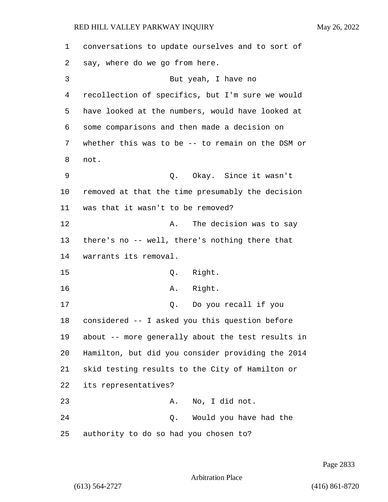| 1  | conversations to update ourselves and to sort of  |
|----|---------------------------------------------------|
| 2  | say, where do we go from here.                    |
| 3  | But yeah, I have no                               |
| 4  | recollection of specifics, but I'm sure we would  |
| 5  | have looked at the numbers, would have looked at  |
| 6  | some comparisons and then made a decision on      |
| 7  | whether this was to be -- to remain on the DSM or |
| 8  | not.                                              |
| 9  | Okay. Since it wasn't<br>Q.                       |
| 10 | removed at that the time presumably the decision  |
| 11 | was that it wasn't to be removed?                 |
| 12 | The decision was to say<br>Α.                     |
| 13 | there's no -- well, there's nothing there that    |
| 14 | warrants its removal.                             |
| 15 | Right.<br>Q.                                      |
| 16 | A. Right.                                         |
| 17 | Do you recall if you<br>Q.                        |
| 18 | considered -- I asked you this question before    |
| 19 | about -- more generally about the test results in |
| 20 | Hamilton, but did you consider providing the 2014 |
| 21 | skid testing results to the City of Hamilton or   |
| 22 | its representatives?                              |
| 23 | No, I did not.<br>Α.                              |
| 24 | Would you have had the<br>Q.                      |
| 25 | authority to do so had you chosen to?             |

Page 2833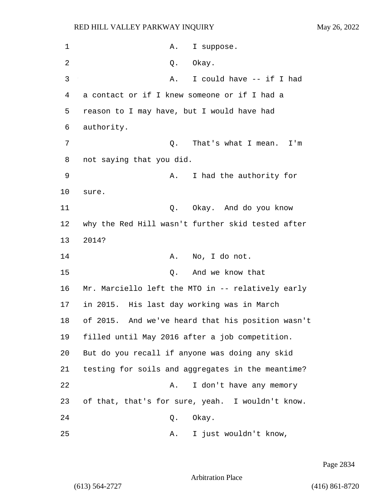| 1  | Α.<br>I suppose.                                  |
|----|---------------------------------------------------|
| 2  | Okay.<br>Q.                                       |
| 3  | I could have -- if I had<br>Α.                    |
| 4  | a contact or if I knew someone or if I had a      |
| 5  | reason to I may have, but I would have had        |
| 6  | authority.                                        |
| 7  | That's what I mean.<br>Q.<br>I'm                  |
| 8  | not saying that you did.                          |
| 9  | I had the authority for<br>Α.                     |
| 10 | sure.                                             |
| 11 | Okay. And do you know<br>Q.                       |
| 12 | why the Red Hill wasn't further skid tested after |
| 13 | 2014?                                             |
| 14 | No, I do not.<br>Α.                               |
| 15 | And we know that<br>Q.                            |
| 16 | Mr. Marciello left the MTO in -- relatively early |
| 17 | in 2015. His last day working was in March        |
| 18 | of 2015. And we've heard that his position wasn't |
| 19 | filled until May 2016 after a job competition.    |
| 20 | But do you recall if anyone was doing any skid    |
| 21 | testing for soils and aggregates in the meantime? |
| 22 | I don't have any memory<br>Α.                     |
| 23 | of that, that's for sure, yeah. I wouldn't know.  |
| 24 | Q.<br>Okay.                                       |
| 25 | I just wouldn't know,<br>Α.                       |

Page 2834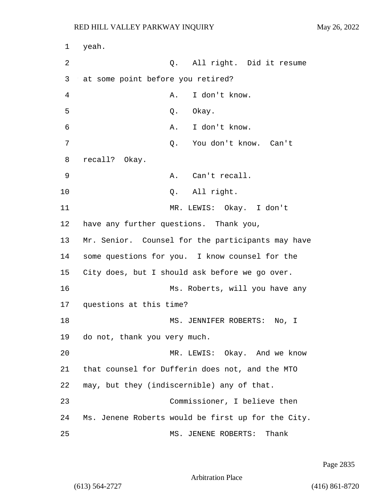1 yeah. 2 Q. All right. Did it resume 3 at some point before you retired? 4 A. I don't know. 5 Q. Okay. 6 A. I don't know. 7 Q. You don't know. Can't 8 recall? Okay. 9 A. Can't recall. 10 Q. All right. 11 MR. LEWIS: Okay. I don't 12 have any further questions. Thank you, 13 Mr. Senior. Counsel for the participants may have 14 some questions for you. I know counsel for the 15 City does, but I should ask before we go over. 16 Ms. Roberts, will you have any 17 questions at this time? 18 MS. JENNIFER ROBERTS: No, I 19 do not, thank you very much. 20 MR. LEWIS: Okay. And we know 21 that counsel for Dufferin does not, and the MTO 22 may, but they (indiscernible) any of that. 23 Commissioner, I believe then 24 Ms. Jenene Roberts would be first up for the City. 25 MS. JENENE ROBERTS: Thank

Page 2835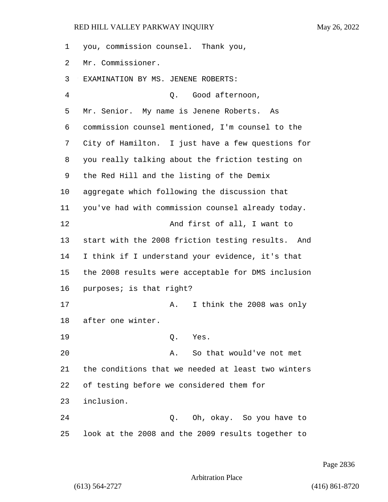you, commission counsel. Thank you, Mr. Commissioner. EXAMINATION BY MS. JENENE ROBERTS: 4 Q. Good afternoon, Mr. Senior. My name is Jenene Roberts. As commission counsel mentioned, I'm counsel to the City of Hamilton. I just have a few questions for you really talking about the friction testing on the Red Hill and the listing of the Demix aggregate which following the discussion that you've had with commission counsel already today. 12 And first of all, I want to start with the 2008 friction testing results. And I think if I understand your evidence, it's that the 2008 results were acceptable for DMS inclusion purposes; is that right? 17 A. I think the 2008 was only after one winter. 19 Q. Yes. 20 A. So that would've not met the conditions that we needed at least two winters of testing before we considered them for inclusion. 24 Q. Oh, okay. So you have to

look at the 2008 and the 2009 results together to

Page 2836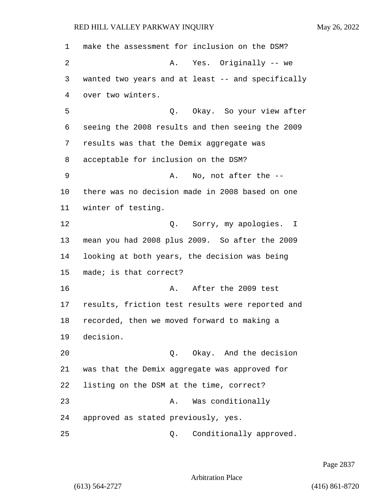make the assessment for inclusion on the DSM? 2 A. Yes. Originally -- we wanted two years and at least -- and specifically over two winters. 5 Q. Okay. So your view after seeing the 2008 results and then seeing the 2009 results was that the Demix aggregate was acceptable for inclusion on the DSM? 9 A. No, not after the -- there was no decision made in 2008 based on one winter of testing. 12 O. Sorry, my apologies. I mean you had 2008 plus 2009. So after the 2009 looking at both years, the decision was being made; is that correct? 16 A. After the 2009 test results, friction test results were reported and recorded, then we moved forward to making a decision. 20 Q. Okay. And the decision was that the Demix aggregate was approved for listing on the DSM at the time, correct? 23 A. Was conditionally approved as stated previously, yes. 25 Q. Conditionally approved.

Page 2837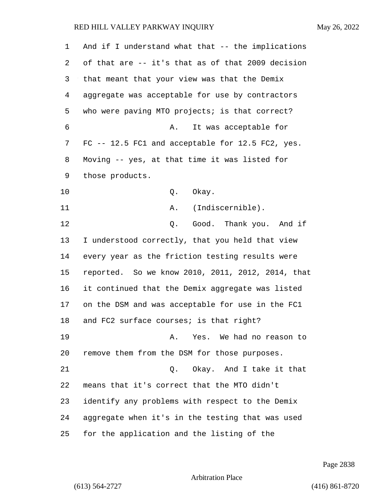| 1  | And if I understand what that $--$ the implications |
|----|-----------------------------------------------------|
| 2  | of that are -- it's that as of that 2009 decision   |
| 3  | that meant that your view was that the Demix        |
| 4  | aggregate was acceptable for use by contractors     |
| 5  | who were paving MTO projects; is that correct?      |
| 6  | It was acceptable for<br>Α.                         |
| 7  | FC -- 12.5 FC1 and acceptable for 12.5 FC2, yes.    |
| 8  | Moving -- yes, at that time it was listed for       |
| 9  | those products.                                     |
| 10 | Okay.<br>Q.                                         |
| 11 | (Indiscernible).<br>Α.                              |
| 12 | Good. Thank you. And if<br>Q.                       |
| 13 | I understood correctly, that you held that view     |
| 14 | every year as the friction testing results were     |
| 15 | reported. So we know 2010, 2011, 2012, 2014, that   |
| 16 | it continued that the Demix aggregate was listed    |
| 17 | on the DSM and was acceptable for use in the FC1    |
| 18 | and FC2 surface courses; is that right?             |
| 19 | Yes. We had no reason to<br>Α.                      |
| 20 | remove them from the DSM for those purposes.        |
| 21 | Okay. And I take it that<br>Q.                      |
| 22 | means that it's correct that the MTO didn't         |
| 23 | identify any problems with respect to the Demix     |
| 24 | aggregate when it's in the testing that was used    |
| 25 | for the application and the listing of the          |

Page 2838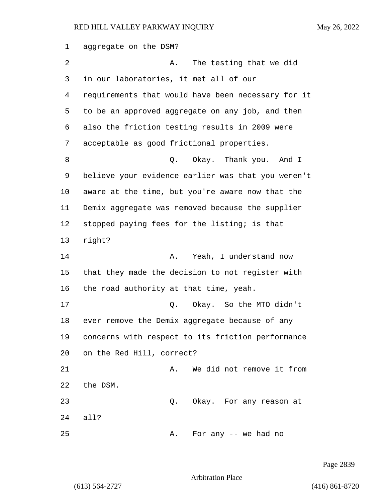aggregate on the DSM? 2 A. The testing that we did in our laboratories, it met all of our requirements that would have been necessary for it to be an approved aggregate on any job, and then also the friction testing results in 2009 were acceptable as good frictional properties. 8 and 1 Q. Okay. Thank you. And I believe your evidence earlier was that you weren't aware at the time, but you're aware now that the Demix aggregate was removed because the supplier stopped paying fees for the listing; is that right? 14 A. Yeah, I understand now that they made the decision to not register with the road authority at that time, yeah. 17 C. Okay. So the MTO didn't ever remove the Demix aggregate because of any concerns with respect to its friction performance on the Red Hill, correct? 21 A. We did not remove it from the DSM. 23 Q. Okay. For any reason at all? 25 A. For any -- we had no

Page 2839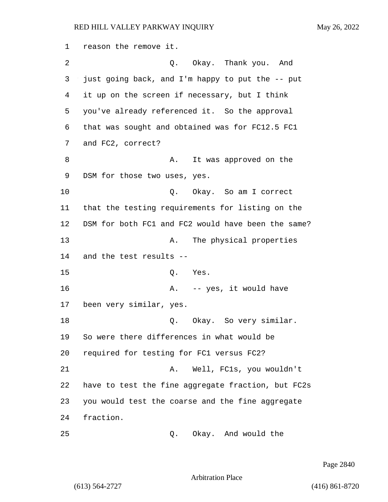reason the remove it. 2 Q. Okay. Thank you. And just going back, and I'm happy to put the -- put it up on the screen if necessary, but I think you've already referenced it. So the approval that was sought and obtained was for FC12.5 FC1 and FC2, correct? 8 A. It was approved on the DSM for those two uses, yes. 10 Q. Okay. So am I correct that the testing requirements for listing on the DSM for both FC1 and FC2 would have been the same? 13 A. The physical properties and the test results -- 15 Q. Yes. 16 A. -- yes, it would have been very similar, yes. 18 Q. Okay. So very similar. So were there differences in what would be required for testing for FC1 versus FC2? 21 A. Well, FC1s, you wouldn't have to test the fine aggregate fraction, but FC2s you would test the coarse and the fine aggregate fraction. 25 Q. Okay. And would the

Page 2840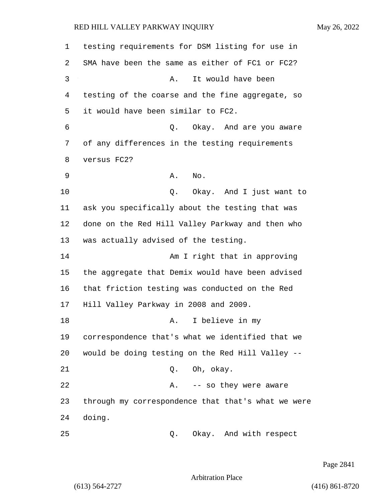| 1  | testing requirements for DSM listing for use in    |
|----|----------------------------------------------------|
| 2  | SMA have been the same as either of FC1 or FC2?    |
| 3  | It would have been<br>Α.                           |
| 4  | testing of the coarse and the fine aggregate, so   |
| 5  | it would have been similar to FC2.                 |
| 6  | Q.<br>Okay. And are you aware                      |
| 7  | of any differences in the testing requirements     |
| 8  | versus FC2?                                        |
| 9  | No.<br>Α.                                          |
| 10 | Okay. And I just want to<br>Q.                     |
| 11 | ask you specifically about the testing that was    |
| 12 | done on the Red Hill Valley Parkway and then who   |
| 13 | was actually advised of the testing.               |
| 14 | Am I right that in approving                       |
| 15 | the aggregate that Demix would have been advised   |
| 16 | that friction testing was conducted on the Red     |
| 17 | Hill Valley Parkway in 2008 and 2009.              |
| 18 | I believe in my<br>Α.                              |
| 19 | correspondence that's what we identified that we   |
| 20 | would be doing testing on the Red Hill Valley --   |
| 21 | Oh, okay.<br>Q.                                    |
| 22 | -- so they were aware<br>Α.                        |
| 23 | through my correspondence that that's what we were |
| 24 | doing.                                             |
| 25 | Okay. And with respect<br>Q.                       |

Page 2841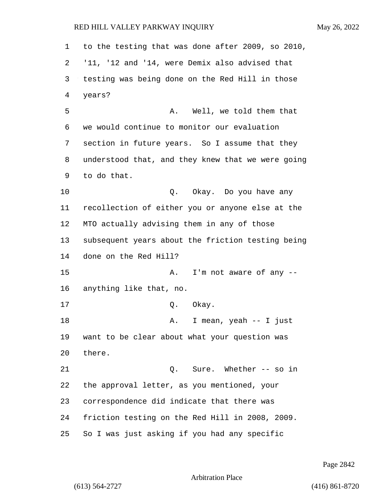to the testing that was done after 2009, so 2010, '11, '12 and '14, were Demix also advised that testing was being done on the Red Hill in those years? 5 A. Well, we told them that we would continue to monitor our evaluation section in future years. So I assume that they understood that, and they knew that we were going to do that. 10 Q. Okay. Do you have any recollection of either you or anyone else at the MTO actually advising them in any of those subsequent years about the friction testing being done on the Red Hill? 15 A. I'm not aware of any -- anything like that, no. 17 0. Okay. 18 A. I mean, yeah -- I just want to be clear about what your question was there. 21 Q. Sure. Whether -- so in the approval letter, as you mentioned, your correspondence did indicate that there was friction testing on the Red Hill in 2008, 2009. So I was just asking if you had any specific

Page 2842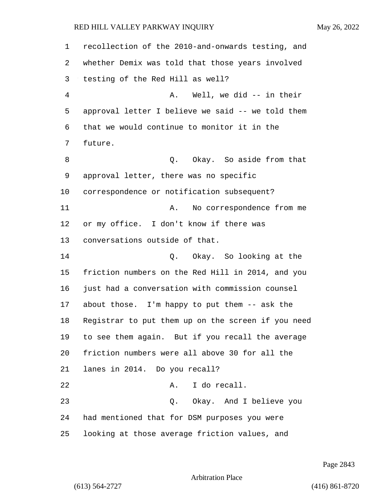recollection of the 2010-and-onwards testing, and whether Demix was told that those years involved testing of the Red Hill as well? 4 A. Well, we did -- in their approval letter I believe we said -- we told them that we would continue to monitor it in the future. 8 and 1 Q. Okay. So aside from that approval letter, there was no specific correspondence or notification subsequent? 11 A. No correspondence from me or my office. I don't know if there was conversations outside of that. 14 Q. Okay. So looking at the friction numbers on the Red Hill in 2014, and you just had a conversation with commission counsel about those. I'm happy to put them -- ask the Registrar to put them up on the screen if you need to see them again. But if you recall the average friction numbers were all above 30 for all the lanes in 2014. Do you recall? 22 A. I do recall. 23 Q. Okay. And I believe you had mentioned that for DSM purposes you were looking at those average friction values, and

Page 2843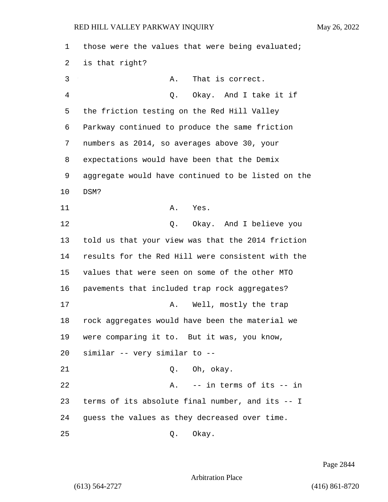those were the values that were being evaluated; is that right? 3 A. That is correct. 4 Q. Okay. And I take it if the friction testing on the Red Hill Valley Parkway continued to produce the same friction numbers as 2014, so averages above 30, your expectations would have been that the Demix aggregate would have continued to be listed on the 10 DSM? 11 A. Yes. 12 O. Okay. And I believe you told us that your view was that the 2014 friction results for the Red Hill were consistent with the values that were seen on some of the other MTO pavements that included trap rock aggregates? 17 A. Well, mostly the trap rock aggregates would have been the material we were comparing it to. But it was, you know, similar -- very similar to -- 21 Q. Oh, okay. 22 A. -- in terms of its -- in terms of its absolute final number, and its -- I guess the values as they decreased over time. 25 Q. Okay.

Page 2844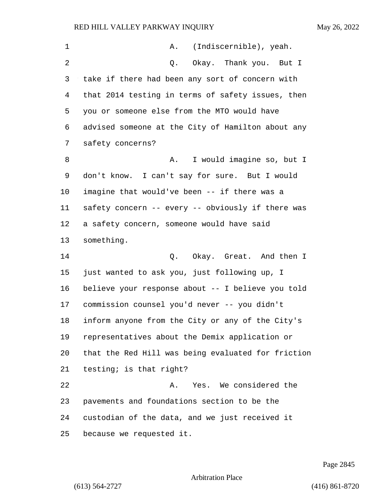| $\mathbf 1$ | (Indiscernible), yeah.<br>A.                       |
|-------------|----------------------------------------------------|
| 2           | Okay. Thank you. But I<br>Q.                       |
| 3           | take if there had been any sort of concern with    |
| 4           | that 2014 testing in terms of safety issues, then  |
| 5           | you or someone else from the MTO would have        |
| 6           | advised someone at the City of Hamilton about any  |
| 7           | safety concerns?                                   |
| 8           | I would imagine so, but I<br>Α.                    |
| 9           | don't know. I can't say for sure. But I would      |
| 10          | imagine that would've been -- if there was a       |
| 11          | safety concern -- every -- obviously if there was  |
| 12          | a safety concern, someone would have said          |
| 13          | something.                                         |
| 14          | Q. Okay. Great. And then I                         |
| 15          | just wanted to ask you, just following up, I       |
| 16          | believe your response about -- I believe you told  |
| 17          | commission counsel you'd never -- you didn't       |
| 18          | inform anyone from the City or any of the City's   |
| 19          | representatives about the Demix application or     |
| 20          | that the Red Hill was being evaluated for friction |
| 21          | testing; is that right?                            |
| 22          | Yes. We considered the<br>Α.                       |
| 23          | pavements and foundations section to be the        |
| 24          | custodian of the data, and we just received it     |
| 25          | because we requested it.                           |

Page 2845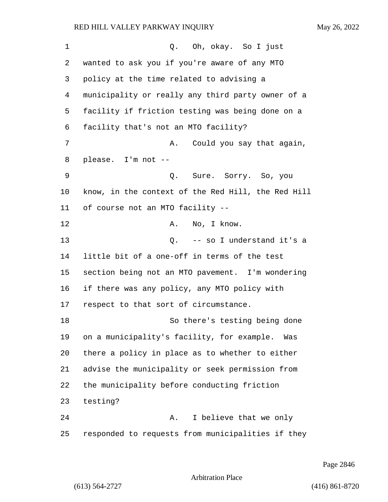| $\mathbf 1$ | Q. Oh, okay. So I just                             |
|-------------|----------------------------------------------------|
| 2           | wanted to ask you if you're aware of any MTO       |
| 3           | policy at the time related to advising a           |
| 4           | municipality or really any third party owner of a  |
| 5           | facility if friction testing was being done on a   |
| 6           | facility that's not an MTO facility?               |
| 7           | Could you say that again,<br>Α.                    |
| 8           | please. I'm not --                                 |
| 9           | Q. Sure. Sorry. So, you                            |
| 10          | know, in the context of the Red Hill, the Red Hill |
| 11          | of course not an MTO facility --                   |
| 12          | No, I know.<br>Α.                                  |
| 13          | Q. -- so I understand it's a                       |
| 14          | little bit of a one-off in terms of the test       |
| 15          | section being not an MTO pavement. I'm wondering   |
| 16          | if there was any policy, any MTO policy with       |
| 17          | respect to that sort of circumstance.              |
| 18          | So there's testing being done                      |
| 19          | on a municipality's facility, for example.<br>Was  |
| 20          | there a policy in place as to whether to either    |
| 21          | advise the municipality or seek permission from    |
| 22          | the municipality before conducting friction        |
| 23          | testing?                                           |
| 24          | I believe that we only<br>Α.                       |
| 25          | responded to requests from municipalities if they  |

Page 2846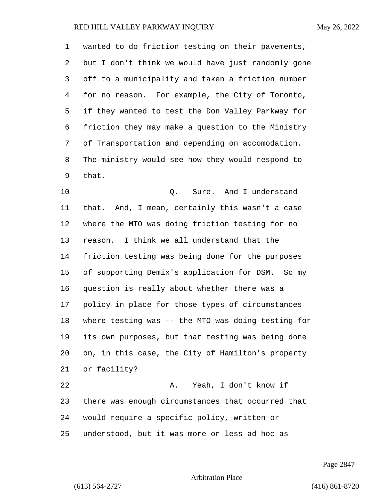wanted to do friction testing on their pavements, but I don't think we would have just randomly gone off to a municipality and taken a friction number for no reason. For example, the City of Toronto, if they wanted to test the Don Valley Parkway for friction they may make a question to the Ministry of Transportation and depending on accomodation. The ministry would see how they would respond to that.

10 Q. Sure. And I understand that. And, I mean, certainly this wasn't a case where the MTO was doing friction testing for no reason. I think we all understand that the friction testing was being done for the purposes of supporting Demix's application for DSM. So my question is really about whether there was a policy in place for those types of circumstances where testing was -- the MTO was doing testing for its own purposes, but that testing was being done on, in this case, the City of Hamilton's property or facility? 22 A. Yeah, I don't know if there was enough circumstances that occurred that

would require a specific policy, written or

understood, but it was more or less ad hoc as

Page 2847

Arbitration Place

(613) 564-2727 (416) 861-8720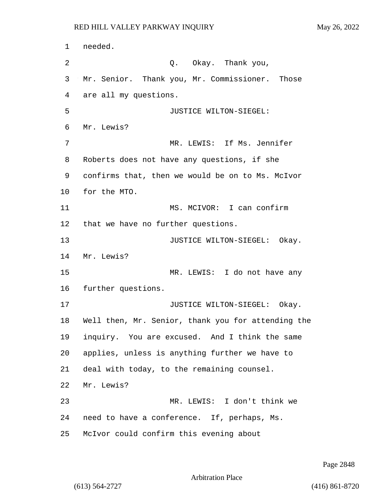needed. 2 Q. Okay. Thank you, Mr. Senior. Thank you, Mr. Commissioner. Those are all my questions. 5 JUSTICE WILTON-SIEGEL: Mr. Lewis? 7 MR. LEWIS: If Ms. Jennifer Roberts does not have any questions, if she confirms that, then we would be on to Ms. McIvor for the MTO. 11 MS. MCIVOR: I can confirm that we have no further questions. 13 JUSTICE WILTON-SIEGEL: Okay. Mr. Lewis? 15 MR. LEWIS: I do not have any further questions. **JUSTICE WILTON-SIEGEL:** Okay. Well then, Mr. Senior, thank you for attending the inquiry. You are excused. And I think the same applies, unless is anything further we have to deal with today, to the remaining counsel. Mr. Lewis? 23 MR. LEWIS: I don't think we need to have a conference. If, perhaps, Ms. McIvor could confirm this evening about

Page 2848